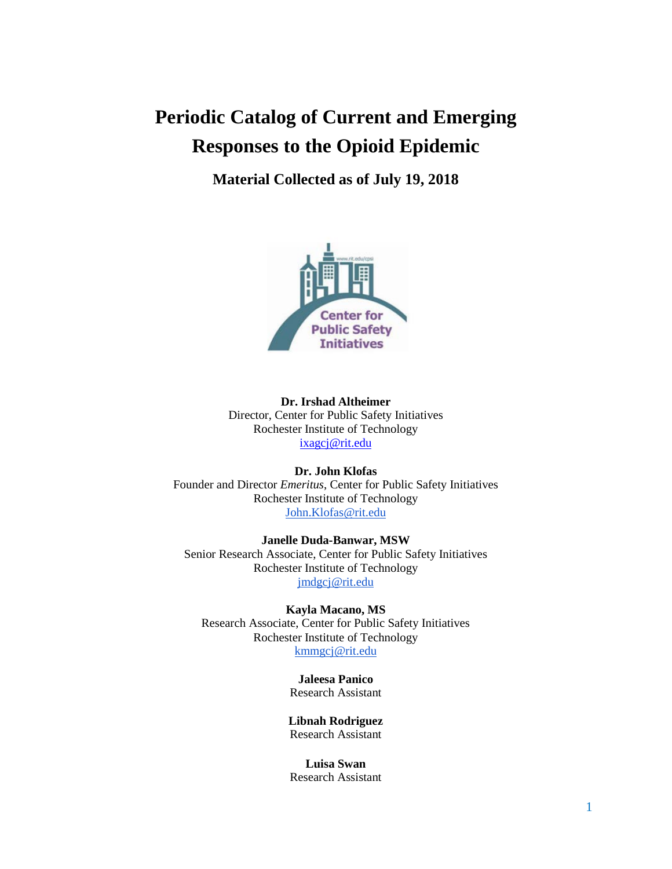# **Periodic Catalog of Current and Emerging Responses to the Opioid Epidemic**

**Material Collected as of July 19, 2018**



**Dr. Irshad Altheimer** Director, Center for Public Safety Initiatives Rochester Institute of Technology [ixagcj@rit.edu](mailto:ixagcj@rit.edu)

**Dr. John Klofas** Founder and Director *Emeritus*, Center for Public Safety Initiatives Rochester Institute of Technology [John.Klofas@rit.edu](mailto:John.Klofas@rit.edu)

**Janelle Duda-Banwar, MSW** Senior Research Associate, Center for Public Safety Initiatives Rochester Institute of Technology [jmdgcj@rit.edu](mailto:jmdgcj@rit.edu)

**Kayla Macano, MS** Research Associate, Center for Public Safety Initiatives Rochester Institute of Technology [kmmgcj@rit.edu](mailto:kmmgcj@rit.edu)

> **Jaleesa Panico** Research Assistant

**Libnah Rodriguez** Research Assistant

**Luisa Swan** Research Assistant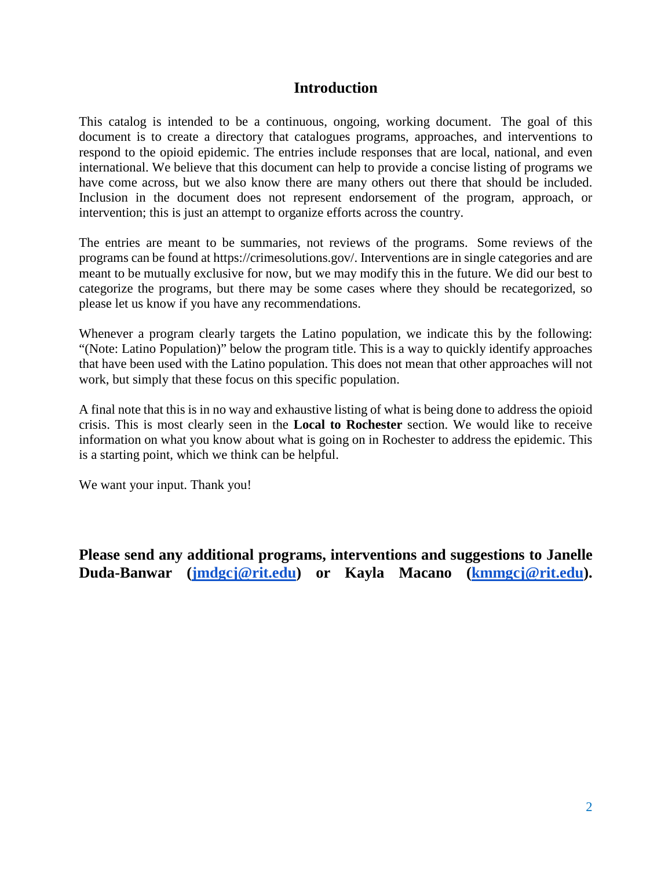# **Introduction**

This catalog is intended to be a continuous, ongoing, working document. The goal of this document is to create a directory that catalogues programs, approaches, and interventions to respond to the opioid epidemic. The entries include responses that are local, national, and even international. We believe that this document can help to provide a concise listing of programs we have come across, but we also know there are many others out there that should be included. Inclusion in the document does not represent endorsement of the program, approach, or intervention; this is just an attempt to organize efforts across the country.

The entries are meant to be summaries, not reviews of the programs. Some reviews of the programs can be found at https://crimesolutions.gov/. Interventions are in single categories and are meant to be mutually exclusive for now, but we may modify this in the future. We did our best to categorize the programs, but there may be some cases where they should be recategorized, so please let us know if you have any recommendations.

Whenever a program clearly targets the Latino population, we indicate this by the following: "(Note: Latino Population)" below the program title. This is a way to quickly identify approaches that have been used with the Latino population. This does not mean that other approaches will not work, but simply that these focus on this specific population.

A final note that this is in no way and exhaustive listing of what is being done to address the opioid crisis. This is most clearly seen in the **Local to Rochester** section. We would like to receive information on what you know about what is going on in Rochester to address the epidemic. This is a starting point, which we think can be helpful.

We want your input. Thank you!

**Please send any additional programs, interventions and suggestions to Janelle Duda-Banwar [\(jmdgcj@rit.edu\)](mailto:jmdgcj@rit.edu) or Kayla Macano [\(kmmgcj@rit.edu\)](mailto:kmmgcj@rit.edu).**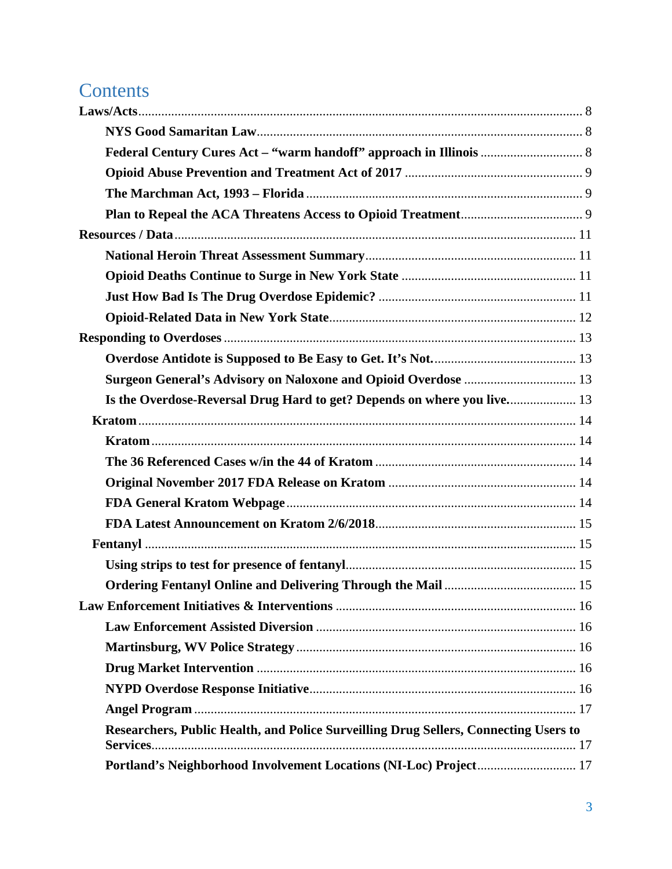# **Contents**

| Surgeon General's Advisory on Naloxone and Opioid Overdose  13                       |  |
|--------------------------------------------------------------------------------------|--|
|                                                                                      |  |
|                                                                                      |  |
|                                                                                      |  |
|                                                                                      |  |
|                                                                                      |  |
|                                                                                      |  |
|                                                                                      |  |
|                                                                                      |  |
|                                                                                      |  |
|                                                                                      |  |
|                                                                                      |  |
|                                                                                      |  |
|                                                                                      |  |
|                                                                                      |  |
|                                                                                      |  |
|                                                                                      |  |
| Researchers, Public Health, and Police Surveilling Drug Sellers, Connecting Users to |  |
| Portland's Neighborhood Involvement Locations (NI-Loc) Project 17                    |  |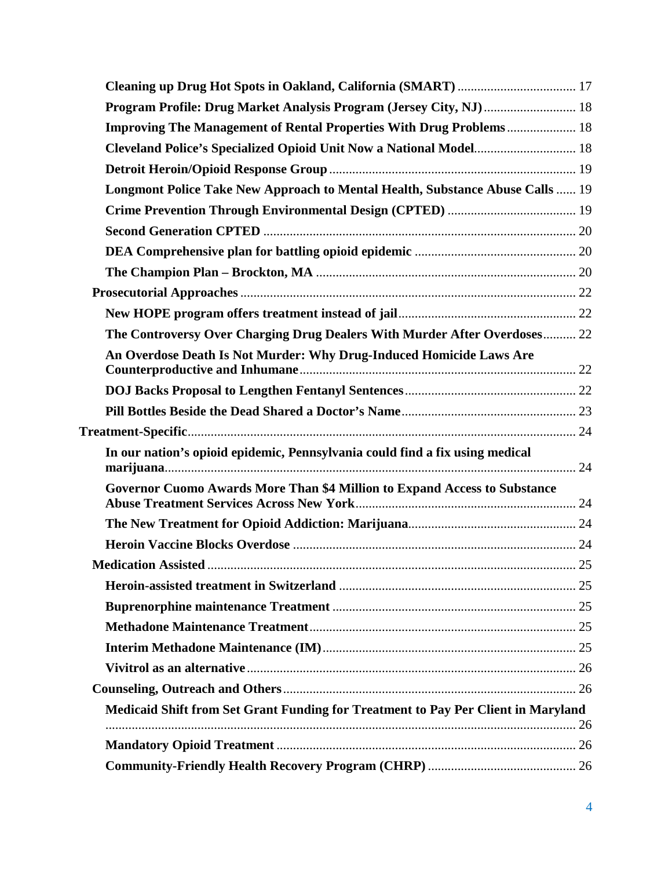| Program Profile: Drug Market Analysis Program (Jersey City, NJ)  18               |  |
|-----------------------------------------------------------------------------------|--|
| <b>Improving The Management of Rental Properties With Drug Problems 18</b>        |  |
| Cleveland Police's Specialized Opioid Unit Now a National Model 18                |  |
|                                                                                   |  |
| Longmont Police Take New Approach to Mental Health, Substance Abuse Calls  19     |  |
|                                                                                   |  |
|                                                                                   |  |
|                                                                                   |  |
|                                                                                   |  |
|                                                                                   |  |
|                                                                                   |  |
| The Controversy Over Charging Drug Dealers With Murder After Overdoses 22         |  |
| An Overdose Death Is Not Murder: Why Drug-Induced Homicide Laws Are               |  |
|                                                                                   |  |
|                                                                                   |  |
|                                                                                   |  |
| In our nation's opioid epidemic, Pennsylvania could find a fix using medical      |  |
| Governor Cuomo Awards More Than \$4 Million to Expand Access to Substance         |  |
|                                                                                   |  |
|                                                                                   |  |
|                                                                                   |  |
|                                                                                   |  |
|                                                                                   |  |
|                                                                                   |  |
|                                                                                   |  |
|                                                                                   |  |
|                                                                                   |  |
| Medicaid Shift from Set Grant Funding for Treatment to Pay Per Client in Maryland |  |
|                                                                                   |  |
|                                                                                   |  |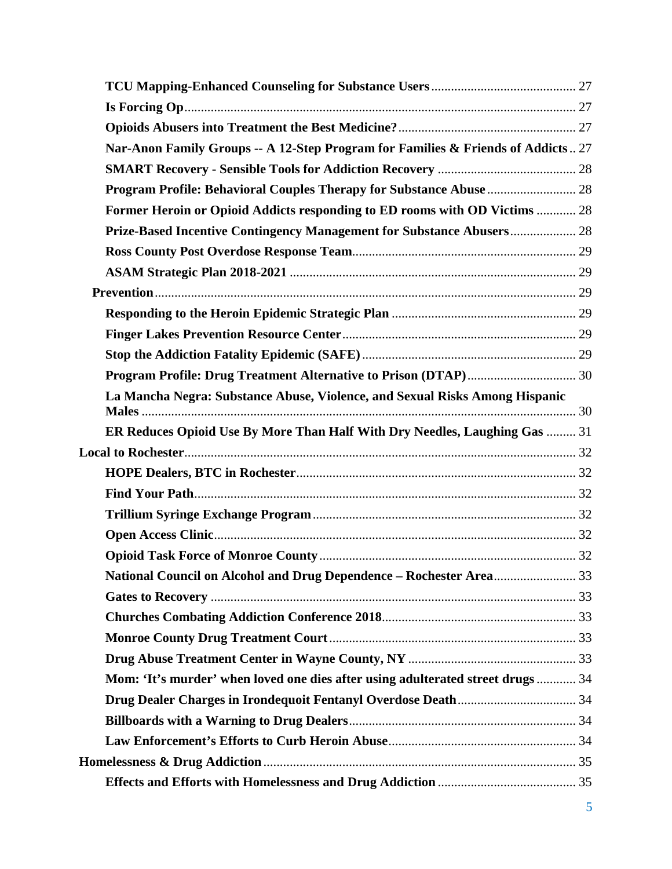| Nar-Anon Family Groups -- A 12-Step Program for Families & Friends of Addicts 27 |  |
|----------------------------------------------------------------------------------|--|
|                                                                                  |  |
|                                                                                  |  |
| Former Heroin or Opioid Addicts responding to ED rooms with OD Victims  28       |  |
| Prize-Based Incentive Contingency Management for Substance Abusers 28            |  |
|                                                                                  |  |
|                                                                                  |  |
|                                                                                  |  |
|                                                                                  |  |
|                                                                                  |  |
|                                                                                  |  |
|                                                                                  |  |
| La Mancha Negra: Substance Abuse, Violence, and Sexual Risks Among Hispanic      |  |
| ER Reduces Opioid Use By More Than Half With Dry Needles, Laughing Gas  31       |  |
|                                                                                  |  |
|                                                                                  |  |
|                                                                                  |  |
|                                                                                  |  |
|                                                                                  |  |
|                                                                                  |  |
|                                                                                  |  |
|                                                                                  |  |
|                                                                                  |  |
|                                                                                  |  |
|                                                                                  |  |
| Mom: 'It's murder' when loved one dies after using adulterated street drugs  34  |  |
|                                                                                  |  |
|                                                                                  |  |
|                                                                                  |  |
|                                                                                  |  |
|                                                                                  |  |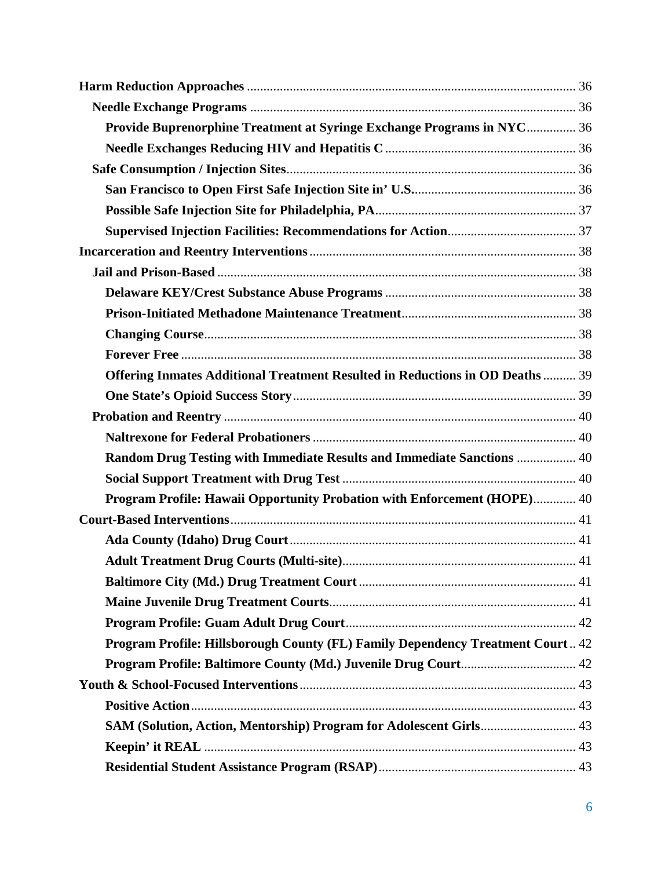| Provide Buprenorphine Treatment at Syringe Exchange Programs in NYC 36         |  |
|--------------------------------------------------------------------------------|--|
|                                                                                |  |
|                                                                                |  |
|                                                                                |  |
|                                                                                |  |
|                                                                                |  |
|                                                                                |  |
|                                                                                |  |
|                                                                                |  |
|                                                                                |  |
|                                                                                |  |
|                                                                                |  |
| Offering Inmates Additional Treatment Resulted in Reductions in OD Deaths  39  |  |
|                                                                                |  |
|                                                                                |  |
|                                                                                |  |
| Random Drug Testing with Immediate Results and Immediate Sanctions  40         |  |
|                                                                                |  |
| Program Profile: Hawaii Opportunity Probation with Enforcement (HOPE) 40       |  |
|                                                                                |  |
|                                                                                |  |
|                                                                                |  |
|                                                                                |  |
|                                                                                |  |
|                                                                                |  |
| Program Profile: Hillsborough County (FL) Family Dependency Treatment Court 42 |  |
|                                                                                |  |
|                                                                                |  |
|                                                                                |  |
| SAM (Solution, Action, Mentorship) Program for Adolescent Girls 43             |  |
|                                                                                |  |
|                                                                                |  |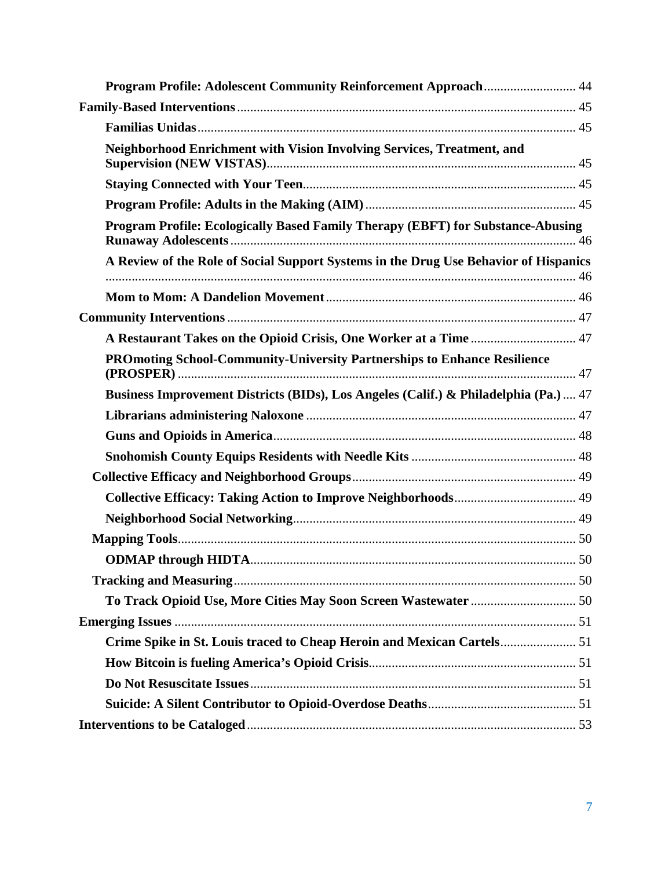| Neighborhood Enrichment with Vision Involving Services, Treatment, and               |  |
|--------------------------------------------------------------------------------------|--|
|                                                                                      |  |
|                                                                                      |  |
| Program Profile: Ecologically Based Family Therapy (EBFT) for Substance-Abusing      |  |
| A Review of the Role of Social Support Systems in the Drug Use Behavior of Hispanics |  |
|                                                                                      |  |
|                                                                                      |  |
| A Restaurant Takes on the Opioid Crisis, One Worker at a Time  47                    |  |
| <b>PROmoting School-Community-University Partnerships to Enhance Resilience</b>      |  |
| Business Improvement Districts (BIDs), Los Angeles (Calif.) & Philadelphia (Pa.)  47 |  |
|                                                                                      |  |
|                                                                                      |  |
|                                                                                      |  |
|                                                                                      |  |
|                                                                                      |  |
|                                                                                      |  |
|                                                                                      |  |
|                                                                                      |  |
|                                                                                      |  |
|                                                                                      |  |
|                                                                                      |  |
|                                                                                      |  |
|                                                                                      |  |
|                                                                                      |  |
|                                                                                      |  |
|                                                                                      |  |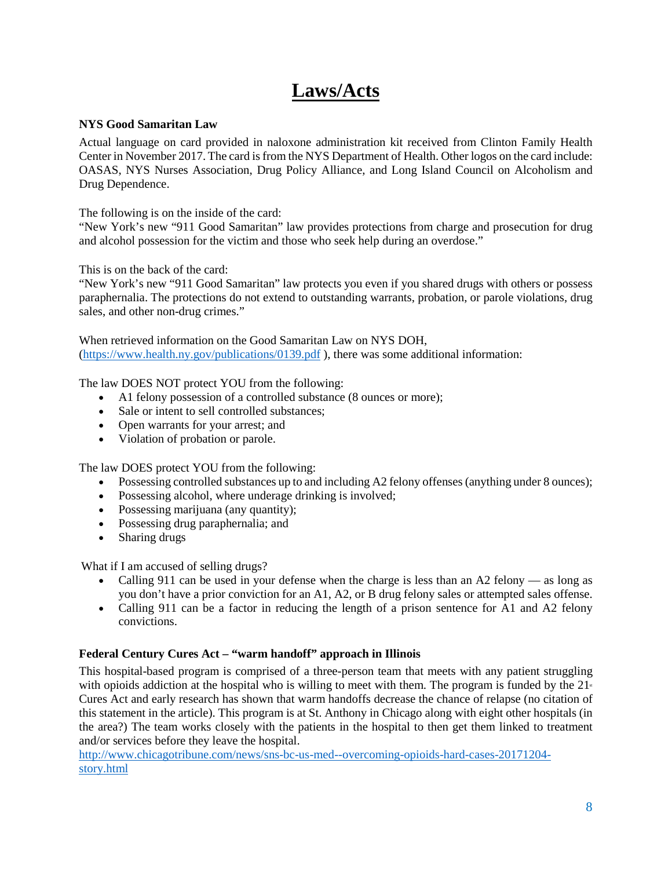# **Laws/Acts**

# <span id="page-7-1"></span><span id="page-7-0"></span>**NYS Good Samaritan Law**

Actual language on card provided in naloxone administration kit received from Clinton Family Health Center in November 2017. The card is from the NYS Department of Health. Other logos on the card include: OASAS, NYS Nurses Association, Drug Policy Alliance, and Long Island Council on Alcoholism and Drug Dependence.

The following is on the inside of the card:

"New York's new "911 Good Samaritan" law provides protections from charge and prosecution for drug and alcohol possession for the victim and those who seek help during an overdose."

This is on the back of the card:

"New York's new "911 Good Samaritan" law protects you even if you shared drugs with others or possess paraphernalia. The protections do not extend to outstanding warrants, probation, or parole violations, drug sales, and other non-drug crimes."

When retrieved information on the Good Samaritan Law on NYS DOH, [\(https://www.health.ny.gov/publications/0139.pdf](https://www.health.ny.gov/publications/0139.pdf) ), there was some additional information:

The law DOES NOT protect YOU from the following:

- A1 felony possession of a controlled substance (8 ounces or more);
- Sale or intent to sell controlled substances;
- Open warrants for your arrest; and
- Violation of probation or parole.

The law DOES protect YOU from the following:

- Possessing controlled substances up to and including A2 felony offenses (anything under 8 ounces);
- Possessing alcohol, where underage drinking is involved;
- Possessing marijuana (any quantity);
- Possessing drug paraphernalia; and
- Sharing drugs

What if I am accused of selling drugs?

- Calling 911 can be used in your defense when the charge is less than an A2 felony as long as you don't have a prior conviction for an A1, A2, or B drug felony sales or attempted sales offense.
- Calling 911 can be a factor in reducing the length of a prison sentence for A1 and A2 felony convictions.

# <span id="page-7-2"></span>**Federal Century Cures Act – "warm handoff" approach in Illinois**

This hospital-based program is comprised of a three-person team that meets with any patient struggling with opioids addiction at the hospital who is willing to meet with them. The program is funded by the  $21<sup>s</sup>$ Cures Act and early research has shown that warm handoffs decrease the chance of relapse (no citation of this statement in the article). This program is at St. Anthony in Chicago along with eight other hospitals (in the area?) The team works closely with the patients in the hospital to then get them linked to treatment and/or services before they leave the hospital.

[http://www.chicagotribune.com/news/sns-bc-us-med--overcoming-opioids-hard-cases-20171204](http://www.chicagotribune.com/news/sns-bc-us-med--overcoming-opioids-hard-cases-20171204-story.html) [story.html](http://www.chicagotribune.com/news/sns-bc-us-med--overcoming-opioids-hard-cases-20171204-story.html)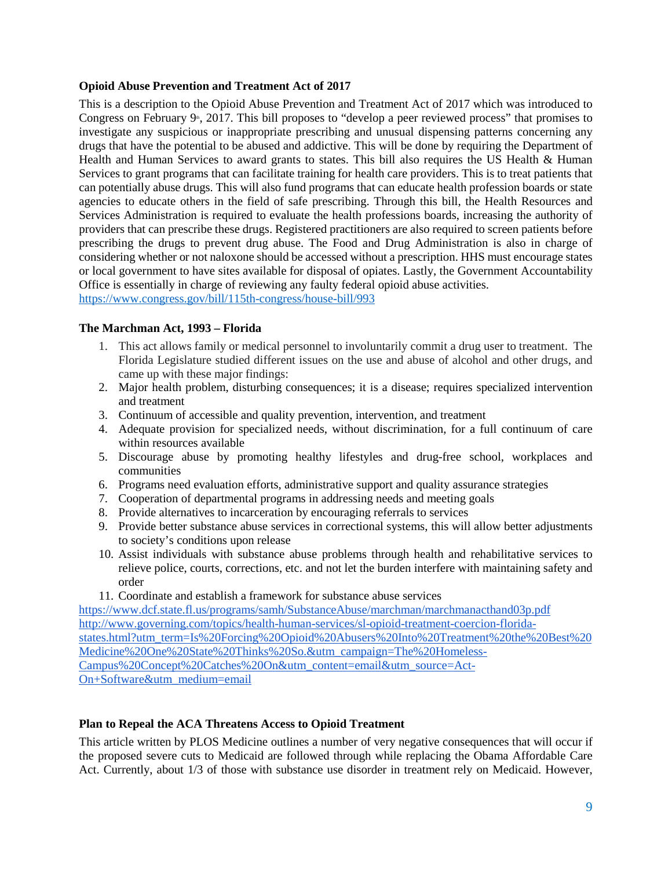#### <span id="page-8-0"></span>**Opioid Abuse Prevention and Treatment Act of 2017**

This is a description to the Opioid Abuse Prevention and Treatment Act of 2017 which was introduced to Congress on February  $9^{\circ}$ , 2017. This bill proposes to "develop a peer reviewed process" that promises to investigate any suspicious or inappropriate prescribing and unusual dispensing patterns concerning any drugs that have the potential to be abused and addictive. This will be done by requiring the Department of Health and Human Services to award grants to states. This bill also requires the US Health & Human Services to grant programs that can facilitate training for health care providers. This is to treat patients that can potentially abuse drugs. This will also fund programs that can educate health profession boards or state agencies to educate others in the field of safe prescribing. Through this bill, the Health Resources and Services Administration is required to evaluate the health professions boards, increasing the authority of providers that can prescribe these drugs. Registered practitioners are also required to screen patients before prescribing the drugs to prevent drug abuse. The Food and Drug Administration is also in charge of considering whether or not naloxone should be accessed without a prescription. HHS must encourage states or local government to have sites available for disposal of opiates. Lastly, the Government Accountability Office is essentially in charge of reviewing any faulty federal opioid abuse activities. <https://www.congress.gov/bill/115th-congress/house-bill/993>

<span id="page-8-1"></span>

# **The Marchman Act, 1993 – Florida**

- 1. This act allows family or medical personnel to involuntarily commit a drug user to treatment. The Florida Legislature studied different issues on the use and abuse of alcohol and other drugs, and came up with these major findings:
- 2. Major health problem, disturbing consequences; it is a disease; requires specialized intervention and treatment
- 3. Continuum of accessible and quality prevention, intervention, and treatment
- 4. Adequate provision for specialized needs, without discrimination, for a full continuum of care within resources available
- 5. Discourage abuse by promoting healthy lifestyles and drug-free school, workplaces and communities
- 6. Programs need evaluation efforts, administrative support and quality assurance strategies
- 7. Cooperation of departmental programs in addressing needs and meeting goals
- 8. Provide alternatives to incarceration by encouraging referrals to services
- 9. Provide better substance abuse services in correctional systems, this will allow better adjustments to society's conditions upon release
- 10. Assist individuals with substance abuse problems through health and rehabilitative services to relieve police, courts, corrections, etc. and not let the burden interfere with maintaining safety and order
- 11. Coordinate and establish a framework for substance abuse services

<https://www.dcf.state.fl.us/programs/samh/SubstanceAbuse/marchman/marchmanacthand03p.pdf> [http://www.governing.com/topics/health-human-services/sl-opioid-treatment-coercion-florida](http://www.governing.com/topics/health-human-services/sl-opioid-treatment-coercion-florida-states.html?utm_term=Is%20Forcing%20Opioid%20Abusers%20Into%20Treatment%20the%20Best%20Medicine%20One%20State%20Thinks%20So.&utm_campaign=The%20Homeless-Campus%20Concept%20Catches%20On&utm_content=email&utm_source=Act-On+Software&utm_medium=email)[states.html?utm\\_term=Is%20Forcing%20Opioid%20Abusers%20Into%20Treatment%20the%20Best%20](http://www.governing.com/topics/health-human-services/sl-opioid-treatment-coercion-florida-states.html?utm_term=Is%20Forcing%20Opioid%20Abusers%20Into%20Treatment%20the%20Best%20Medicine%20One%20State%20Thinks%20So.&utm_campaign=The%20Homeless-Campus%20Concept%20Catches%20On&utm_content=email&utm_source=Act-On+Software&utm_medium=email) [Medicine%20One%20State%20Thinks%20So.&utm\\_campaign=The%20Homeless-](http://www.governing.com/topics/health-human-services/sl-opioid-treatment-coercion-florida-states.html?utm_term=Is%20Forcing%20Opioid%20Abusers%20Into%20Treatment%20the%20Best%20Medicine%20One%20State%20Thinks%20So.&utm_campaign=The%20Homeless-Campus%20Concept%20Catches%20On&utm_content=email&utm_source=Act-On+Software&utm_medium=email)[Campus%20Concept%20Catches%20On&utm\\_content=email&utm\\_source=Act-](http://www.governing.com/topics/health-human-services/sl-opioid-treatment-coercion-florida-states.html?utm_term=Is%20Forcing%20Opioid%20Abusers%20Into%20Treatment%20the%20Best%20Medicine%20One%20State%20Thinks%20So.&utm_campaign=The%20Homeless-Campus%20Concept%20Catches%20On&utm_content=email&utm_source=Act-On+Software&utm_medium=email)[On+Software&utm\\_medium=email](http://www.governing.com/topics/health-human-services/sl-opioid-treatment-coercion-florida-states.html?utm_term=Is%20Forcing%20Opioid%20Abusers%20Into%20Treatment%20the%20Best%20Medicine%20One%20State%20Thinks%20So.&utm_campaign=The%20Homeless-Campus%20Concept%20Catches%20On&utm_content=email&utm_source=Act-On+Software&utm_medium=email)

# <span id="page-8-2"></span>**Plan to Repeal the ACA Threatens Access to Opioid Treatment**

This article written by PLOS Medicine outlines a number of very negative consequences that will occur if the proposed severe cuts to Medicaid are followed through while replacing the Obama Affordable Care Act. Currently, about 1/3 of those with substance use disorder in treatment rely on Medicaid. However,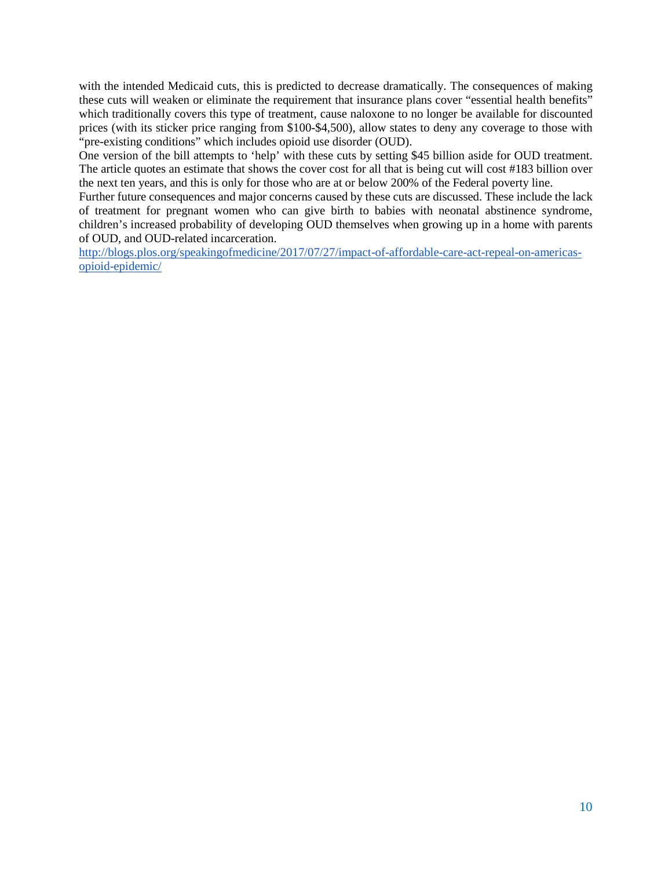with the intended Medicaid cuts, this is predicted to decrease dramatically. The consequences of making these cuts will weaken or eliminate the requirement that insurance plans cover "essential health benefits" which traditionally covers this type of treatment, cause naloxone to no longer be available for discounted prices (with its sticker price ranging from \$100-\$4,500), allow states to deny any coverage to those with "pre-existing conditions" which includes opioid use disorder (OUD).

One version of the bill attempts to 'help' with these cuts by setting \$45 billion aside for OUD treatment. The article quotes an estimate that shows the cover cost for all that is being cut will cost #183 billion over the next ten years, and this is only for those who are at or below 200% of the Federal poverty line.

Further future consequences and major concerns caused by these cuts are discussed. These include the lack of treatment for pregnant women who can give birth to babies with neonatal abstinence syndrome, children's increased probability of developing OUD themselves when growing up in a home with parents of OUD, and OUD-related incarceration.

[http://blogs.plos.org/speakingofmedicine/2017/07/27/impact-of-affordable-care-act-repeal-on-americas](http://blogs.plos.org/speakingofmedicine/2017/07/27/impact-of-affordable-care-act-repeal-on-americas-opioid-epidemic/)[opioid-epidemic/](http://blogs.plos.org/speakingofmedicine/2017/07/27/impact-of-affordable-care-act-repeal-on-americas-opioid-epidemic/)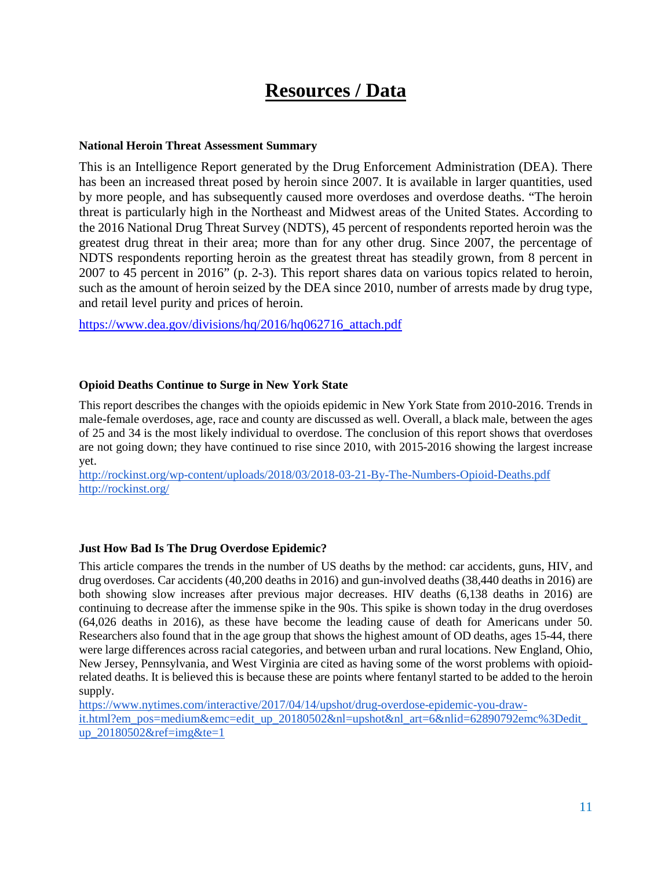# **Resources / Data**

#### <span id="page-10-1"></span><span id="page-10-0"></span>**National Heroin Threat Assessment Summary**

This is an Intelligence Report generated by the Drug Enforcement Administration (DEA). There has been an increased threat posed by heroin since 2007. It is available in larger quantities, used by more people, and has subsequently caused more overdoses and overdose deaths. "The heroin threat is particularly high in the Northeast and Midwest areas of the United States. According to the 2016 National Drug Threat Survey (NDTS), 45 percent of respondents reported heroin was the greatest drug threat in their area; more than for any other drug. Since 2007, the percentage of NDTS respondents reporting heroin as the greatest threat has steadily grown, from 8 percent in 2007 to 45 percent in 2016" (p. 2-3). This report shares data on various topics related to heroin, such as the amount of heroin seized by the DEA since 2010, number of arrests made by drug type, and retail level purity and prices of heroin.

[https://www.dea.gov/divisions/hq/2016/hq062716\\_attach.pdf](https://www.dea.gov/divisions/hq/2016/hq062716_attach.pdf)

# <span id="page-10-2"></span>**Opioid Deaths Continue to Surge in New York State**

This report describes the changes with the opioids epidemic in New York State from 2010-2016. Trends in male-female overdoses, age, race and county are discussed as well. Overall, a black male, between the ages of 25 and 34 is the most likely individual to overdose. The conclusion of this report shows that overdoses are not going down; they have continued to rise since 2010, with 2015-2016 showing the largest increase yet.

<http://rockinst.org/wp-content/uploads/2018/03/2018-03-21-By-The-Numbers-Opioid-Deaths.pdf> <http://rockinst.org/>

# <span id="page-10-3"></span>**Just How Bad Is The Drug Overdose Epidemic?**

This article compares the trends in the number of US deaths by the method: car accidents, guns, HIV, and drug overdoses. Car accidents (40,200 deaths in 2016) and gun-involved deaths (38,440 deaths in 2016) are both showing slow increases after previous major decreases. HIV deaths (6,138 deaths in 2016) are continuing to decrease after the immense spike in the 90s. This spike is shown today in the drug overdoses (64,026 deaths in 2016), as these have become the leading cause of death for Americans under 50. Researchers also found that in the age group that shows the highest amount of OD deaths, ages 15-44, there were large differences across racial categories, and between urban and rural locations. New England, Ohio, New Jersey, Pennsylvania, and West Virginia are cited as having some of the worst problems with opioidrelated deaths. It is believed this is because these are points where fentanyl started to be added to the heroin supply.

[https://www.nytimes.com/interactive/2017/04/14/upshot/drug-overdose-epidemic-you-draw](https://www.nytimes.com/interactive/2017/04/14/upshot/drug-overdose-epidemic-you-draw-it.html?em_pos=medium&emc=edit_up_20180502&nl=upshot&nl_art=6&nlid=62890792emc%3Dedit_up_20180502&ref=img&te=1)[it.html?em\\_pos=medium&emc=edit\\_up\\_20180502&nl=upshot&nl\\_art=6&nlid=62890792emc%3Dedit\\_](https://www.nytimes.com/interactive/2017/04/14/upshot/drug-overdose-epidemic-you-draw-it.html?em_pos=medium&emc=edit_up_20180502&nl=upshot&nl_art=6&nlid=62890792emc%3Dedit_up_20180502&ref=img&te=1) [up\\_20180502&ref=img&te=1](https://www.nytimes.com/interactive/2017/04/14/upshot/drug-overdose-epidemic-you-draw-it.html?em_pos=medium&emc=edit_up_20180502&nl=upshot&nl_art=6&nlid=62890792emc%3Dedit_up_20180502&ref=img&te=1)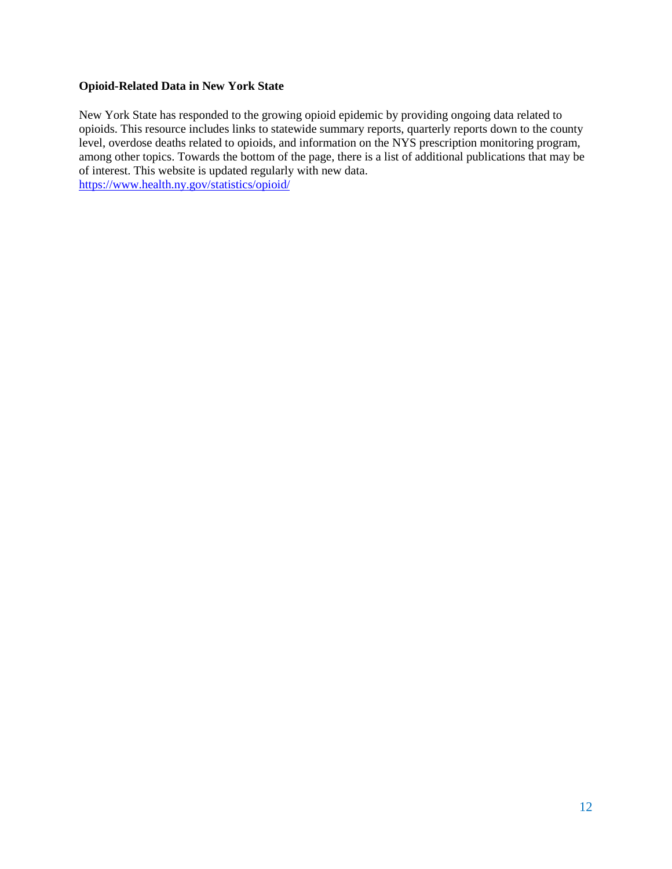# <span id="page-11-0"></span>**Opioid-Related Data in New York State**

New York State has responded to the growing opioid epidemic by providing ongoing data related to opioids. This resource includes links to statewide summary reports, quarterly reports down to the county level, overdose deaths related to opioids, and information on the NYS prescription monitoring program, among other topics. Towards the bottom of the page, there is a list of additional publications that may be of interest. This website is updated regularly with new data. <https://www.health.ny.gov/statistics/opioid/>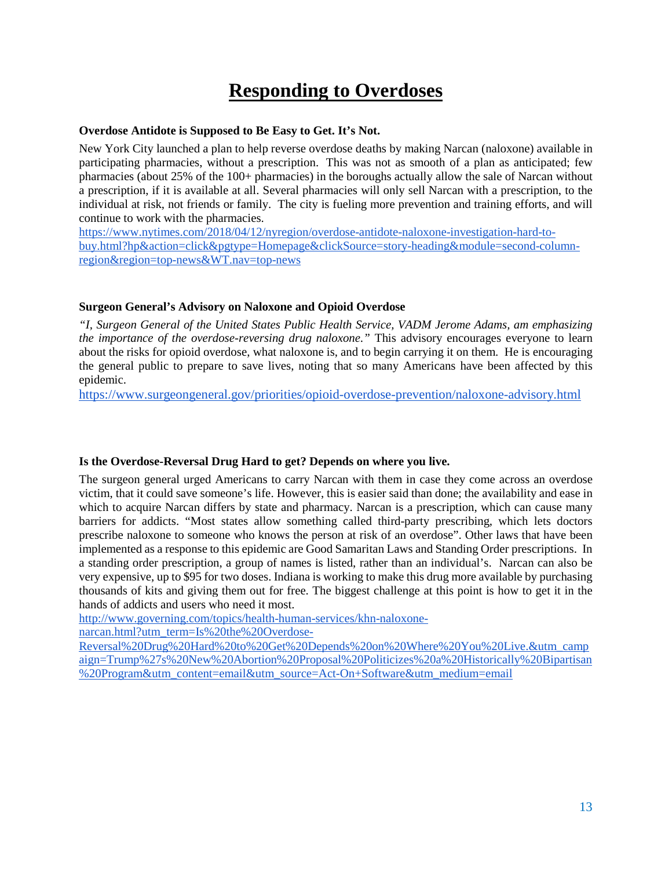# **Responding to Overdoses**

#### <span id="page-12-1"></span><span id="page-12-0"></span>**Overdose Antidote is Supposed to Be Easy to Get. It's Not.**

New York City launched a plan to help reverse overdose deaths by making Narcan (naloxone) available in participating pharmacies, without a prescription. This was not as smooth of a plan as anticipated; few pharmacies (about 25% of the 100+ pharmacies) in the boroughs actually allow the sale of Narcan without a prescription, if it is available at all. Several pharmacies will only sell Narcan with a prescription, to the individual at risk, not friends or family. The city is fueling more prevention and training efforts, and will continue to work with the pharmacies.

[https://www.nytimes.com/2018/04/12/nyregion/overdose-antidote-naloxone-investigation-hard-to](https://www.nytimes.com/2018/04/12/nyregion/overdose-antidote-naloxone-investigation-hard-to-buy.html?hp&action=click&pgtype=Homepage&clickSource=story-heading&module=second-column-region®ion=top-news&WT.nav=top-news)[buy.html?hp&action=click&pgtype=Homepage&clickSource=story-heading&module=second-column](https://www.nytimes.com/2018/04/12/nyregion/overdose-antidote-naloxone-investigation-hard-to-buy.html?hp&action=click&pgtype=Homepage&clickSource=story-heading&module=second-column-region®ion=top-news&WT.nav=top-news)[region&region=top-news&WT.nav=top-news](https://www.nytimes.com/2018/04/12/nyregion/overdose-antidote-naloxone-investigation-hard-to-buy.html?hp&action=click&pgtype=Homepage&clickSource=story-heading&module=second-column-region®ion=top-news&WT.nav=top-news)

# <span id="page-12-2"></span>**Surgeon General's Advisory on Naloxone and Opioid Overdose**

*"I, Surgeon General of the United States Public Health Service, VADM Jerome Adams, am emphasizing the importance of the overdose-reversing drug naloxone."* This advisory encourages everyone to learn about the risks for opioid overdose, what naloxone is, and to begin carrying it on them. He is encouraging the general public to prepare to save lives, noting that so many Americans have been affected by this epidemic.

<https://www.surgeongeneral.gov/priorities/opioid-overdose-prevention/naloxone-advisory.html>

# <span id="page-12-3"></span>**Is the Overdose-Reversal Drug Hard to get? Depends on where you live.**

The surgeon general urged Americans to carry Narcan with them in case they come across an overdose victim, that it could save someone's life. However, this is easier said than done; the availability and ease in which to acquire Narcan differs by state and pharmacy. Narcan is a prescription, which can cause many barriers for addicts. "Most states allow something called third-party prescribing, which lets doctors prescribe naloxone to someone who knows the person at risk of an overdose". Other laws that have been implemented as a response to this epidemic are Good Samaritan Laws and Standing Order prescriptions. In a standing order prescription, a group of names is listed, rather than an individual's. Narcan can also be very expensive, up to \$95 for two doses. Indiana is working to make this drug more available by purchasing thousands of kits and giving them out for free. The biggest challenge at this point is how to get it in the hands of addicts and users who need it most.

[http://www.governing.com/topics/health-human-services/khn-naloxone-](http://www.governing.com/topics/health-human-services/khn-naloxone-narcan.html?utm_term=Is%20the%20Overdose-Reversal%20Drug%20Hard%20to%20Get%20Depends%20on%20Where%20You%20Live.&utm_campaign=Trump%27s%20New%20Abortion%20Proposal%20Politicizes%20a%20Historically%20Bipartisan%20Program&utm_content=email&utm_source=Act-On+Software&utm_medium=email)

[narcan.html?utm\\_term=Is%20the%20Overdose-](http://www.governing.com/topics/health-human-services/khn-naloxone-narcan.html?utm_term=Is%20the%20Overdose-Reversal%20Drug%20Hard%20to%20Get%20Depends%20on%20Where%20You%20Live.&utm_campaign=Trump%27s%20New%20Abortion%20Proposal%20Politicizes%20a%20Historically%20Bipartisan%20Program&utm_content=email&utm_source=Act-On+Software&utm_medium=email)

[Reversal%20Drug%20Hard%20to%20Get%20Depends%20on%20Where%20You%20Live.&utm\\_camp](http://www.governing.com/topics/health-human-services/khn-naloxone-narcan.html?utm_term=Is%20the%20Overdose-Reversal%20Drug%20Hard%20to%20Get%20Depends%20on%20Where%20You%20Live.&utm_campaign=Trump%27s%20New%20Abortion%20Proposal%20Politicizes%20a%20Historically%20Bipartisan%20Program&utm_content=email&utm_source=Act-On+Software&utm_medium=email) [aign=Trump%27s%20New%20Abortion%20Proposal%20Politicizes%20a%20Historically%20Bipartisan](http://www.governing.com/topics/health-human-services/khn-naloxone-narcan.html?utm_term=Is%20the%20Overdose-Reversal%20Drug%20Hard%20to%20Get%20Depends%20on%20Where%20You%20Live.&utm_campaign=Trump%27s%20New%20Abortion%20Proposal%20Politicizes%20a%20Historically%20Bipartisan%20Program&utm_content=email&utm_source=Act-On+Software&utm_medium=email) [%20Program&utm\\_content=email&utm\\_source=Act-On+Software&utm\\_medium=email](http://www.governing.com/topics/health-human-services/khn-naloxone-narcan.html?utm_term=Is%20the%20Overdose-Reversal%20Drug%20Hard%20to%20Get%20Depends%20on%20Where%20You%20Live.&utm_campaign=Trump%27s%20New%20Abortion%20Proposal%20Politicizes%20a%20Historically%20Bipartisan%20Program&utm_content=email&utm_source=Act-On+Software&utm_medium=email)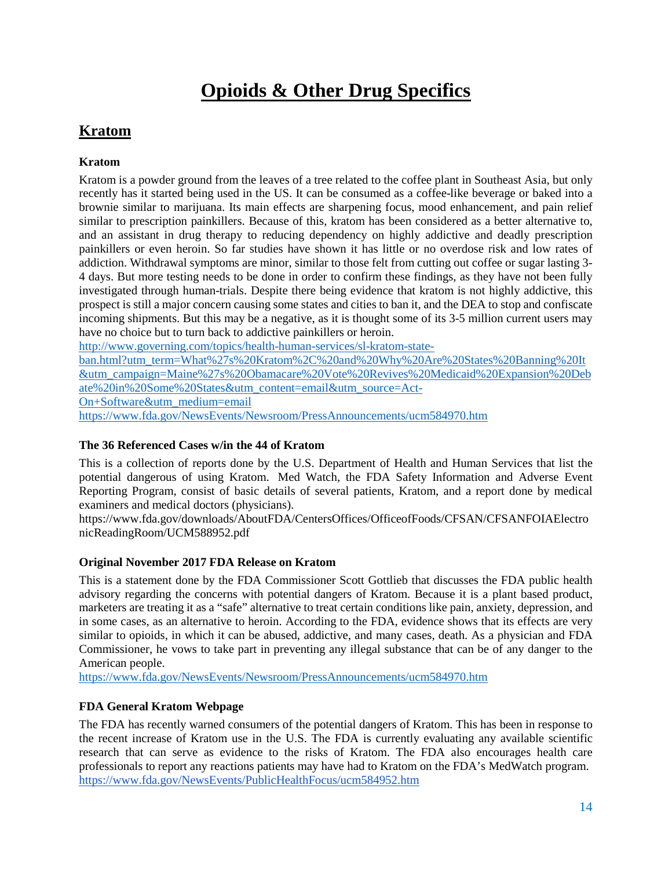# **Opioids & Other Drug Specifics**

# <span id="page-13-0"></span>**Kratom**

# <span id="page-13-1"></span>**Kratom**

Kratom is a powder ground from the leaves of a tree related to the coffee plant in Southeast Asia, but only recently has it started being used in the US. It can be consumed as a coffee-like beverage or baked into a brownie similar to marijuana. Its main effects are sharpening focus, mood enhancement, and pain relief similar to prescription painkillers. Because of this, kratom has been considered as a better alternative to, and an assistant in drug therapy to reducing dependency on highly addictive and deadly prescription painkillers or even heroin. So far studies have shown it has little or no overdose risk and low rates of addiction. Withdrawal symptoms are minor, similar to those felt from cutting out coffee or sugar lasting 3- 4 days. But more testing needs to be done in order to confirm these findings, as they have not been fully investigated through human-trials. Despite there being evidence that kratom is not highly addictive, this prospect is still a major concern causing some states and cities to ban it, and the DEA to stop and confiscate incoming shipments. But this may be a negative, as it is thought some of its 3-5 million current users may have no choice but to turn back to addictive painkillers or heroin.

[http://www.governing.com/topics/health-human-services/sl-kratom-state-](http://www.governing.com/topics/health-human-services/sl-kratom-state-ban.html?utm_term=What%27s%20Kratom%2C%20and%20Why%20Are%20States%20Banning%20It&utm_campaign=Maine%27s%20Obamacare%20Vote%20Revives%20Medicaid%20Expansion%20Debate%20in%20Some%20States&utm_content=email&utm_source=Act-On+Software&utm_medium=email)

[ban.html?utm\\_term=What%27s%20Kratom%2C%20and%20Why%20Are%20States%20Banning%20It](http://www.governing.com/topics/health-human-services/sl-kratom-state-ban.html?utm_term=What%27s%20Kratom%2C%20and%20Why%20Are%20States%20Banning%20It&utm_campaign=Maine%27s%20Obamacare%20Vote%20Revives%20Medicaid%20Expansion%20Debate%20in%20Some%20States&utm_content=email&utm_source=Act-On+Software&utm_medium=email) [&utm\\_campaign=Maine%27s%20Obamacare%20Vote%20Revives%20Medicaid%20Expansion%20Deb](http://www.governing.com/topics/health-human-services/sl-kratom-state-ban.html?utm_term=What%27s%20Kratom%2C%20and%20Why%20Are%20States%20Banning%20It&utm_campaign=Maine%27s%20Obamacare%20Vote%20Revives%20Medicaid%20Expansion%20Debate%20in%20Some%20States&utm_content=email&utm_source=Act-On+Software&utm_medium=email) [ate%20in%20Some%20States&utm\\_content=email&utm\\_source=Act-](http://www.governing.com/topics/health-human-services/sl-kratom-state-ban.html?utm_term=What%27s%20Kratom%2C%20and%20Why%20Are%20States%20Banning%20It&utm_campaign=Maine%27s%20Obamacare%20Vote%20Revives%20Medicaid%20Expansion%20Debate%20in%20Some%20States&utm_content=email&utm_source=Act-On+Software&utm_medium=email)[On+Software&utm\\_medium=email](http://www.governing.com/topics/health-human-services/sl-kratom-state-ban.html?utm_term=What%27s%20Kratom%2C%20and%20Why%20Are%20States%20Banning%20It&utm_campaign=Maine%27s%20Obamacare%20Vote%20Revives%20Medicaid%20Expansion%20Debate%20in%20Some%20States&utm_content=email&utm_source=Act-On+Software&utm_medium=email)

<span id="page-13-2"></span><https://www.fda.gov/NewsEvents/Newsroom/PressAnnouncements/ucm584970.htm>

# **The 36 Referenced Cases w/in the 44 of Kratom**

This is a collection of reports done by the U.S. Department of Health and Human Services that list the potential dangerous of using Kratom. Med Watch, the FDA Safety Information and Adverse Event Reporting Program, consist of basic details of several patients, Kratom, and a report done by medical examiners and medical doctors (physicians).

https://www.fda.gov/downloads/AboutFDA/CentersOffices/OfficeofFoods/CFSAN/CFSANFOIAElectro nicReadingRoom/UCM588952.pdf

# <span id="page-13-3"></span>**Original November 2017 FDA Release on Kratom**

This is a statement done by the FDA Commissioner Scott Gottlieb that discusses the FDA public health advisory regarding the concerns with potential dangers of Kratom. Because it is a plant based product, marketers are treating it as a "safe" alternative to treat certain conditions like pain, anxiety, depression, and in some cases, as an alternative to heroin. According to the FDA, evidence shows that its effects are very similar to opioids, in which it can be abused, addictive, and many cases, death. As a physician and FDA Commissioner, he vows to take part in preventing any illegal substance that can be of any danger to the American people.

<span id="page-13-4"></span><https://www.fda.gov/NewsEvents/Newsroom/PressAnnouncements/ucm584970.htm>

# **FDA General Kratom Webpage**

The FDA has recently warned consumers of the potential dangers of Kratom. This has been in response to the recent increase of Kratom use in the U.S. The FDA is currently evaluating any available scientific research that can serve as evidence to the risks of Kratom. The FDA also encourages health care professionals to report any reactions patients may have had to Kratom on the FDA's MedWatch program. <https://www.fda.gov/NewsEvents/PublicHealthFocus/ucm584952.htm>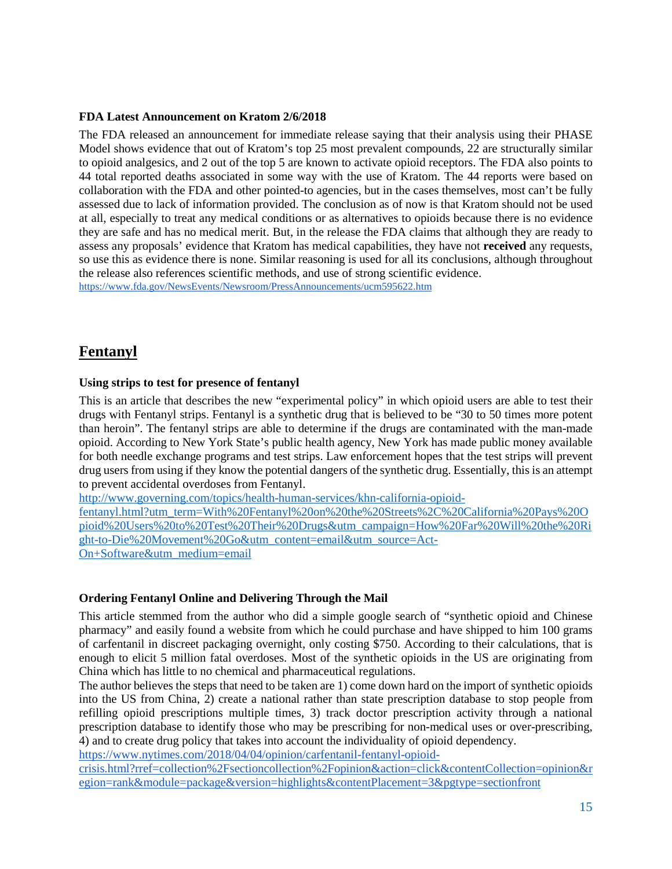#### <span id="page-14-0"></span>**FDA Latest Announcement on Kratom 2/6/2018**

The FDA released an announcement for immediate release saying that their analysis using their PHASE Model shows evidence that out of Kratom's top 25 most prevalent compounds, 22 are structurally similar to opioid analgesics, and 2 out of the top 5 are known to activate opioid receptors. The FDA also points to 44 total reported deaths associated in some way with the use of Kratom. The 44 reports were based on collaboration with the FDA and other pointed-to agencies, but in the cases themselves, most can't be fully assessed due to lack of information provided. The conclusion as of now is that Kratom should not be used at all, especially to treat any medical conditions or as alternatives to opioids because there is no evidence they are safe and has no medical merit. But, in the release the FDA claims that although they are ready to assess any proposals' evidence that Kratom has medical capabilities, they have not **received** any requests, so use this as evidence there is none. Similar reasoning is used for all its conclusions, although throughout the release also references scientific methods, and use of strong scientific evidence. <https://www.fda.gov/NewsEvents/Newsroom/PressAnnouncements/ucm595622.htm>

# <span id="page-14-1"></span>**Fentanyl**

#### <span id="page-14-2"></span>**Using strips to test for presence of fentanyl**

This is an article that describes the new "experimental policy" in which opioid users are able to test their drugs with Fentanyl strips. Fentanyl is a synthetic drug that is believed to be "30 to 50 times more potent than heroin". The fentanyl strips are able to determine if the drugs are contaminated with the man-made opioid. According to New York State's public health agency, New York has made public money available for both needle exchange programs and test strips. Law enforcement hopes that the test strips will prevent drug users from using if they know the potential dangers of the synthetic drug. Essentially, this is an attempt to prevent accidental overdoses from Fentanyl.

[http://www.governing.com/topics/health-human-services/khn-california-opioid-](http://www.governing.com/topics/health-human-services/khn-california-opioid-fentanyl.html?utm_term=With%20Fentanyl%20on%20the%20Streets%2C%20California%20Pays%20Opioid%20Users%20to%20Test%20Their%20Drugs&utm_campaign=How%20Far%20Will%20the%20Right-to-Die%20Movement%20Go&utm_content=email&utm_source=Act-On+Software&utm_medium=email)

[fentanyl.html?utm\\_term=With%20Fentanyl%20on%20the%20Streets%2C%20California%20Pays%20O](http://www.governing.com/topics/health-human-services/khn-california-opioid-fentanyl.html?utm_term=With%20Fentanyl%20on%20the%20Streets%2C%20California%20Pays%20Opioid%20Users%20to%20Test%20Their%20Drugs&utm_campaign=How%20Far%20Will%20the%20Right-to-Die%20Movement%20Go&utm_content=email&utm_source=Act-On+Software&utm_medium=email) [pioid%20Users%20to%20Test%20Their%20Drugs&utm\\_campaign=How%20Far%20Will%20the%20Ri](http://www.governing.com/topics/health-human-services/khn-california-opioid-fentanyl.html?utm_term=With%20Fentanyl%20on%20the%20Streets%2C%20California%20Pays%20Opioid%20Users%20to%20Test%20Their%20Drugs&utm_campaign=How%20Far%20Will%20the%20Right-to-Die%20Movement%20Go&utm_content=email&utm_source=Act-On+Software&utm_medium=email) [ght-to-Die%20Movement%20Go&utm\\_content=email&utm\\_source=Act-](http://www.governing.com/topics/health-human-services/khn-california-opioid-fentanyl.html?utm_term=With%20Fentanyl%20on%20the%20Streets%2C%20California%20Pays%20Opioid%20Users%20to%20Test%20Their%20Drugs&utm_campaign=How%20Far%20Will%20the%20Right-to-Die%20Movement%20Go&utm_content=email&utm_source=Act-On+Software&utm_medium=email)[On+Software&utm\\_medium=email](http://www.governing.com/topics/health-human-services/khn-california-opioid-fentanyl.html?utm_term=With%20Fentanyl%20on%20the%20Streets%2C%20California%20Pays%20Opioid%20Users%20to%20Test%20Their%20Drugs&utm_campaign=How%20Far%20Will%20the%20Right-to-Die%20Movement%20Go&utm_content=email&utm_source=Act-On+Software&utm_medium=email)

# <span id="page-14-3"></span>**Ordering Fentanyl Online and Delivering Through the Mail**

This article stemmed from the author who did a simple google search of "synthetic opioid and Chinese pharmacy" and easily found a website from which he could purchase and have shipped to him 100 grams of carfentanil in discreet packaging overnight, only costing \$750. According to their calculations, that is enough to elicit 5 million fatal overdoses. Most of the synthetic opioids in the US are originating from China which has little to no chemical and pharmaceutical regulations.

The author believes the steps that need to be taken are 1) come down hard on the import of synthetic opioids into the US from China, 2) create a national rather than state prescription database to stop people from refilling opioid prescriptions multiple times, 3) track doctor prescription activity through a national prescription database to identify those who may be prescribing for non-medical uses or over-prescribing, 4) and to create drug policy that takes into account the individuality of opioid dependency.

[https://www.nytimes.com/2018/04/04/opinion/carfentanil-fentanyl-opioid-](https://www.nytimes.com/2018/04/04/opinion/carfentanil-fentanyl-opioid-crisis.html?rref=collection%2Fsectioncollection%2Fopinion&action=click&contentCollection=opinion®ion=rank&module=package&version=highlights&contentPlacement=3&pgtype=sectionfront)

[crisis.html?rref=collection%2Fsectioncollection%2Fopinion&action=click&contentCollection=opinion&r](https://www.nytimes.com/2018/04/04/opinion/carfentanil-fentanyl-opioid-crisis.html?rref=collection%2Fsectioncollection%2Fopinion&action=click&contentCollection=opinion®ion=rank&module=package&version=highlights&contentPlacement=3&pgtype=sectionfront) [egion=rank&module=package&version=highlights&contentPlacement=3&pgtype=sectionfront](https://www.nytimes.com/2018/04/04/opinion/carfentanil-fentanyl-opioid-crisis.html?rref=collection%2Fsectioncollection%2Fopinion&action=click&contentCollection=opinion®ion=rank&module=package&version=highlights&contentPlacement=3&pgtype=sectionfront)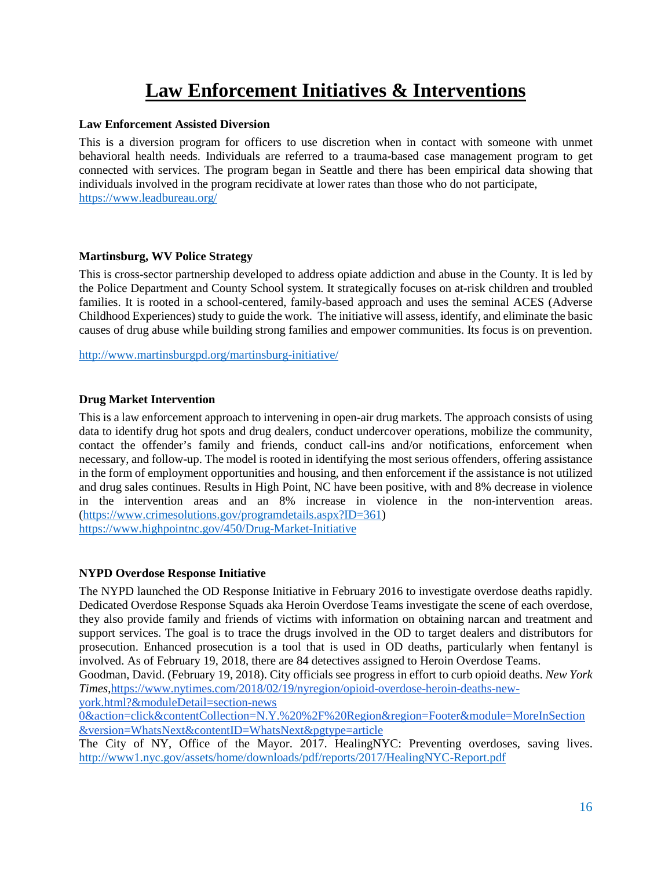# **Law Enforcement Initiatives & Interventions**

# <span id="page-15-1"></span><span id="page-15-0"></span>**Law Enforcement Assisted Diversion**

This is a diversion program for officers to use discretion when in contact with someone with unmet behavioral health needs. Individuals are referred to a trauma-based case management program to get connected with services. The program began in Seattle and there has been empirical data showing that individuals involved in the program recidivate at lower rates than those who do not participate, <https://www.leadbureau.org/>

# <span id="page-15-2"></span>**Martinsburg, WV Police Strategy**

This is cross-sector partnership developed to address opiate addiction and abuse in the County. It is led by the Police Department and County School system. It strategically focuses on at-risk children and troubled families. It is rooted in a school-centered, family-based approach and uses the seminal ACES (Adverse Childhood Experiences) study to guide the work. The initiative will assess, identify, and eliminate the basic causes of drug abuse while building strong families and empower communities. Its focus is on prevention.

<http://www.martinsburgpd.org/martinsburg-initiative/>

# <span id="page-15-3"></span>**Drug Market Intervention**

This is a law enforcement approach to intervening in open-air drug markets. The approach consists of using data to identify drug hot spots and drug dealers, conduct undercover operations, mobilize the community, contact the offender's family and friends, conduct call-ins and/or notifications, enforcement when necessary, and follow-up. The model is rooted in identifying the most serious offenders, offering assistance in the form of employment opportunities and housing, and then enforcement if the assistance is not utilized and drug sales continues. Results in High Point, NC have been positive, with and 8% decrease in violence in the intervention areas and an 8% increase in violence in the non-intervention areas. [\(https://www.crimesolutions.gov/programdetails.aspx?ID=361\)](https://www.crimesolutions.gov/programdetails.aspx?ID=361) <https://www.highpointnc.gov/450/Drug-Market-Initiative>

# <span id="page-15-4"></span>**NYPD Overdose Response Initiative**

The NYPD launched the OD Response Initiative in February 2016 to investigate overdose deaths rapidly. Dedicated Overdose Response Squads aka Heroin Overdose Teams investigate the scene of each overdose, they also provide family and friends of victims with information on obtaining narcan and treatment and support services. The goal is to trace the drugs involved in the OD to target dealers and distributors for prosecution. Enhanced prosecution is a tool that is used in OD deaths, particularly when fentanyl is involved. As of February 19, 2018, there are 84 detectives assigned to Heroin Overdose Teams.

Goodman, David. (February 19, 2018). City officials see progress in effort to curb opioid deaths. *New York Times*[,https://www.nytimes.com/2018/02/19/nyregion/opioid-overdose-heroin-deaths-new-](https://www.nytimes.com/2018/02/19/nyregion/opioid-overdose-heroin-deaths-new-york.html?&moduleDetail=section-news%200&action=click&contentCollection=N.Y.%20%2F%20Region®ion=Footer&module=MoreInSection&version=WhatsNext&contentID=WhatsNext&pgtype=article)

[york.html?&moduleDetail=section-news](https://www.nytimes.com/2018/02/19/nyregion/opioid-overdose-heroin-deaths-new-york.html?&moduleDetail=section-news%200&action=click&contentCollection=N.Y.%20%2F%20Region®ion=Footer&module=MoreInSection&version=WhatsNext&contentID=WhatsNext&pgtype=article) 

[0&action=click&contentCollection=N.Y.%20%2F%20Region&region=Footer&module=MoreInSection](https://www.nytimes.com/2018/02/19/nyregion/opioid-overdose-heroin-deaths-new-york.html?&moduleDetail=section-news%200&action=click&contentCollection=N.Y.%20%2F%20Region®ion=Footer&module=MoreInSection&version=WhatsNext&contentID=WhatsNext&pgtype=article) [&version=WhatsNext&contentID=WhatsNext&pgtype=article](https://www.nytimes.com/2018/02/19/nyregion/opioid-overdose-heroin-deaths-new-york.html?&moduleDetail=section-news%200&action=click&contentCollection=N.Y.%20%2F%20Region®ion=Footer&module=MoreInSection&version=WhatsNext&contentID=WhatsNext&pgtype=article)

The City of NY, Office of the Mayor. 2017. HealingNYC: Preventing overdoses, saving lives[.](http://www1.nyc.gov/assets/home/downloads/pdf/reports/2017/HealingNYC-Report.pdf) <http://www1.nyc.gov/assets/home/downloads/pdf/reports/2017/HealingNYC-Report.pdf>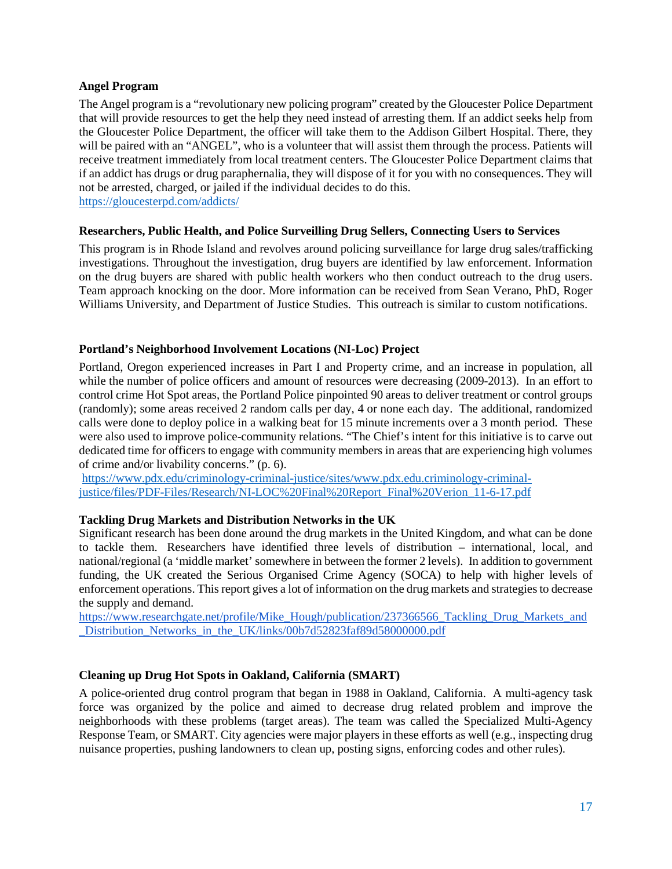# <span id="page-16-0"></span>**Angel Program**

The Angel program is a "revolutionary new policing program" created by the Gloucester Police Department that will provide resources to get the help they need instead of arresting them. If an addict seeks help from the Gloucester Police Department, the officer will take them to the Addison Gilbert Hospital. There, they will be paired with an "ANGEL", who is a volunteer that will assist them through the process. Patients will receive treatment immediately from local treatment centers. The Gloucester Police Department claims that if an addict has drugs or drug paraphernalia, they will dispose of it for you with no consequences. They will not be arrested, charged, or jailed if the individual decides to do this. <https://gloucesterpd.com/addicts/>

#### <span id="page-16-1"></span>**Researchers, Public Health, and Police Surveilling Drug Sellers, Connecting Users to Services**

This program is in Rhode Island and revolves around policing surveillance for large drug sales/trafficking investigations. Throughout the investigation, drug buyers are identified by law enforcement. Information on the drug buyers are shared with public health workers who then conduct outreach to the drug users. Team approach knocking on the door. More information can be received from Sean Verano, PhD, Roger Williams University, and Department of Justice Studies. This outreach is similar to custom notifications.

#### <span id="page-16-2"></span>**Portland's Neighborhood Involvement Locations (NI-Loc) Project**

Portland, Oregon experienced increases in Part I and Property crime, and an increase in population, all while the number of police officers and amount of resources were decreasing (2009-2013). In an effort to control crime Hot Spot areas, the Portland Police pinpointed 90 areas to deliver treatment or control groups (randomly); some areas received 2 random calls per day, 4 or none each day. The additional, randomized calls were done to deploy police in a walking beat for 15 minute increments over a 3 month period. These were also used to improve police-community relations. "The Chief's intent for this initiative is to carve out dedicated time for officers to engage with community members in areas that are experiencing high volumes of crime and/or livability concerns." (p. 6).

[https://www.pdx.edu/criminology-criminal-justice/sites/www.pdx.edu.criminology-criminal](https://www.pdx.edu/criminology-criminal-justice/sites/www.pdx.edu.criminology-criminal-justice/files/PDF-Files/Research/NI-LOC%20Final%20Report_Final%20Verion_11-6-17.pdf)[justice/files/PDF-Files/Research/NI-LOC%20Final%20Report\\_Final%20Verion\\_11-6-17.pdf](https://www.pdx.edu/criminology-criminal-justice/sites/www.pdx.edu.criminology-criminal-justice/files/PDF-Files/Research/NI-LOC%20Final%20Report_Final%20Verion_11-6-17.pdf)

#### **Tackling Drug Markets and Distribution Networks in the UK**

Significant research has been done around the drug markets in the United Kingdom, and what can be done to tackle them. Researchers have identified three levels of distribution – international, local, and national/regional (a 'middle market' somewhere in between the former 2 levels). In addition to government funding, the UK created the Serious Organised Crime Agency (SOCA) to help with higher levels of enforcement operations. This report gives a lot of information on the drug markets and strategies to decrease the supply and demand.

https://www.researchgate.net/profile/Mike Hough/publication/237366566 Tackling Drug Markets and Distribution Networks in the UK/links/00b7d52823faf89d58000000.pdf

# <span id="page-16-3"></span>**Cleaning up Drug Hot Spots in Oakland, California (SMART)**

A police-oriented drug control program that began in 1988 in Oakland, California. A multi-agency task force was organized by the police and aimed to decrease drug related problem and improve the neighborhoods with these problems (target areas). The team was called the Specialized Multi-Agency Response Team, or SMART. City agencies were major players in these efforts as well (e.g., inspecting drug nuisance properties, pushing landowners to clean up, posting signs, enforcing codes and other rules).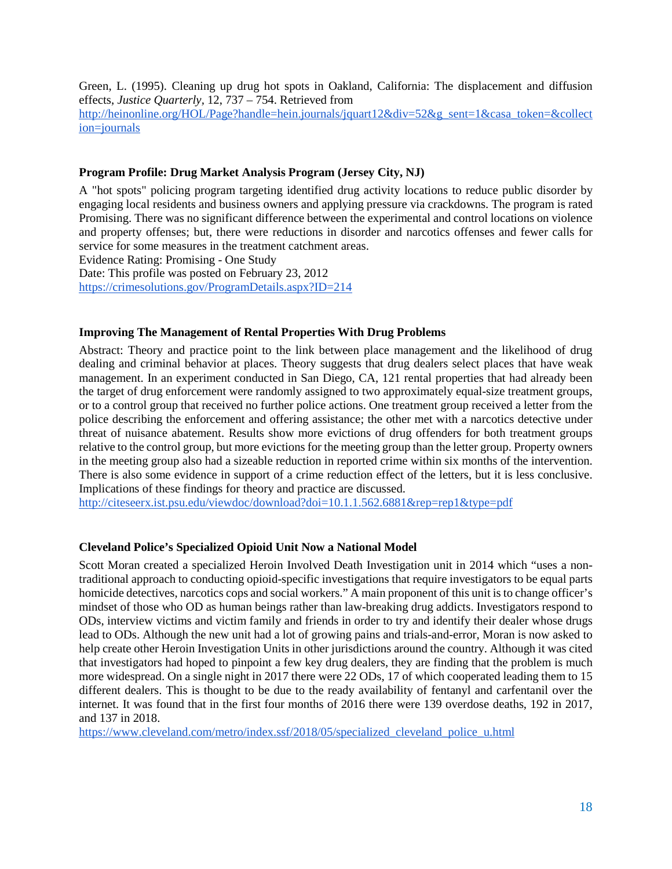Green, L. (1995). Cleaning up drug hot spots in Oakland, California: The displacement and diffusion effects, *Justice Quarterly,* 12, 737 – 754. Retrieved from [http://heinonline.org/HOL/Page?handle=hein.journals/jquart12&div=52&g\\_sent=1&casa\\_token=&collect](http://heinonline.org/HOL/Page?handle=hein.journals/jquart12&div=52&g_sent=1&casa_token=&collection=journals) [ion=journals](http://heinonline.org/HOL/Page?handle=hein.journals/jquart12&div=52&g_sent=1&casa_token=&collection=journals)

# <span id="page-17-0"></span>**Program Profile: Drug Market Analysis Program (Jersey City, NJ)**

A "hot spots" policing program targeting identified drug activity locations to reduce public disorder by engaging local residents and business owners and applying pressure via crackdowns. The program is rated Promising. There was no significant difference between the experimental and control locations on violence and property offenses; but, there were reductions in disorder and narcotics offenses and fewer calls for service for some measures in the treatment catchment areas. Evidence Rating: Promising - One Study

Date: This profile was posted on February 23, 2012

<https://crimesolutions.gov/ProgramDetails.aspx?ID=214>

# <span id="page-17-1"></span>**Improving The Management of Rental Properties With Drug Problems**

Abstract: Theory and practice point to the link between place management and the likelihood of drug dealing and criminal behavior at places. Theory suggests that drug dealers select places that have weak management. In an experiment conducted in San Diego, CA, 121 rental properties that had already been the target of drug enforcement were randomly assigned to two approximately equal-size treatment groups, or to a control group that received no further police actions. One treatment group received a letter from the police describing the enforcement and offering assistance; the other met with a narcotics detective under threat of nuisance abatement. Results show more evictions of drug offenders for both treatment groups relative to the control group, but more evictions for the meeting group than the letter group. Property owners in the meeting group also had a sizeable reduction in reported crime within six months of the intervention. There is also some evidence in support of a crime reduction effect of the letters, but it is less conclusive. Implications of these findings for theory and practice are discussed.

<http://citeseerx.ist.psu.edu/viewdoc/download?doi=10.1.1.562.6881&rep=rep1&type=pdf>

# <span id="page-17-2"></span>**Cleveland Police's Specialized Opioid Unit Now a National Model**

Scott Moran created a specialized Heroin Involved Death Investigation unit in 2014 which "uses a nontraditional approach to conducting opioid-specific investigations that require investigators to be equal parts homicide detectives, narcotics cops and social workers." A main proponent of this unit is to change officer's mindset of those who OD as human beings rather than law-breaking drug addicts. Investigators respond to ODs, interview victims and victim family and friends in order to try and identify their dealer whose drugs lead to ODs. Although the new unit had a lot of growing pains and trials-and-error, Moran is now asked to help create other Heroin Investigation Units in other jurisdictions around the country. Although it was cited that investigators had hoped to pinpoint a few key drug dealers, they are finding that the problem is much more widespread. On a single night in 2017 there were 22 ODs, 17 of which cooperated leading them to 15 different dealers. This is thought to be due to the ready availability of fentanyl and carfentanil over the internet. It was found that in the first four months of 2016 there were 139 overdose deaths, 192 in 2017, and 137 in 2018.

[https://www.cleveland.com/metro/index.ssf/2018/05/specialized\\_cleveland\\_police\\_u.html](https://www.cleveland.com/metro/index.ssf/2018/05/specialized_cleveland_police_u.html)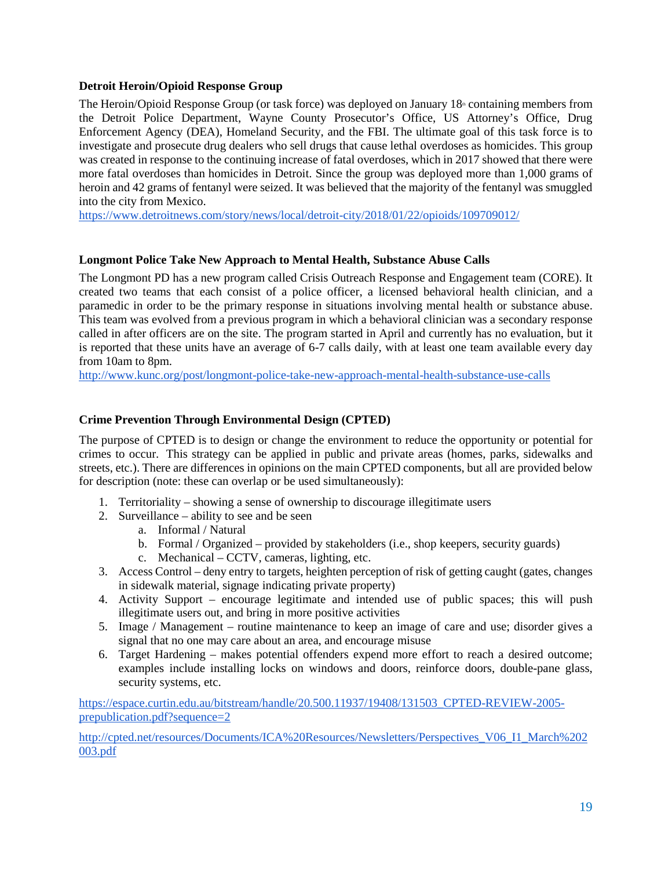# <span id="page-18-0"></span>**Detroit Heroin/Opioid Response Group**

The Heroin/Opioid Response Group (or task force) was deployed on January  $18<sup>th</sup>$  containing members from the Detroit Police Department, Wayne County Prosecutor's Office, US Attorney's Office, Drug Enforcement Agency (DEA), Homeland Security, and the FBI. The ultimate goal of this task force is to investigate and prosecute drug dealers who sell drugs that cause lethal overdoses as homicides. This group was created in response to the continuing increase of fatal overdoses, which in 2017 showed that there were more fatal overdoses than homicides in Detroit. Since the group was deployed more than 1,000 grams of heroin and 42 grams of fentanyl were seized. It was believed that the majority of the fentanyl was smuggled into the city from Mexico.

<https://www.detroitnews.com/story/news/local/detroit-city/2018/01/22/opioids/109709012/>

# <span id="page-18-1"></span>**Longmont Police Take New Approach to Mental Health, Substance Abuse Calls**

The Longmont PD has a new program called Crisis Outreach Response and Engagement team (CORE). It created two teams that each consist of a police officer, a licensed behavioral health clinician, and a paramedic in order to be the primary response in situations involving mental health or substance abuse. This team was evolved from a previous program in which a behavioral clinician was a secondary response called in after officers are on the site. The program started in April and currently has no evaluation, but it is reported that these units have an average of 6-7 calls daily, with at least one team available every day from 10am to 8pm.

<http://www.kunc.org/post/longmont-police-take-new-approach-mental-health-substance-use-calls>

# <span id="page-18-2"></span>**Crime Prevention Through Environmental Design (CPTED)**

The purpose of CPTED is to design or change the environment to reduce the opportunity or potential for crimes to occur. This strategy can be applied in public and private areas (homes, parks, sidewalks and streets, etc.). There are differences in opinions on the main CPTED components, but all are provided below for description (note: these can overlap or be used simultaneously):

- 1. Territoriality showing a sense of ownership to discourage illegitimate users
- 2. Surveillance ability to see and be seen
	- a. Informal / Natural
	- b. Formal / Organized provided by stakeholders (i.e., shop keepers, security guards)
	- c. Mechanical CCTV, cameras, lighting, etc.
- 3. Access Control deny entry to targets, heighten perception of risk of getting caught (gates, changes in sidewalk material, signage indicating private property)
- 4. Activity Support encourage legitimate and intended use of public spaces; this will push illegitimate users out, and bring in more positive activities
- 5. Image / Management routine maintenance to keep an image of care and use; disorder gives a signal that no one may care about an area, and encourage misuse
- 6. Target Hardening makes potential offenders expend more effort to reach a desired outcome; examples include installing locks on windows and doors, reinforce doors, double-pane glass, security systems, etc.

[https://espace.curtin.edu.au/bitstream/handle/20.500.11937/19408/131503\\_CPTED-REVIEW-2005](https://espace.curtin.edu.au/bitstream/handle/20.500.11937/19408/131503_CPTED-REVIEW-2005-prepublication.pdf?sequence=2) [prepublication.pdf?sequence=2](https://espace.curtin.edu.au/bitstream/handle/20.500.11937/19408/131503_CPTED-REVIEW-2005-prepublication.pdf?sequence=2)

[http://cpted.net/resources/Documents/ICA%20Resources/Newsletters/Perspectives\\_V06\\_I1\\_March%202](http://cpted.net/resources/Documents/ICA%20Resources/Newsletters/Perspectives_V06_I1_March%202003.pdf) [003.pdf](http://cpted.net/resources/Documents/ICA%20Resources/Newsletters/Perspectives_V06_I1_March%202003.pdf)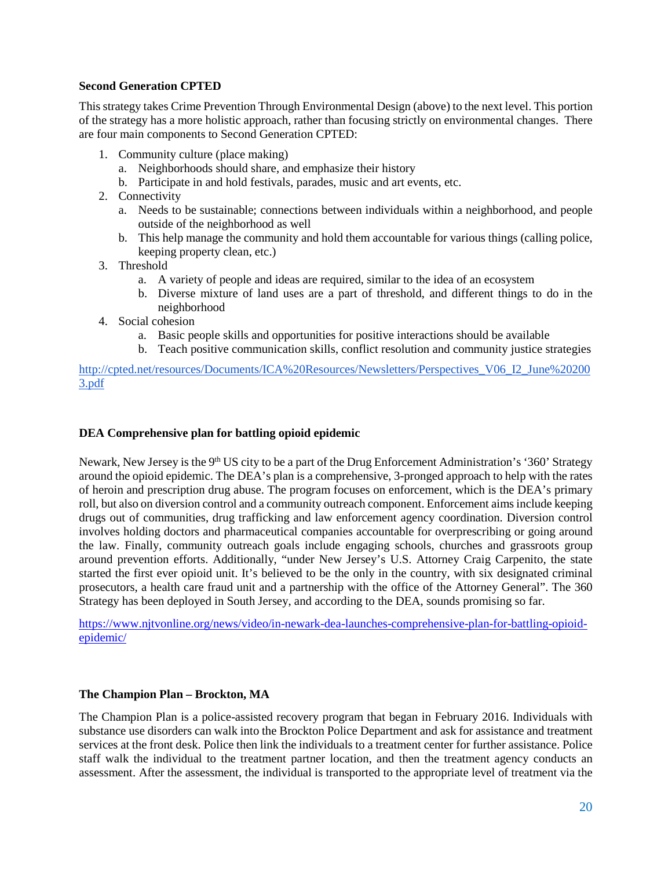# <span id="page-19-0"></span>**Second Generation CPTED**

This strategy takes Crime Prevention Through Environmental Design (above) to the next level. This portion of the strategy has a more holistic approach, rather than focusing strictly on environmental changes. There are four main components to Second Generation CPTED:

- 1. Community culture (place making)
	- a. Neighborhoods should share, and emphasize their history
	- b. Participate in and hold festivals, parades, music and art events, etc.
- 2. Connectivity
	- a. Needs to be sustainable; connections between individuals within a neighborhood, and people outside of the neighborhood as well
	- b. This help manage the community and hold them accountable for various things (calling police, keeping property clean, etc.)
- 3. Threshold
	- a. A variety of people and ideas are required, similar to the idea of an ecosystem
	- b. Diverse mixture of land uses are a part of threshold, and different things to do in the neighborhood
- 4. Social cohesion
	- a. Basic people skills and opportunities for positive interactions should be available
	- b. Teach positive communication skills, conflict resolution and community justice strategies

[http://cpted.net/resources/Documents/ICA%20Resources/Newsletters/Perspectives\\_V06\\_I2\\_June%20200](http://cpted.net/resources/Documents/ICA%20Resources/Newsletters/Perspectives_V06_I2_June%202003.pdf) [3.pdf](http://cpted.net/resources/Documents/ICA%20Resources/Newsletters/Perspectives_V06_I2_June%202003.pdf)

#### <span id="page-19-1"></span>**DEA Comprehensive plan for battling opioid epidemic**

Newark, New Jersey is the 9<sup>th</sup> US city to be a part of the Drug Enforcement Administration's '360' Strategy around the opioid epidemic. The DEA's plan is a comprehensive, 3-pronged approach to help with the rates of heroin and prescription drug abuse. The program focuses on enforcement, which is the DEA's primary roll, but also on diversion control and a community outreach component. Enforcement aims include keeping drugs out of communities, drug trafficking and law enforcement agency coordination. Diversion control involves holding doctors and pharmaceutical companies accountable for overprescribing or going around the law. Finally, community outreach goals include engaging schools, churches and grassroots group around prevention efforts. Additionally, "under New Jersey's U.S. Attorney Craig Carpenito, the state started the first ever opioid unit. It's believed to be the only in the country, with six designated criminal prosecutors, a health care fraud unit and a partnership with the office of the Attorney General". The 360 Strategy has been deployed in South Jersey, and according to the DEA, sounds promising so far.

[https://www.njtvonline.org/news/video/in-newark-dea-launches-comprehensive-plan-for-battling-opioid](https://www.njtvonline.org/news/video/in-newark-dea-launches-comprehensive-plan-for-battling-opioid-epidemic/)[epidemic/](https://www.njtvonline.org/news/video/in-newark-dea-launches-comprehensive-plan-for-battling-opioid-epidemic/)

# <span id="page-19-2"></span>**The Champion Plan – Brockton, MA**

The Champion Plan is a police-assisted recovery program that began in February 2016. Individuals with substance use disorders can walk into the Brockton Police Department and ask for assistance and treatment services at the front desk. Police then link the individuals to a treatment center for further assistance. Police staff walk the individual to the treatment partner location, and then the treatment agency conducts an assessment. After the assessment, the individual is transported to the appropriate level of treatment via the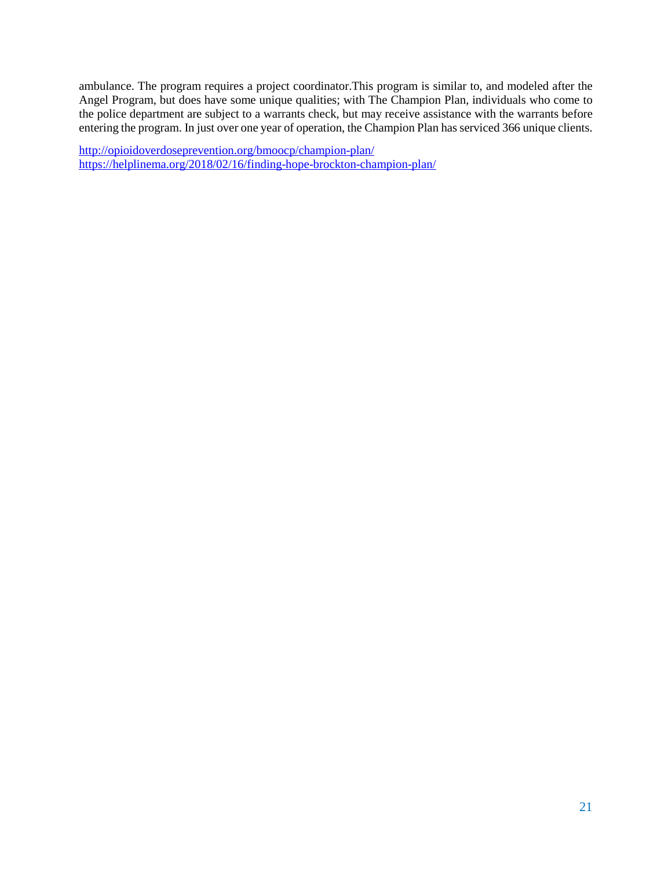ambulance. The program requires a project coordinator.This program is similar to, and modeled after the Angel Program, but does have some unique qualities; with The Champion Plan, individuals who come to the police department are subject to a warrants check, but may receive assistance with the warrants before entering the program. In just over one year of operation, the Champion Plan has serviced 366 unique clients.

<http://opioidoverdoseprevention.org/bmoocp/champion-plan/> <https://helplinema.org/2018/02/16/finding-hope-brockton-champion-plan/>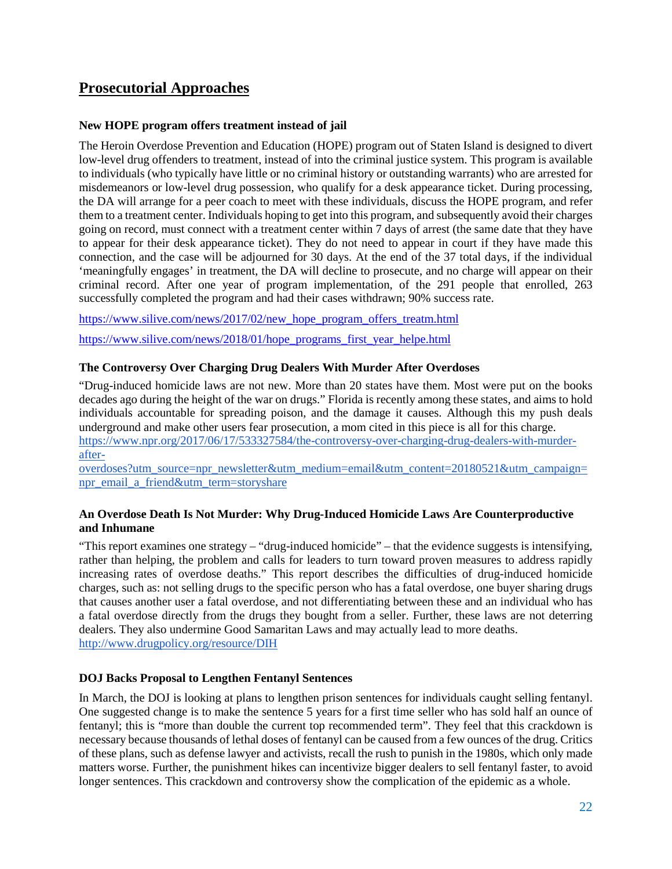# <span id="page-21-0"></span>**Prosecutorial Approaches**

# <span id="page-21-1"></span>**New HOPE program offers treatment instead of jail**

The Heroin Overdose Prevention and Education (HOPE) program out of Staten Island is designed to divert low-level drug offenders to treatment, instead of into the criminal justice system. This program is available to individuals (who typically have little or no criminal history or outstanding warrants) who are arrested for misdemeanors or low-level drug possession, who qualify for a desk appearance ticket. During processing, the DA will arrange for a peer coach to meet with these individuals, discuss the HOPE program, and refer them to a treatment center. Individuals hoping to get into this program, and subsequently avoid their charges going on record, must connect with a treatment center within 7 days of arrest (the same date that they have to appear for their desk appearance ticket). They do not need to appear in court if they have made this connection, and the case will be adjourned for 30 days. At the end of the 37 total days, if the individual 'meaningfully engages' in treatment, the DA will decline to prosecute, and no charge will appear on their criminal record. After one year of program implementation, of the 291 people that enrolled, 263 successfully completed the program and had their cases withdrawn; 90% success rate.

[https://www.silive.com/news/2017/02/new\\_hope\\_program\\_offers\\_treatm.html](https://www.silive.com/news/2017/02/new_hope_program_offers_treatm.html)

[https://www.silive.com/news/2018/01/hope\\_programs\\_first\\_year\\_helpe.html](https://www.silive.com/news/2018/01/hope_programs_first_year_helpe.html)

# <span id="page-21-2"></span>**The Controversy Over Charging Drug Dealers With Murder After Overdoses**

"Drug-induced homicide laws are not new. More than 20 states have them. Most were put on the books decades ago during the height of the war on drugs." Florida is recently among these states, and aims to hold individuals accountable for spreading poison, and the damage it causes. Although this my push deals underground and make other users fear prosecution, a mom cited in this piece is all for this charge. [https://www.npr.org/2017/06/17/533327584/the-controversy-over-charging-drug-dealers-with-murder](https://www.npr.org/2017/06/17/533327584/the-controversy-over-charging-drug-dealers-with-murder-after-overdoses?utm_source=npr_newsletter&utm_medium=email&utm_content=20180521&utm_campaign=npr_email_a_friend&utm_term=storyshare)[after-](https://www.npr.org/2017/06/17/533327584/the-controversy-over-charging-drug-dealers-with-murder-after-overdoses?utm_source=npr_newsletter&utm_medium=email&utm_content=20180521&utm_campaign=npr_email_a_friend&utm_term=storyshare)

[overdoses?utm\\_source=npr\\_newsletter&utm\\_medium=email&utm\\_content=20180521&utm\\_campaign=](https://www.npr.org/2017/06/17/533327584/the-controversy-over-charging-drug-dealers-with-murder-after-overdoses?utm_source=npr_newsletter&utm_medium=email&utm_content=20180521&utm_campaign=npr_email_a_friend&utm_term=storyshare) [npr\\_email\\_a\\_friend&utm\\_term=storyshare](https://www.npr.org/2017/06/17/533327584/the-controversy-over-charging-drug-dealers-with-murder-after-overdoses?utm_source=npr_newsletter&utm_medium=email&utm_content=20180521&utm_campaign=npr_email_a_friend&utm_term=storyshare)

# <span id="page-21-3"></span>**An Overdose Death Is Not Murder: Why Drug-Induced Homicide Laws Are Counterproductive and Inhumane**

"This report examines one strategy – "drug-induced homicide" – that the evidence suggests is intensifying, rather than helping, the problem and calls for leaders to turn toward proven measures to address rapidly increasing rates of overdose deaths." This report describes the difficulties of drug-induced homicide charges, such as: not selling drugs to the specific person who has a fatal overdose, one buyer sharing drugs that causes another user a fatal overdose, and not differentiating between these and an individual who has a fatal overdose directly from the drugs they bought from a seller. Further, these laws are not deterring dealers. They also undermine Good Samaritan Laws and may actually lead to more deaths. <http://www.drugpolicy.org/resource/DIH>

# <span id="page-21-4"></span>**DOJ Backs Proposal to Lengthen Fentanyl Sentences**

In March, the DOJ is looking at plans to lengthen prison sentences for individuals caught selling fentanyl. One suggested change is to make the sentence 5 years for a first time seller who has sold half an ounce of fentanyl; this is "more than double the current top recommended term". They feel that this crackdown is necessary because thousands of lethal doses of fentanyl can be caused from a few ounces of the drug. Critics of these plans, such as defense lawyer and activists, recall the rush to punish in the 1980s, which only made matters worse. Further, the punishment hikes can incentivize bigger dealers to sell fentanyl faster, to avoid longer sentences. This crackdown and controversy show the complication of the epidemic as a whole.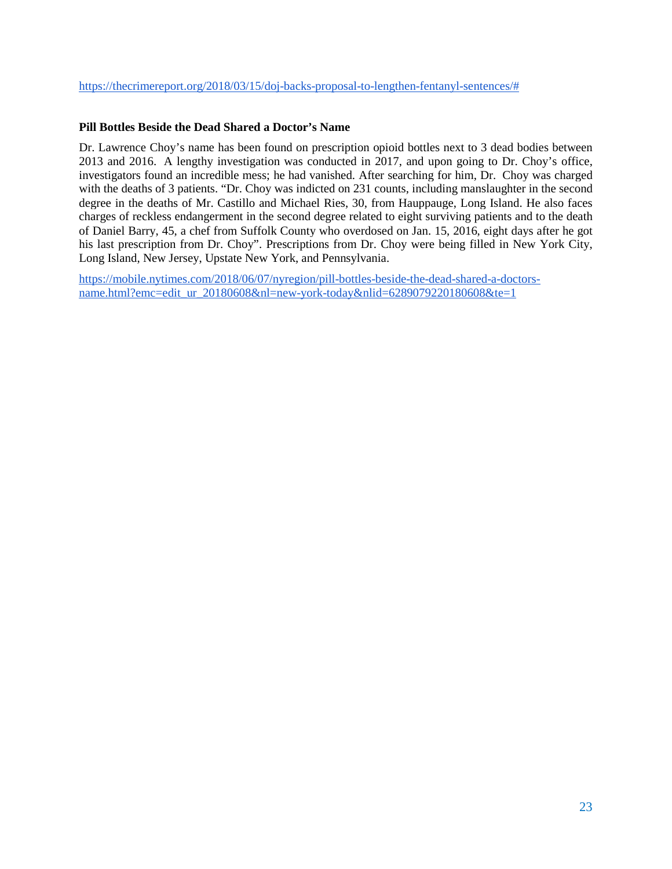# <span id="page-22-0"></span>**Pill Bottles Beside the Dead Shared a Doctor's Name**

Dr. Lawrence Choy's name has been found on prescription opioid bottles next to 3 dead bodies between 2013 and 2016. A lengthy investigation was conducted in 2017, and upon going to Dr. Choy's office, investigators found an incredible mess; he had vanished. After searching for him, Dr. Choy was charged with the deaths of 3 patients. "Dr. Choy was indicted on 231 counts, including manslaughter in the second degree in the deaths of Mr. Castillo and Michael Ries, 30, from Hauppauge, Long Island. He also faces charges of reckless endangerment in the second degree related to eight surviving patients and to the death of Daniel Barry, 45, a chef from Suffolk County who overdosed on Jan. 15, 2016, eight days after he got his last prescription from Dr. Choy". Prescriptions from Dr. Choy were being filled in New York City, Long Island, New Jersey, Upstate New York, and Pennsylvania.

[https://mobile.nytimes.com/2018/06/07/nyregion/pill-bottles-beside-the-dead-shared-a-doctors](https://mobile.nytimes.com/2018/06/07/nyregion/pill-bottles-beside-the-dead-shared-a-doctors-name.html?emc=edit_ur_20180608&nl=new-york-today&nlid=6289079220180608&te=1)[name.html?emc=edit\\_ur\\_20180608&nl=new-york-today&nlid=6289079220180608&te=1](https://mobile.nytimes.com/2018/06/07/nyregion/pill-bottles-beside-the-dead-shared-a-doctors-name.html?emc=edit_ur_20180608&nl=new-york-today&nlid=6289079220180608&te=1)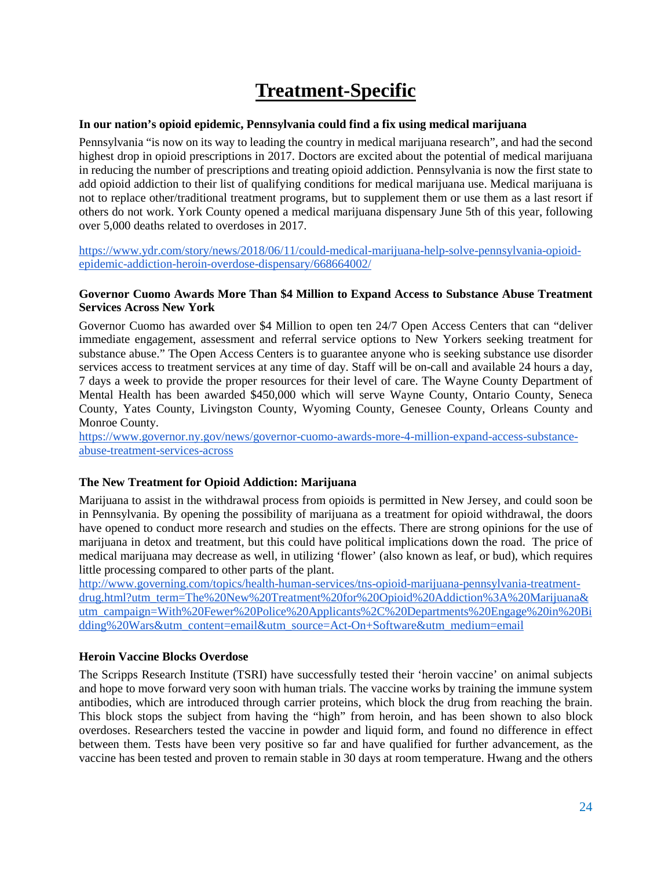# **Treatment-Specific**

# <span id="page-23-1"></span><span id="page-23-0"></span>**In our nation's opioid epidemic, Pennsylvania could find a fix using medical marijuana**

Pennsylvania "is now on its way to leading the country in medical marijuana research", and had the second highest drop in opioid prescriptions in 2017. Doctors are excited about the potential of medical marijuana in reducing the number of prescriptions and treating opioid addiction. Pennsylvania is now the first state to add opioid addiction to their list of qualifying conditions for medical marijuana use. Medical marijuana is not to replace other/traditional treatment programs, but to supplement them or use them as a last resort if others do not work. York County opened a medical marijuana dispensary June 5th of this year, following over 5,000 deaths related to overdoses in 2017.

[https://www.ydr.com/story/news/2018/06/11/could-medical-marijuana-help-solve-pennsylvania-opioid](https://www.ydr.com/story/news/2018/06/11/could-medical-marijuana-help-solve-pennsylvania-opioid-epidemic-addiction-heroin-overdose-dispensary/668664002/)[epidemic-addiction-heroin-overdose-dispensary/668664002/](https://www.ydr.com/story/news/2018/06/11/could-medical-marijuana-help-solve-pennsylvania-opioid-epidemic-addiction-heroin-overdose-dispensary/668664002/)

# <span id="page-23-2"></span>**Governor Cuomo Awards More Than \$4 Million to Expand Access to Substance Abuse Treatment Services Across New York**

Governor Cuomo has awarded over \$4 Million to open ten 24/7 Open Access Centers that can "deliver immediate engagement, assessment and referral service options to New Yorkers seeking treatment for substance abuse." The Open Access Centers is to guarantee anyone who is seeking substance use disorder services access to treatment services at any time of day. Staff will be on-call and available 24 hours a day, 7 days a week to provide the proper resources for their level of care. The Wayne County Department of Mental Health has been awarded \$450,000 which will serve Wayne County, Ontario County, Seneca County, Yates County, Livingston County, Wyoming County, Genesee County, Orleans County and Monroe County.

[https://www.governor.ny.gov/news/governor-cuomo-awards-more-4-million-expand-access-substance](https://www.governor.ny.gov/news/governor-cuomo-awards-more-4-million-expand-access-substance-abuse-treatment-services-across)[abuse-treatment-services-across](https://www.governor.ny.gov/news/governor-cuomo-awards-more-4-million-expand-access-substance-abuse-treatment-services-across)

# <span id="page-23-3"></span>**The New Treatment for Opioid Addiction: Marijuana**

Marijuana to assist in the withdrawal process from opioids is permitted in New Jersey, and could soon be in Pennsylvania. By opening the possibility of marijuana as a treatment for opioid withdrawal, the doors have opened to conduct more research and studies on the effects. There are strong opinions for the use of marijuana in detox and treatment, but this could have political implications down the road. The price of medical marijuana may decrease as well, in utilizing 'flower' (also known as leaf, or bud), which requires little processing compared to other parts of the plant.

[http://www.governing.com/topics/health-human-services/tns-opioid-marijuana-pennsylvania-treatment](http://www.governing.com/topics/health-human-services/tns-opioid-marijuana-pennsylvania-treatment-drug.html?utm_term=The%20New%20Treatment%20for%20Opioid%20Addiction%3A%20Marijuana&utm_campaign=With%20Fewer%20Police%20Applicants%2C%20Departments%20Engage%20in%20Bidding%20Wars&utm_content=email&utm_source=Act-On+Software&utm_medium=email)[drug.html?utm\\_term=The%20New%20Treatment%20for%20Opioid%20Addiction%3A%20Marijuana&](http://www.governing.com/topics/health-human-services/tns-opioid-marijuana-pennsylvania-treatment-drug.html?utm_term=The%20New%20Treatment%20for%20Opioid%20Addiction%3A%20Marijuana&utm_campaign=With%20Fewer%20Police%20Applicants%2C%20Departments%20Engage%20in%20Bidding%20Wars&utm_content=email&utm_source=Act-On+Software&utm_medium=email) [utm\\_campaign=With%20Fewer%20Police%20Applicants%2C%20Departments%20Engage%20in%20Bi](http://www.governing.com/topics/health-human-services/tns-opioid-marijuana-pennsylvania-treatment-drug.html?utm_term=The%20New%20Treatment%20for%20Opioid%20Addiction%3A%20Marijuana&utm_campaign=With%20Fewer%20Police%20Applicants%2C%20Departments%20Engage%20in%20Bidding%20Wars&utm_content=email&utm_source=Act-On+Software&utm_medium=email) [dding%20Wars&utm\\_content=email&utm\\_source=Act-On+Software&utm\\_medium=email](http://www.governing.com/topics/health-human-services/tns-opioid-marijuana-pennsylvania-treatment-drug.html?utm_term=The%20New%20Treatment%20for%20Opioid%20Addiction%3A%20Marijuana&utm_campaign=With%20Fewer%20Police%20Applicants%2C%20Departments%20Engage%20in%20Bidding%20Wars&utm_content=email&utm_source=Act-On+Software&utm_medium=email)

#### <span id="page-23-4"></span>**Heroin Vaccine Blocks Overdose**

The Scripps Research Institute (TSRI) have successfully tested their 'heroin vaccine' on animal subjects and hope to move forward very soon with human trials. The vaccine works by training the immune system antibodies, which are introduced through carrier proteins, which block the drug from reaching the brain. This block stops the subject from having the "high" from heroin, and has been shown to also block overdoses. Researchers tested the vaccine in powder and liquid form, and found no difference in effect between them. Tests have been very positive so far and have qualified for further advancement, as the vaccine has been tested and proven to remain stable in 30 days at room temperature. Hwang and the others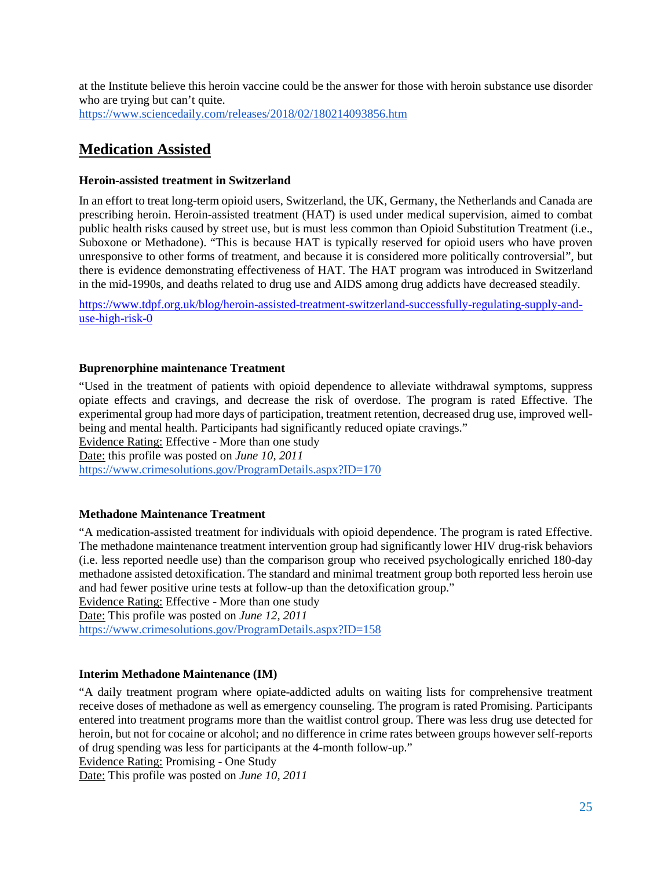at the Institute believe this heroin vaccine could be the answer for those with heroin substance use disorder who are trying but can't quite. <https://www.sciencedaily.com/releases/2018/02/180214093856.htm>

# <span id="page-24-0"></span>**Medication Assisted**

# <span id="page-24-1"></span>**Heroin-assisted treatment in Switzerland**

In an effort to treat long-term opioid users, Switzerland, the UK, Germany, the Netherlands and Canada are prescribing heroin. Heroin-assisted treatment (HAT) is used under medical supervision, aimed to combat public health risks caused by street use, but is must less common than Opioid Substitution Treatment (i.e., Suboxone or Methadone). "This is because HAT is typically reserved for opioid users who have proven unresponsive to other forms of treatment, and because it is considered more politically controversial", but there is evidence demonstrating effectiveness of HAT. The HAT program was introduced in Switzerland in the mid-1990s, and deaths related to drug use and AIDS among drug addicts have decreased steadily.

[https://www.tdpf.org.uk/blog/heroin-assisted-treatment-switzerland-successfully-regulating-supply-and](https://www.tdpf.org.uk/blog/heroin-assisted-treatment-switzerland-successfully-regulating-supply-and-use-high-risk-0)[use-high-risk-0](https://www.tdpf.org.uk/blog/heroin-assisted-treatment-switzerland-successfully-regulating-supply-and-use-high-risk-0)

# <span id="page-24-2"></span>**Buprenorphine maintenance Treatment**

"Used in the treatment of patients with opioid dependence to alleviate withdrawal symptoms, suppress opiate effects and cravings, and decrease the risk of overdose. The program is rated Effective. The experimental group had more days of participation, treatment retention, decreased drug use, improved wellbeing and mental health. Participants had significantly reduced opiate cravings."

Evidence Rating: Effective - More than one study Date: this profile was posted on *June 10, 2011* <https://www.crimesolutions.gov/ProgramDetails.aspx?ID=170>

# <span id="page-24-3"></span>**Methadone Maintenance Treatment**

"A medication-assisted treatment for individuals with opioid dependence. The program is rated Effective. The methadone maintenance treatment intervention group had significantly lower HIV drug-risk behaviors (i.e. less reported needle use) than the comparison group who received psychologically enriched 180-day methadone assisted detoxification. The standard and minimal treatment group both reported less heroin use and had fewer positive urine tests at follow-up than the detoxification group."

Evidence Rating: Effective - More than one study Date: This profile was posted on *June 12, 2011*

<https://www.crimesolutions.gov/ProgramDetails.aspx?ID=158>

# <span id="page-24-4"></span>**Interim Methadone Maintenance (IM)**

"A daily treatment program where opiate-addicted adults on waiting lists for comprehensive treatment receive doses of methadone as well as emergency counseling. The program is rated Promising. Participants entered into treatment programs more than the waitlist control group. There was less drug use detected for heroin, but not for cocaine or alcohol; and no difference in crime rates between groups however self-reports of drug spending was less for participants at the 4-month follow-up."

Evidence Rating: Promising - One Study

Date: This profile was posted on *June 10, 2011*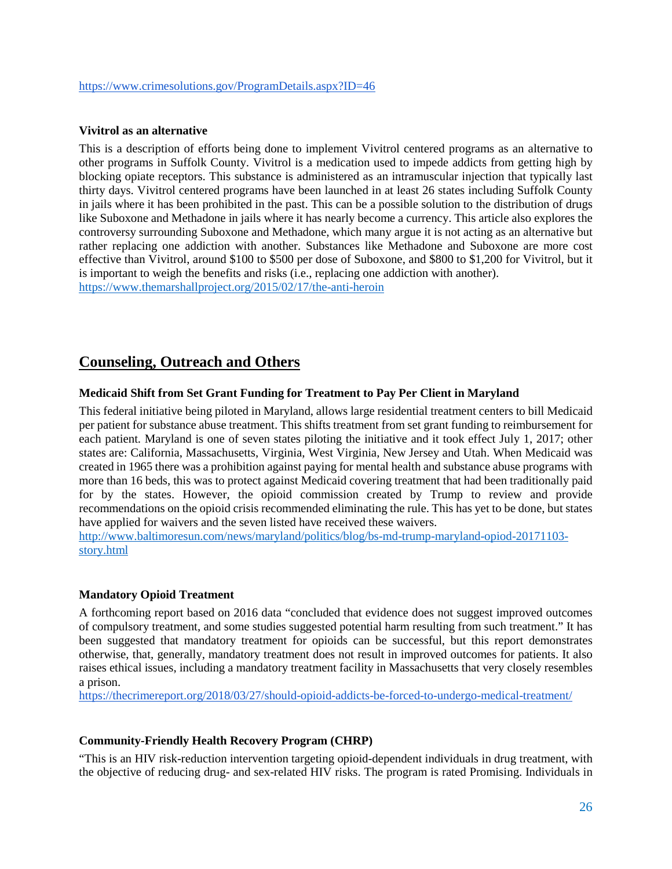#### <span id="page-25-0"></span>**Vivitrol as an alternative**

This is a description of efforts being done to implement Vivitrol centered programs as an alternative to other programs in Suffolk County. Vivitrol is a medication used to impede addicts from getting high by blocking opiate receptors. This substance is administered as an intramuscular injection that typically last thirty days. Vivitrol centered programs have been launched in at least 26 states including Suffolk County in jails where it has been prohibited in the past. This can be a possible solution to the distribution of drugs like Suboxone and Methadone in jails where it has nearly become a currency. This article also explores the controversy surrounding Suboxone and Methadone, which many argue it is not acting as an alternative but rather replacing one addiction with another. Substances like Methadone and Suboxone are more cost effective than Vivitrol, around \$100 to \$500 per dose of Suboxone, and \$800 to \$1,200 for Vivitrol, but it is important to weigh the benefits and risks (i.e., replacing one addiction with another). <https://www.themarshallproject.org/2015/02/17/the-anti-heroin>

# <span id="page-25-1"></span>**Counseling, Outreach and Others**

#### <span id="page-25-2"></span>**Medicaid Shift from Set Grant Funding for Treatment to Pay Per Client in Maryland**

This federal initiative being piloted in Maryland, allows large residential treatment centers to bill Medicaid per patient for substance abuse treatment. This shifts treatment from set grant funding to reimbursement for each patient. Maryland is one of seven states piloting the initiative and it took effect July 1, 2017; other states are: California, Massachusetts, Virginia, West Virginia, New Jersey and Utah. When Medicaid was created in 1965 there was a prohibition against paying for mental health and substance abuse programs with more than 16 beds, this was to protect against Medicaid covering treatment that had been traditionally paid for by the states. However, the opioid commission created by Trump to review and provide recommendations on the opioid crisis recommended eliminating the rule. This has yet to be done, but states have applied for waivers and the seven listed have received these waivers.

[http://www.baltimoresun.com/news/maryland/politics/blog/bs-md-trump-maryland-opiod-20171103](http://www.baltimoresun.com/news/maryland/politics/blog/bs-md-trump-maryland-opiod-20171103-story.html) [story.html](http://www.baltimoresun.com/news/maryland/politics/blog/bs-md-trump-maryland-opiod-20171103-story.html)

# <span id="page-25-3"></span>**Mandatory Opioid Treatment**

A forthcoming report based on 2016 data "concluded that evidence does not suggest improved outcomes of compulsory treatment, and some studies suggested potential harm resulting from such treatment." It has been suggested that mandatory treatment for opioids can be successful, but this report demonstrates otherwise, that, generally, mandatory treatment does not result in improved outcomes for patients. It also raises ethical issues, including a mandatory treatment facility in Massachusetts that very closely resembles a prison.

<https://thecrimereport.org/2018/03/27/should-opioid-addicts-be-forced-to-undergo-medical-treatment/>

#### <span id="page-25-4"></span>**Community-Friendly Health Recovery Program (CHRP)**

"This is an HIV risk-reduction intervention targeting opioid-dependent individuals in drug treatment, with the objective of reducing drug- and sex-related HIV risks. The program is rated Promising. Individuals in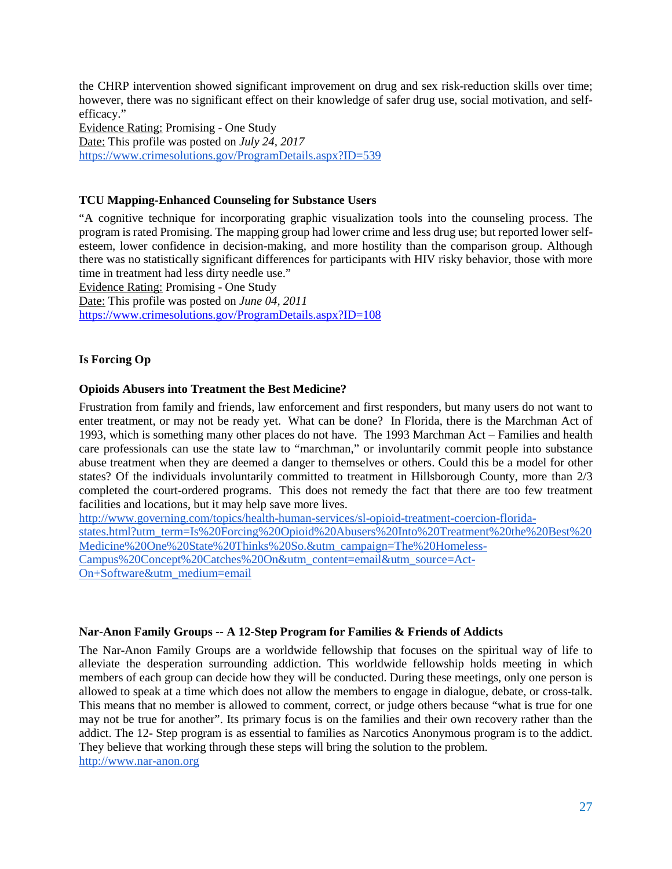the CHRP intervention showed significant improvement on drug and sex risk-reduction skills over time; however, there was no significant effect on their knowledge of safer drug use, social motivation, and selfefficacy."

Evidence Rating: Promising - One Study Date: This profile was posted on *July 24, 2017* <https://www.crimesolutions.gov/ProgramDetails.aspx?ID=539>

# <span id="page-26-0"></span>**TCU Mapping-Enhanced Counseling for Substance Users**

"A cognitive technique for incorporating graphic visualization tools into the counseling process. The program is rated Promising. The mapping group had lower crime and less drug use; but reported lower selfesteem, lower confidence in decision-making, and more hostility than the comparison group. Although there was no statistically significant differences for participants with HIV risky behavior, those with more time in treatment had less dirty needle use."

Evidence Rating: Promising - One Study

Date: This profile was posted on *June 04, 2011* <https://www.crimesolutions.gov/ProgramDetails.aspx?ID=108>

# <span id="page-26-1"></span>**Is Forcing Op**

# <span id="page-26-2"></span>**Opioids Abusers into Treatment the Best Medicine?**

Frustration from family and friends, law enforcement and first responders, but many users do not want to enter treatment, or may not be ready yet. What can be done? In Florida, there is the Marchman Act of 1993, which is something many other places do not have. The 1993 Marchman Act – Families and health care professionals can use the state law to "marchman," or involuntarily commit people into substance abuse treatment when they are deemed a danger to themselves or others. Could this be a model for other states? Of the individuals involuntarily committed to treatment in Hillsborough County, more than 2/3 completed the court-ordered programs. This does not remedy the fact that there are too few treatment facilities and locations, but it may help save more lives.

[http://www.governing.com/topics/health-human-services/sl-opioid-treatment-coercion-florida-](http://www.governing.com/topics/health-human-services/sl-opioid-treatment-coercion-florida-states.html?utm_term=Is%20Forcing%20Opioid%20Abusers%20Into%20Treatment%20the%20Best%20Medicine%20One%20State%20Thinks%20So.&utm_campaign=The%20Homeless-Campus%20Concept%20Catches%20On&utm_content=email&utm_source=Act-On+Software&utm_medium=email)

[states.html?utm\\_term=Is%20Forcing%20Opioid%20Abusers%20Into%20Treatment%20the%20Best%20](http://www.governing.com/topics/health-human-services/sl-opioid-treatment-coercion-florida-states.html?utm_term=Is%20Forcing%20Opioid%20Abusers%20Into%20Treatment%20the%20Best%20Medicine%20One%20State%20Thinks%20So.&utm_campaign=The%20Homeless-Campus%20Concept%20Catches%20On&utm_content=email&utm_source=Act-On+Software&utm_medium=email) [Medicine%20One%20State%20Thinks%20So.&utm\\_campaign=The%20Homeless-](http://www.governing.com/topics/health-human-services/sl-opioid-treatment-coercion-florida-states.html?utm_term=Is%20Forcing%20Opioid%20Abusers%20Into%20Treatment%20the%20Best%20Medicine%20One%20State%20Thinks%20So.&utm_campaign=The%20Homeless-Campus%20Concept%20Catches%20On&utm_content=email&utm_source=Act-On+Software&utm_medium=email)

[Campus%20Concept%20Catches%20On&utm\\_content=email&utm\\_source=Act-](http://www.governing.com/topics/health-human-services/sl-opioid-treatment-coercion-florida-states.html?utm_term=Is%20Forcing%20Opioid%20Abusers%20Into%20Treatment%20the%20Best%20Medicine%20One%20State%20Thinks%20So.&utm_campaign=The%20Homeless-Campus%20Concept%20Catches%20On&utm_content=email&utm_source=Act-On+Software&utm_medium=email)[On+Software&utm\\_medium=email](http://www.governing.com/topics/health-human-services/sl-opioid-treatment-coercion-florida-states.html?utm_term=Is%20Forcing%20Opioid%20Abusers%20Into%20Treatment%20the%20Best%20Medicine%20One%20State%20Thinks%20So.&utm_campaign=The%20Homeless-Campus%20Concept%20Catches%20On&utm_content=email&utm_source=Act-On+Software&utm_medium=email)

# <span id="page-26-3"></span>**Nar-Anon Family Groups -- A 12-Step Program for Families & Friends of Addicts**

The Nar-Anon Family Groups are a worldwide fellowship that focuses on the spiritual way of life to alleviate the desperation surrounding addiction. This worldwide fellowship holds meeting in which members of each group can decide how they will be conducted. During these meetings, only one person is allowed to speak at a time which does not allow the members to engage in dialogue, debate, or cross-talk. This means that no member is allowed to comment, correct, or judge others because "what is true for one may not be true for another". Its primary focus is on the families and their own recovery rather than the addict. The 12- Step program is as essential to families as Narcotics Anonymous program is to the addict. They believe that working through these steps will bring the solution to the problem.

[http://www.nar-anon.org](http://www.nar-anon.org/%EF%BF%BDHYPERLINK%20%22http:/www.nar-anon.org/%22)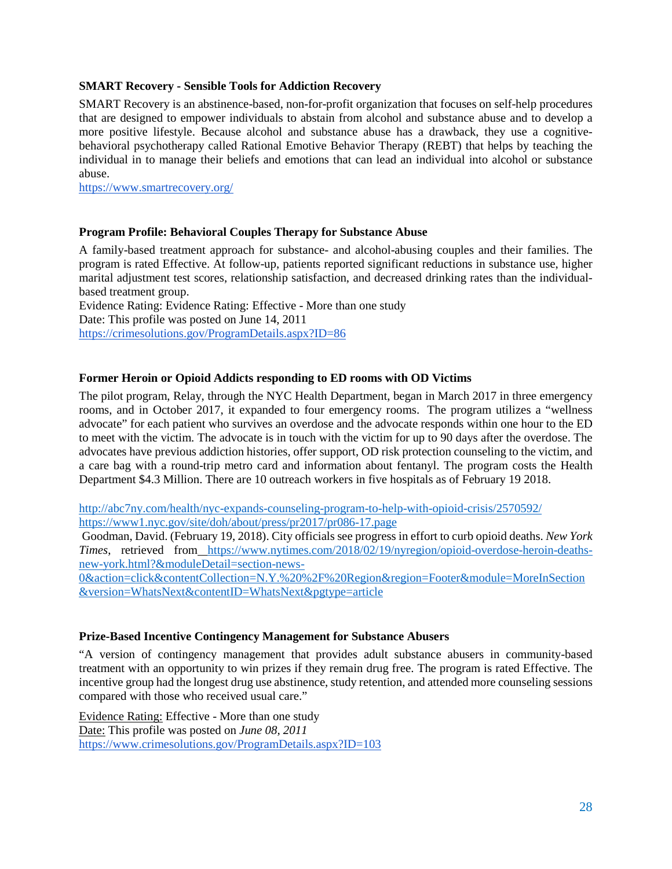#### <span id="page-27-0"></span>**SMART Recovery - Sensible Tools for Addiction Recovery**

SMART Recovery is an abstinence-based, non-for-profit organization that focuses on self-help procedures that are designed to empower individuals to abstain from alcohol and substance abuse and to develop a more positive lifestyle. Because alcohol and substance abuse has a drawback, they use a cognitivebehavioral psychotherapy called Rational Emotive Behavior Therapy (REBT) that helps by teaching the individual in to manage their beliefs and emotions that can lead an individual into alcohol or substance abuse.

<https://www.smartrecovery.org/>

#### <span id="page-27-1"></span>**Program Profile: Behavioral Couples Therapy for Substance Abuse**

A family-based treatment approach for substance- and alcohol-abusing couples and their families. The program is rated Effective. At follow-up, patients reported significant reductions in substance use, higher marital adjustment test scores, relationship satisfaction, and decreased drinking rates than the individualbased treatment group.

Evidence Rating: Evidence Rating: Effective - More than one study Date: This profile was posted on June 14, 2011 <https://crimesolutions.gov/ProgramDetails.aspx?ID=86>

#### <span id="page-27-2"></span>**Former Heroin or Opioid Addicts responding to ED rooms with OD Victims**

The pilot program, Relay, through the NYC Health Department, began in March 2017 in three emergency rooms, and in October 2017, it expanded to four emergency rooms. The program utilizes a "wellness advocate" for each patient who survives an overdose and the advocate responds within one hour to the ED to meet with the victim. The advocate is in touch with the victim for up to 90 days after the overdose. The advocates have previous addiction histories, offer support, OD risk protection counseling to the victim, and a care bag with a round-trip metro card and information about fentanyl. The program costs the Health Department \$4.3 Million. There are 10 outreach workers in five hospitals as of February 19 2018.

<http://abc7ny.com/health/nyc-expands-counseling-program-to-help-with-opioid-crisis/2570592/> <https://www1.nyc.gov/site/doh/about/press/pr2017/pr086-17.page>

Goodman, David. (February 19, 2018). City officials see progress in effort to curb opioid deaths. *New York Times*, retrieved from [https://www.nytimes.com/2018/02/19/nyregion/opioid-overdose-heroin-deaths](https://www.nytimes.com/2018/02/19/nyregion/opioid-overdose-heroin-deaths-new-york.html?&moduleDetail=section-news-0&action=click&contentCollection=N.Y.%20%2F%20Region®ion=Footer&module=MoreInSection&version=WhatsNext&contentID=WhatsNext&pgtype=article)[new-york.html?&moduleDetail=section-news-](https://www.nytimes.com/2018/02/19/nyregion/opioid-overdose-heroin-deaths-new-york.html?&moduleDetail=section-news-0&action=click&contentCollection=N.Y.%20%2F%20Region®ion=Footer&module=MoreInSection&version=WhatsNext&contentID=WhatsNext&pgtype=article)

[0&action=click&contentCollection=N.Y.%20%2F%20Region&region=Footer&module=MoreInSection](https://www.nytimes.com/2018/02/19/nyregion/opioid-overdose-heroin-deaths-new-york.html?&moduleDetail=section-news-0&action=click&contentCollection=N.Y.%20%2F%20Region®ion=Footer&module=MoreInSection&version=WhatsNext&contentID=WhatsNext&pgtype=article) [&version=WhatsNext&contentID=WhatsNext&pgtype=article](https://www.nytimes.com/2018/02/19/nyregion/opioid-overdose-heroin-deaths-new-york.html?&moduleDetail=section-news-0&action=click&contentCollection=N.Y.%20%2F%20Region®ion=Footer&module=MoreInSection&version=WhatsNext&contentID=WhatsNext&pgtype=article)

#### <span id="page-27-3"></span>**Prize-Based Incentive Contingency Management for Substance Abusers**

"A version of contingency management that provides adult substance abusers in community-based treatment with an opportunity to win prizes if they remain drug free. The program is rated Effective. The incentive group had the longest drug use abstinence, study retention, and attended more counseling sessions compared with those who received usual care."

Evidence Rating: Effective - More than one study Date: This profile was posted on *June 08, 2011* <https://www.crimesolutions.gov/ProgramDetails.aspx?ID=103>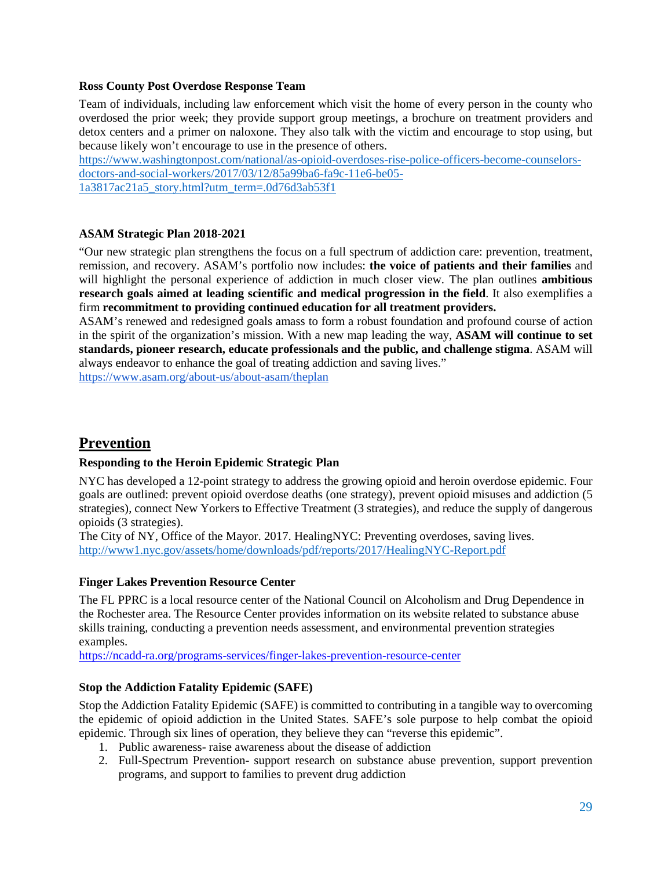#### <span id="page-28-0"></span>**Ross County Post Overdose Response Team**

Team of individuals, including law enforcement which visit the home of every person in the county who overdosed the prior week; they provide support group meetings, a brochure on treatment providers and detox centers and a primer on naloxone. They also talk with the victim and encourage to stop using, but because likely won't encourage to use in the presence of others.

[https://www.washingtonpost.com/national/as-opioid-overdoses-rise-police-officers-become-counselors](https://www.washingtonpost.com/national/as-opioid-overdoses-rise-police-officers-become-counselors-doctors-and-social-workers/2017/03/12/85a99ba6-fa9c-11e6-be05-1a3817ac21a5_story.html?utm_term=.0d76d3ab53f1)[doctors-and-social-workers/2017/03/12/85a99ba6-fa9c-11e6-be05-](https://www.washingtonpost.com/national/as-opioid-overdoses-rise-police-officers-become-counselors-doctors-and-social-workers/2017/03/12/85a99ba6-fa9c-11e6-be05-1a3817ac21a5_story.html?utm_term=.0d76d3ab53f1) [1a3817ac21a5\\_story.html?utm\\_term=.0d76d3ab53f1](https://www.washingtonpost.com/national/as-opioid-overdoses-rise-police-officers-become-counselors-doctors-and-social-workers/2017/03/12/85a99ba6-fa9c-11e6-be05-1a3817ac21a5_story.html?utm_term=.0d76d3ab53f1)

# <span id="page-28-1"></span>**ASAM Strategic Plan 2018-2021**

"Our new strategic plan strengthens the focus on a full spectrum of addiction care: prevention, treatment, remission, and recovery. ASAM's portfolio now includes: **the voice of patients and their families** and will highlight the personal experience of addiction in much closer view. The plan outlines **ambitious research goals aimed at leading scientific and medical progression in the field**. It also exemplifies a firm **recommitment to providing continued education for all treatment providers.**

ASAM's renewed and redesigned goals amass to form a robust foundation and profound course of action in the spirit of the organization's mission. With a new map leading the way, **ASAM will continue to set standards, pioneer research, educate professionals and the public, and challenge stigma**. ASAM will always endeavor to enhance the goal of treating addiction and saving lives."

<https://www.asam.org/about-us/about-asam/theplan>

# <span id="page-28-2"></span>**Prevention**

# <span id="page-28-3"></span>**Responding to the Heroin Epidemic Strategic Plan**

NYC has developed a 12-point strategy to address the growing opioid and heroin overdose epidemic. Four goals are outlined: prevent opioid overdose deaths (one strategy), prevent opioid misuses and addiction (5 strategies), connect New Yorkers to Effective Treatment (3 strategies), and reduce the supply of dangerous opioids (3 strategies).

The City of NY, Office of the Mayor. 2017. HealingNYC: Preventing overdoses, saving lives. <http://www1.nyc.gov/assets/home/downloads/pdf/reports/2017/HealingNYC-Report.pdf>

# <span id="page-28-4"></span>**Finger Lakes Prevention Resource Center**

The FL PPRC is a local resource center of the National Council on Alcoholism and Drug Dependence in the Rochester area. The Resource Center provides information on its website related to substance abuse skills training, conducting a prevention needs assessment, and environmental prevention strategies examples.

<span id="page-28-5"></span><https://ncadd-ra.org/programs-services/finger-lakes-prevention-resource-center>

# **Stop the Addiction Fatality Epidemic (SAFE)**

Stop the Addiction Fatality Epidemic (SAFE) is committed to contributing in a tangible way to overcoming the epidemic of opioid addiction in the United States. SAFE's sole purpose to help combat the opioid epidemic. Through six lines of operation, they believe they can "reverse this epidemic".

- 1. Public awareness- raise awareness about the disease of addiction
- 2. Full-Spectrum Prevention- support research on substance abuse prevention, support prevention programs, and support to families to prevent drug addiction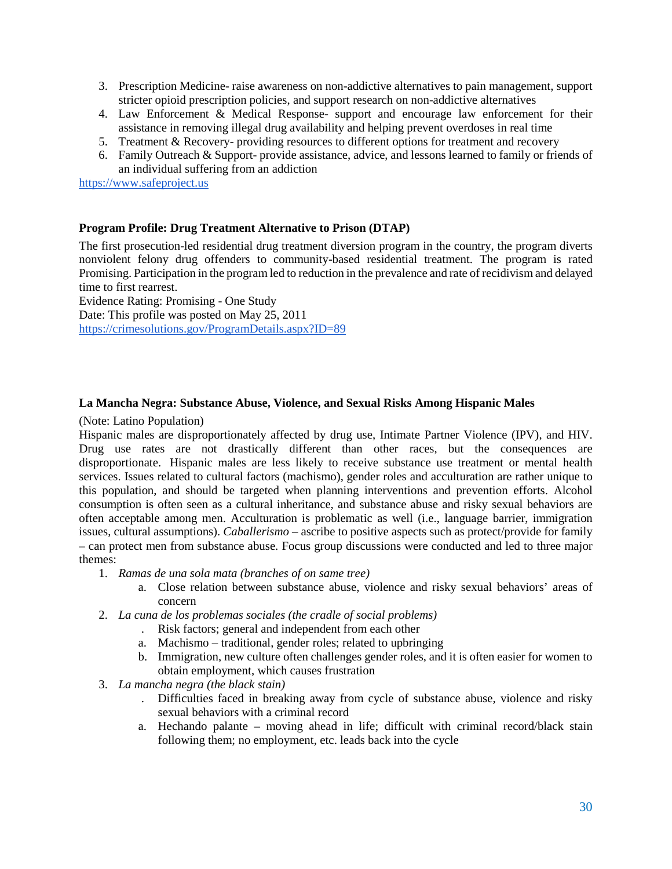- 3. Prescription Medicine- raise awareness on non-addictive alternatives to pain management, support stricter opioid prescription policies, and support research on non-addictive alternatives
- 4. Law Enforcement & Medical Response- support and encourage law enforcement for their assistance in removing illegal drug availability and helping prevent overdoses in real time
- 5. Treatment & Recovery- providing resources to different options for treatment and recovery
- 6. Family Outreach & Support- provide assistance, advice, and lessons learned to family or friends of an individual suffering from an addiction

[https://www.safeproject.us](https://www.safeproject.us/)

# <span id="page-29-0"></span>**Program Profile: Drug Treatment Alternative to Prison (DTAP)**

The first prosecution-led residential drug treatment diversion program in the country, the program diverts nonviolent felony drug offenders to community-based residential treatment. The program is rated Promising. Participation in the program led to reduction in the prevalence and rate of recidivism and delayed time to first rearrest.

Evidence Rating: Promising - One Study Date: This profile was posted on May 25, 2011 <https://crimesolutions.gov/ProgramDetails.aspx?ID=89>

#### <span id="page-29-1"></span>**La Mancha Negra: Substance Abuse, Violence, and Sexual Risks Among Hispanic Males**

(Note: Latino Population)

Hispanic males are disproportionately affected by drug use, Intimate Partner Violence (IPV), and HIV. Drug use rates are not drastically different than other races, but the consequences are disproportionate. Hispanic males are less likely to receive substance use treatment or mental health services. Issues related to cultural factors (machismo), gender roles and acculturation are rather unique to this population, and should be targeted when planning interventions and prevention efforts. Alcohol consumption is often seen as a cultural inheritance, and substance abuse and risky sexual behaviors are often acceptable among men. Acculturation is problematic as well (i.e., language barrier, immigration issues, cultural assumptions). *Caballerismo* – ascribe to positive aspects such as protect/provide for family – can protect men from substance abuse. Focus group discussions were conducted and led to three major themes:

- 1. *Ramas de una sola mata (branches of on same tree)*
	- a. Close relation between substance abuse, violence and risky sexual behaviors' areas of concern
- 2. *La cuna de los problemas sociales (the cradle of social problems)*
	- . Risk factors; general and independent from each other
	- a. Machismo traditional, gender roles; related to upbringing
	- b. Immigration, new culture often challenges gender roles, and it is often easier for women to obtain employment, which causes frustration
- 3. *La mancha negra (the black stain)*
	- . Difficulties faced in breaking away from cycle of substance abuse, violence and risky sexual behaviors with a criminal record
	- a. Hechando palante moving ahead in life; difficult with criminal record/black stain following them; no employment, etc. leads back into the cycle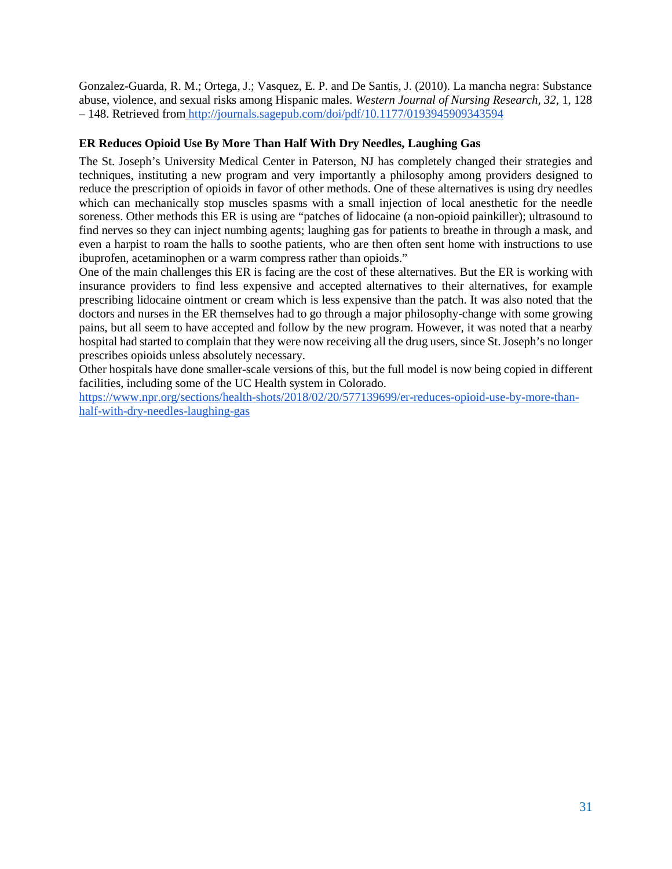Gonzalez-Guarda, R. M.; Ortega, J.; Vasquez, E. P. and De Santis, J. (2010). La mancha negra: Substance abuse, violence, and sexual risks among Hispanic males. *Western Journal of Nursing Research, 32*, 1, 128 – 148. Retrieved from <http://journals.sagepub.com/doi/pdf/10.1177/0193945909343594>

# <span id="page-30-0"></span>**ER Reduces Opioid Use By More Than Half With Dry Needles, Laughing Gas**

The St. Joseph's University Medical Center in Paterson, NJ has completely changed their strategies and techniques, instituting a new program and very importantly a philosophy among providers designed to reduce the prescription of opioids in favor of other methods. One of these alternatives is using dry needles which can mechanically stop muscles spasms with a small injection of local anesthetic for the needle soreness. Other methods this ER is using are "patches of lidocaine (a non-opioid painkiller); ultrasound to find nerves so they can inject numbing agents; laughing gas for patients to breathe in through a mask, and even a harpist to roam the halls to soothe patients, who are then often sent home with instructions to use ibuprofen, acetaminophen or a warm compress rather than opioids."

One of the main challenges this ER is facing are the cost of these alternatives. But the ER is working with insurance providers to find less expensive and accepted alternatives to their alternatives, for example prescribing lidocaine ointment or cream which is less expensive than the patch. It was also noted that the doctors and nurses in the ER themselves had to go through a major philosophy-change with some growing pains, but all seem to have accepted and follow by the new program. However, it was noted that a nearby hospital had started to complain that they were now receiving all the drug users, since St. Joseph's no longer prescribes opioids unless absolutely necessary.

Other hospitals have done smaller-scale versions of this, but the full model is now being copied in different facilities, including some of the UC Health system in Colorado.

[https://www.npr.org/sections/health-shots/2018/02/20/577139699/er-reduces-opioid-use-by-more-than](https://www.npr.org/sections/health-shots/2018/02/20/577139699/er-reduces-opioid-use-by-more-than-half-with-dry-needles-laughing-gas)[half-with-dry-needles-laughing-gas](https://www.npr.org/sections/health-shots/2018/02/20/577139699/er-reduces-opioid-use-by-more-than-half-with-dry-needles-laughing-gas)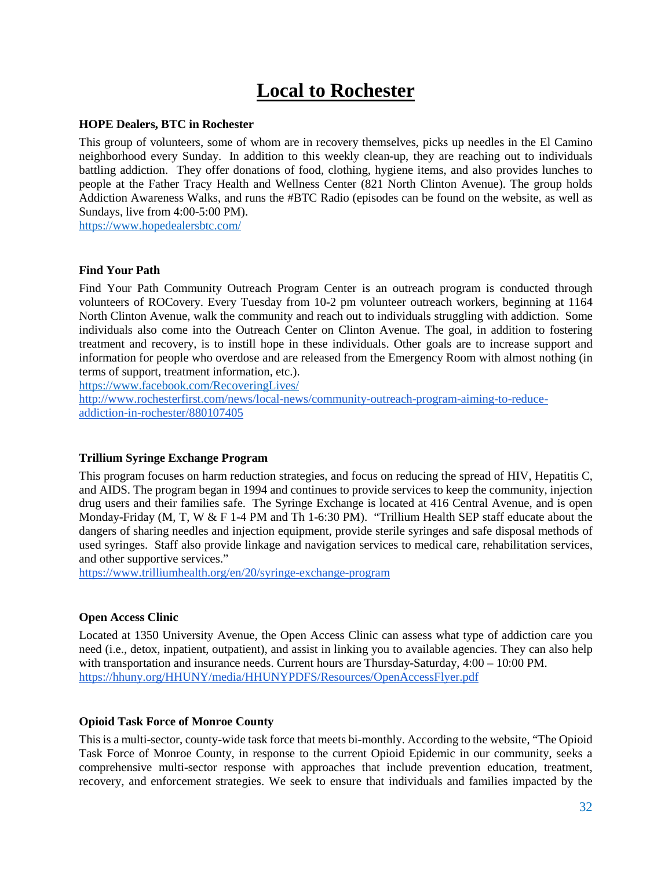# **Local to Rochester**

#### <span id="page-31-1"></span><span id="page-31-0"></span>**HOPE Dealers, BTC in Rochester**

This group of volunteers, some of whom are in recovery themselves, picks up needles in the El Camino neighborhood every Sunday. In addition to this weekly clean-up, they are reaching out to individuals battling addiction. They offer donations of food, clothing, hygiene items, and also provides lunches to people at the Father Tracy Health and Wellness Center (821 North Clinton Avenue). The group holds Addiction Awareness Walks, and runs the #BTC Radio (episodes can be found on the website, as well as Sundays, live from 4:00-5:00 PM).

<https://www.hopedealersbtc.com/>

#### <span id="page-31-2"></span>**Find Your Path**

Find Your Path Community Outreach Program Center is an outreach program is conducted through volunteers of ROCovery. Every Tuesday from 10-2 pm volunteer outreach workers, beginning at 1164 North Clinton Avenue, walk the community and reach out to individuals struggling with addiction. Some individuals also come into the Outreach Center on Clinton Avenue. The goal, in addition to fostering treatment and recovery, is to instill hope in these individuals. Other goals are to increase support and information for people who overdose and are released from the Emergency Room with almost nothing (in terms of support, treatment information, etc.).

<https://www.facebook.com/RecoveringLives/>

[http://www.rochesterfirst.com/news/local-news/community-outreach-program-aiming-to-reduce](http://www.rochesterfirst.com/news/local-news/community-outreach-program-aiming-to-reduce-addiction-in-rochester/880107405)[addiction-in-rochester/880107405](http://www.rochesterfirst.com/news/local-news/community-outreach-program-aiming-to-reduce-addiction-in-rochester/880107405)

#### <span id="page-31-3"></span>**Trillium Syringe Exchange Program**

This program focuses on harm reduction strategies, and focus on reducing the spread of HIV, Hepatitis C, and AIDS. The program began in 1994 and continues to provide services to keep the community, injection drug users and their families safe. The Syringe Exchange is located at 416 Central Avenue, and is open Monday-Friday (M, T, W & F 1-4 PM and Th 1-6:30 PM). "Trillium Health SEP staff educate about the dangers of sharing needles and injection equipment, provide sterile syringes and safe disposal methods of used syringes. Staff also provide linkage and navigation services to medical care, rehabilitation services, and other supportive services."

<https://www.trilliumhealth.org/en/20/syringe-exchange-program>

#### <span id="page-31-4"></span>**Open Access Clinic**

Located at 1350 University Avenue, the Open Access Clinic can assess what type of addiction care you need (i.e., detox, inpatient, outpatient), and assist in linking you to available agencies. They can also help with transportation and insurance needs. Current hours are Thursday-Saturday, 4:00 – 10:00 PM. <https://hhuny.org/HHUNY/media/HHUNYPDFS/Resources/OpenAccessFlyer.pdf>

#### <span id="page-31-5"></span>**Opioid Task Force of Monroe County**

This is a multi-sector, county-wide task force that meets bi-monthly. According to the website, "The Opioid Task Force of Monroe County, in response to the current Opioid Epidemic in our community, seeks a comprehensive multi-sector response with approaches that include prevention education, treatment, recovery, and enforcement strategies. We seek to ensure that individuals and families impacted by the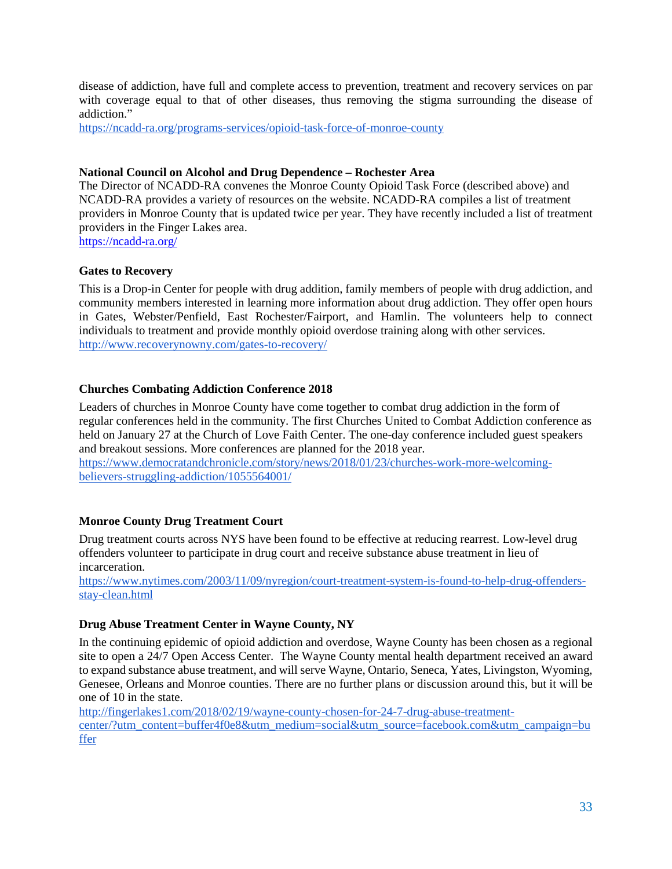disease of addiction, have full and complete access to prevention, treatment and recovery services on par with coverage equal to that of other diseases, thus removing the stigma surrounding the disease of addiction."

<https://ncadd-ra.org/programs-services/opioid-task-force-of-monroe-county>

# <span id="page-32-0"></span>**National Council on Alcohol and Drug Dependence – Rochester Area**

The Director of NCADD-RA convenes the Monroe County Opioid Task Force (described above) and NCADD-RA provides a variety of resources on the website. NCADD-RA compiles a list of treatment providers in Monroe County that is updated twice per year. They have recently included a list of treatment providers in the Finger Lakes area. <https://ncadd-ra.org/>

<span id="page-32-1"></span>**Gates to Recovery**

This is a Drop-in Center for people with drug addition, family members of people with drug addiction, and community members interested in learning more information about drug addiction. They offer open hours in Gates, Webster/Penfield, East Rochester/Fairport, and Hamlin. The volunteers help to connect individuals to treatment and provide monthly opioid overdose training along with other services. <http://www.recoverynowny.com/gates-to-recovery/>

# <span id="page-32-2"></span>**Churches Combating Addiction Conference 2018**

Leaders of churches in Monroe County have come together to combat drug addiction in the form of regular conferences held in the community. The first Churches United to Combat Addiction conference as held on January 27 at the Church of Love Faith Center. The one-day conference included guest speakers and breakout sessions. More conferences are planned for the 2018 year.

[https://www.democratandchronicle.com/story/news/2018/01/23/churches-work-more-welcoming](https://www.democratandchronicle.com/story/news/2018/01/23/churches-work-more-welcoming-believers-struggling-addiction/1055564001/)[believers-struggling-addiction/1055564001/](https://www.democratandchronicle.com/story/news/2018/01/23/churches-work-more-welcoming-believers-struggling-addiction/1055564001/)

# <span id="page-32-3"></span>**Monroe County Drug Treatment Court**

Drug treatment courts across NYS have been found to be effective at reducing rearrest. Low-level drug offenders volunteer to participate in drug court and receive substance abuse treatment in lieu of incarceration.

[https://www.nytimes.com/2003/11/09/nyregion/court-treatment-system-is-found-to-help-drug-offenders](https://www.nytimes.com/2003/11/09/nyregion/court-treatment-system-is-found-to-help-drug-offenders-stay-clean.html)[stay-clean.html](https://www.nytimes.com/2003/11/09/nyregion/court-treatment-system-is-found-to-help-drug-offenders-stay-clean.html)

# <span id="page-32-4"></span>**Drug Abuse Treatment Center in Wayne County, NY**

In the continuing epidemic of opioid addiction and overdose, Wayne County has been chosen as a regional site to open a 24/7 Open Access Center. The Wayne County mental health department received an award to expand substance abuse treatment, and will serve Wayne, Ontario, Seneca, Yates, Livingston, Wyoming, Genesee, Orleans and Monroe counties. There are no further plans or discussion around this, but it will be one of 10 in the state.

[http://fingerlakes1.com/2018/02/19/wayne-county-chosen-for-24-7-drug-abuse-treatment](http://fingerlakes1.com/2018/02/19/wayne-county-chosen-for-24-7-drug-abuse-treatment-center/?utm_content=buffer4f0e8&utm_medium=social&utm_source=facebook.com&utm_campaign=buffer)[center/?utm\\_content=buffer4f0e8&utm\\_medium=social&utm\\_source=facebook.com&utm\\_campaign=bu](http://fingerlakes1.com/2018/02/19/wayne-county-chosen-for-24-7-drug-abuse-treatment-center/?utm_content=buffer4f0e8&utm_medium=social&utm_source=facebook.com&utm_campaign=buffer) [ffer](http://fingerlakes1.com/2018/02/19/wayne-county-chosen-for-24-7-drug-abuse-treatment-center/?utm_content=buffer4f0e8&utm_medium=social&utm_source=facebook.com&utm_campaign=buffer)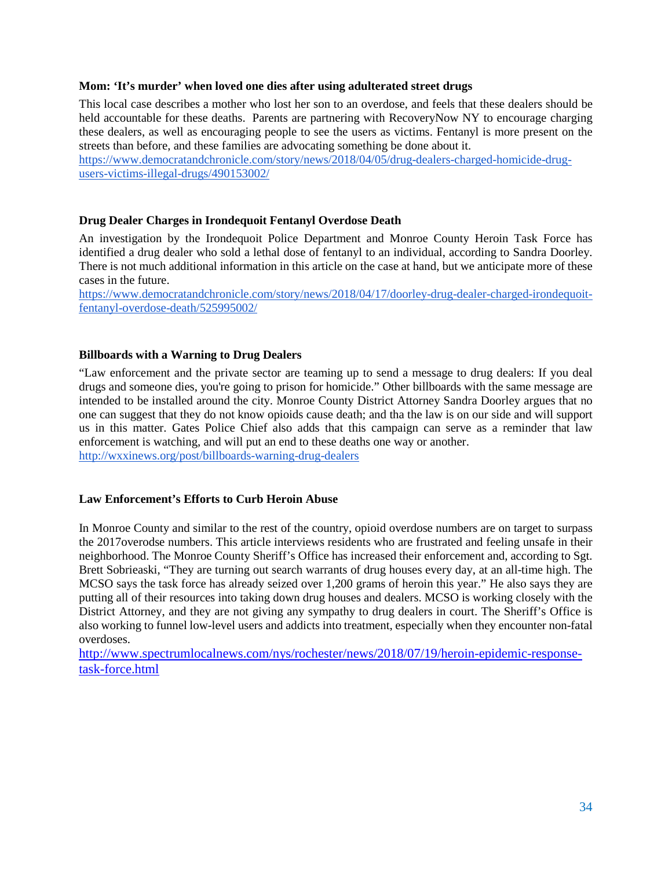#### <span id="page-33-0"></span>**Mom: 'It's murder' when loved one dies after using adulterated street drugs**

This local case describes a mother who lost her son to an overdose, and feels that these dealers should be held accountable for these deaths. Parents are partnering with RecoveryNow NY to encourage charging these dealers, as well as encouraging people to see the users as victims. Fentanyl is more present on the streets than before, and these families are advocating something be done about it.

[https://www.democratandchronicle.com/story/news/2018/04/05/drug-dealers-charged-homicide-drug](https://www.democratandchronicle.com/story/news/2018/04/05/drug-dealers-charged-homicide-drug-users-victims-illegal-drugs/490153002/)[users-victims-illegal-drugs/490153002/](https://www.democratandchronicle.com/story/news/2018/04/05/drug-dealers-charged-homicide-drug-users-victims-illegal-drugs/490153002/)

#### <span id="page-33-1"></span>**Drug Dealer Charges in Irondequoit Fentanyl Overdose Death**

An investigation by the Irondequoit Police Department and Monroe County Heroin Task Force has identified a drug dealer who sold a lethal dose of fentanyl to an individual, according to Sandra Doorley. There is not much additional information in this article on the case at hand, but we anticipate more of these cases in the future.

[https://www.democratandchronicle.com/story/news/2018/04/17/doorley-drug-dealer-charged-irondequoit](https://www.democratandchronicle.com/story/news/2018/04/17/doorley-drug-dealer-charged-irondequoit-fentanyl-overdose-death/525995002/)[fentanyl-overdose-death/525995002/](https://www.democratandchronicle.com/story/news/2018/04/17/doorley-drug-dealer-charged-irondequoit-fentanyl-overdose-death/525995002/)

#### <span id="page-33-2"></span>**Billboards with a Warning to Drug Dealers**

"Law enforcement and the private sector are teaming up to send a message to drug dealers: If you deal drugs and someone dies, you're going to prison for homicide." Other billboards with the same message are intended to be installed around the city. Monroe County District Attorney Sandra Doorley argues that no one can suggest that they do not know opioids cause death; and tha the law is on our side and will support us in this matter. Gates Police Chief also adds that this campaign can serve as a reminder that law enforcement is watching, and will put an end to these deaths one way or another.

<http://wxxinews.org/post/billboards-warning-drug-dealers>

#### <span id="page-33-3"></span>**Law Enforcement's Efforts to Curb Heroin Abuse**

In Monroe County and similar to the rest of the country, opioid overdose numbers are on target to surpass the 2017overodse numbers. This article interviews residents who are frustrated and feeling unsafe in their neighborhood. The Monroe County Sheriff's Office has increased their enforcement and, according to Sgt. Brett Sobrieaski, "They are turning out search warrants of drug houses every day, at an all-time high. The MCSO says the task force has already seized over 1,200 grams of heroin this year." He also says they are putting all of their resources into taking down drug houses and dealers. MCSO is working closely with the District Attorney, and they are not giving any sympathy to drug dealers in court. The Sheriff's Office is also working to funnel low-level users and addicts into treatment, especially when they encounter non-fatal overdoses.

[http://www.spectrumlocalnews.com/nys/rochester/news/2018/07/19/heroin-epidemic-response](http://www.spectrumlocalnews.com/nys/rochester/news/2018/07/19/heroin-epidemic-response-task-force.html)[task-force.html](http://www.spectrumlocalnews.com/nys/rochester/news/2018/07/19/heroin-epidemic-response-task-force.html)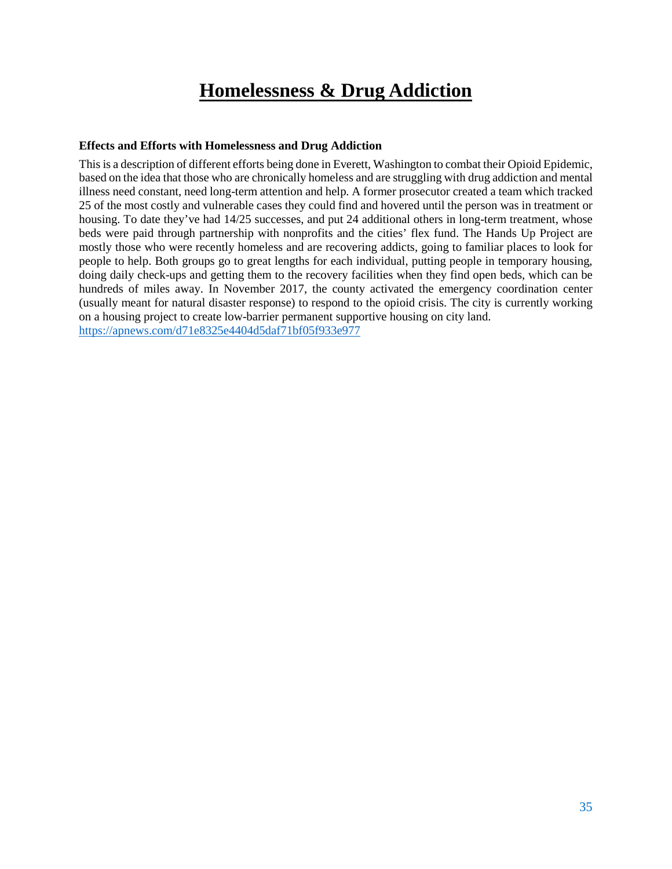# **Homelessness & Drug Addiction**

#### <span id="page-34-1"></span><span id="page-34-0"></span>**Effects and Efforts with Homelessness and Drug Addiction**

This is a description of different efforts being done in Everett, Washington to combat their Opioid Epidemic, based on the idea that those who are chronically homeless and are struggling with drug addiction and mental illness need constant, need long-term attention and help. A former prosecutor created a team which tracked 25 of the most costly and vulnerable cases they could find and hovered until the person was in treatment or housing. To date they've had  $14/25$  successes, and put 24 additional others in long-term treatment, whose beds were paid through partnership with nonprofits and the cities' flex fund. The Hands Up Project are mostly those who were recently homeless and are recovering addicts, going to familiar places to look for people to help. Both groups go to great lengths for each individual, putting people in temporary housing, doing daily check-ups and getting them to the recovery facilities when they find open beds, which can be hundreds of miles away. In November 2017, the county activated the emergency coordination center (usually meant for natural disaster response) to respond to the opioid crisis. The city is currently working on a housing project to create low-barrier permanent supportive housing on city land. <https://apnews.com/d71e8325e4404d5daf71bf05f933e977>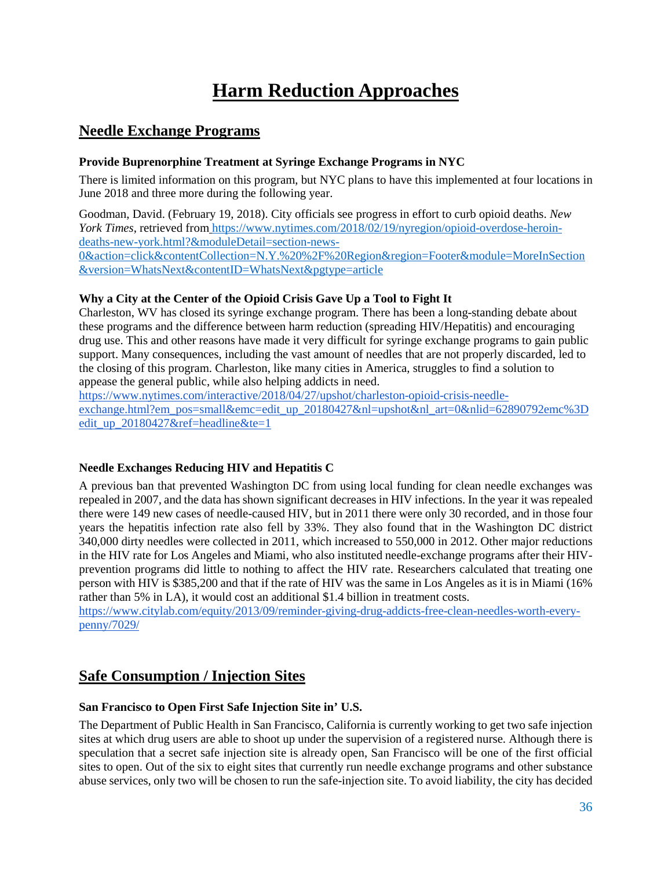# **Harm Reduction Approaches**

# <span id="page-35-1"></span><span id="page-35-0"></span>**Needle Exchange Programs**

# <span id="page-35-2"></span>**Provide Buprenorphine Treatment at Syringe Exchange Programs in NYC**

There is limited information on this program, but NYC plans to have this implemented at four locations in June 2018 and three more during the following year.

Goodman, David. (February 19, 2018). City officials see progress in effort to curb opioid deaths. *New York Times*, retrieved from [https://www.nytimes.com/2018/02/19/nyregion/opioid-overdose-heroin](https://www.nytimes.com/2018/02/19/nyregion/opioid-overdose-heroin-deaths-new-york.html?&moduleDetail=section-news-0&action=click&contentCollection=N.Y.%20%2F%20Region®ion=Footer&module=MoreInSection&version=WhatsNext&contentID=WhatsNext&pgtype=article)[deaths-new-york.html?&moduleDetail=section-news-](https://www.nytimes.com/2018/02/19/nyregion/opioid-overdose-heroin-deaths-new-york.html?&moduleDetail=section-news-0&action=click&contentCollection=N.Y.%20%2F%20Region®ion=Footer&module=MoreInSection&version=WhatsNext&contentID=WhatsNext&pgtype=article)

[0&action=click&contentCollection=N.Y.%20%2F%20Region&region=Footer&module=MoreInSection](https://www.nytimes.com/2018/02/19/nyregion/opioid-overdose-heroin-deaths-new-york.html?&moduleDetail=section-news-0&action=click&contentCollection=N.Y.%20%2F%20Region®ion=Footer&module=MoreInSection&version=WhatsNext&contentID=WhatsNext&pgtype=article) [&version=WhatsNext&contentID=WhatsNext&pgtype=article](https://www.nytimes.com/2018/02/19/nyregion/opioid-overdose-heroin-deaths-new-york.html?&moduleDetail=section-news-0&action=click&contentCollection=N.Y.%20%2F%20Region®ion=Footer&module=MoreInSection&version=WhatsNext&contentID=WhatsNext&pgtype=article)

# **Why a City at the Center of the Opioid Crisis Gave Up a Tool to Fight It**

Charleston, WV has closed its syringe exchange program. There has been a long-standing debate about these programs and the difference between harm reduction (spreading HIV/Hepatitis) and encouraging drug use. This and other reasons have made it very difficult for syringe exchange programs to gain public support. Many consequences, including the vast amount of needles that are not properly discarded, led to the closing of this program. Charleston, like many cities in America, struggles to find a solution to appease the general public, while also helping addicts in need.

[https://www.nytimes.com/interactive/2018/04/27/upshot/charleston-opioid-crisis-needle](https://www.nytimes.com/interactive/2018/04/27/upshot/charleston-opioid-crisis-needle-exchange.html?em_pos=small&emc=edit_up_20180427&nl=upshot&nl_art=0&nlid=62890792emc%3Dedit_up_20180427&ref=headline&te=1)[exchange.html?em\\_pos=small&emc=edit\\_up\\_20180427&nl=upshot&nl\\_art=0&nlid=62890792emc%3D](https://www.nytimes.com/interactive/2018/04/27/upshot/charleston-opioid-crisis-needle-exchange.html?em_pos=small&emc=edit_up_20180427&nl=upshot&nl_art=0&nlid=62890792emc%3Dedit_up_20180427&ref=headline&te=1) [edit\\_up\\_20180427&ref=headline&te=1](https://www.nytimes.com/interactive/2018/04/27/upshot/charleston-opioid-crisis-needle-exchange.html?em_pos=small&emc=edit_up_20180427&nl=upshot&nl_art=0&nlid=62890792emc%3Dedit_up_20180427&ref=headline&te=1)

# <span id="page-35-3"></span>**Needle Exchanges Reducing HIV and Hepatitis C**

A previous ban that prevented Washington DC from using local funding for clean needle exchanges was repealed in 2007, and the data has shown significant decreases in HIV infections. In the year it was repealed there were 149 new cases of needle-caused HIV, but in 2011 there were only 30 recorded, and in those four years the hepatitis infection rate also fell by 33%. They also found that in the Washington DC district 340,000 dirty needles were collected in 2011, which increased to 550,000 in 2012. Other major reductions in the HIV rate for Los Angeles and Miami, who also instituted needle-exchange programs after their HIVprevention programs did little to nothing to affect the HIV rate. Researchers calculated that treating one person with HIV is \$385,200 and that if the rate of HIV was the same in Los Angeles as it is in Miami (16% rather than 5% in LA), it would cost an additional \$1.4 billion in treatment costs.

[https://www.citylab.com/equity/2013/09/reminder-giving-drug-addicts-free-clean-needles-worth-every](https://www.citylab.com/equity/2013/09/reminder-giving-drug-addicts-free-clean-needles-worth-every-penny/7029/)[penny/7029/](https://www.citylab.com/equity/2013/09/reminder-giving-drug-addicts-free-clean-needles-worth-every-penny/7029/)

# <span id="page-35-4"></span>**Safe Consumption / Injection Sites**

# <span id="page-35-5"></span>**San Francisco to Open First Safe Injection Site in' U.S.**

The Department of Public Health in San Francisco, California is currently working to get two safe injection sites at which drug users are able to shoot up under the supervision of a registered nurse. Although there is speculation that a secret safe injection site is already open, San Francisco will be one of the first official sites to open. Out of the six to eight sites that currently run needle exchange programs and other substance abuse services, only two will be chosen to run the safe-injection site. To avoid liability, the city has decided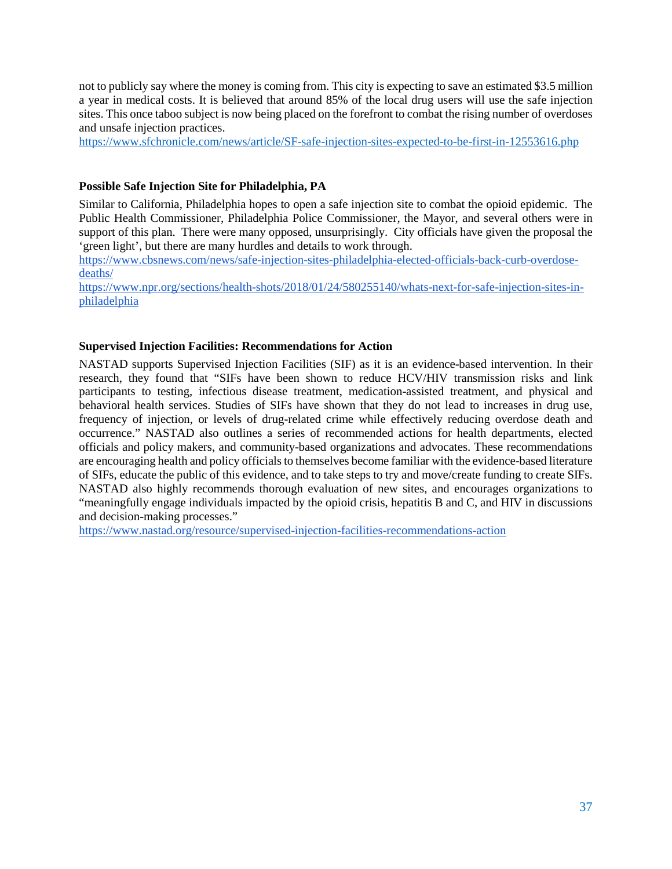not to publicly say where the money is coming from. This city is expecting to save an estimated \$3.5 million a year in medical costs. It is believed that around 85% of the local drug users will use the safe injection sites. This once taboo subject is now being placed on the forefront to combat the rising number of overdoses and unsafe injection practices.

<https://www.sfchronicle.com/news/article/SF-safe-injection-sites-expected-to-be-first-in-12553616.php>

# <span id="page-36-0"></span>**Possible Safe Injection Site for Philadelphia, PA**

Similar to California, Philadelphia hopes to open a safe injection site to combat the opioid epidemic. The Public Health Commissioner, Philadelphia Police Commissioner, the Mayor, and several others were in support of this plan. There were many opposed, unsurprisingly. City officials have given the proposal the 'green light', but there are many hurdles and details to work through.

[https://www.cbsnews.com/news/safe-injection-sites-philadelphia-elected-officials-back-curb-overdose](https://www.cbsnews.com/news/safe-injection-sites-philadelphia-elected-officials-back-curb-overdose-deaths/)[deaths/](https://www.cbsnews.com/news/safe-injection-sites-philadelphia-elected-officials-back-curb-overdose-deaths/)

[https://www.npr.org/sections/health-shots/2018/01/24/580255140/whats-next-for-safe-injection-sites-in](https://www.npr.org/sections/health-shots/2018/01/24/580255140/whats-next-for-safe-injection-sites-in-philadelphia)[philadelphia](https://www.npr.org/sections/health-shots/2018/01/24/580255140/whats-next-for-safe-injection-sites-in-philadelphia)

# <span id="page-36-1"></span>**Supervised Injection Facilities: Recommendations for Action**

NASTAD supports Supervised Injection Facilities (SIF) as it is an evidence-based intervention. In their research, they found that "SIFs have been shown to reduce HCV/HIV transmission risks and link participants to testing, infectious disease treatment, medication-assisted treatment, and physical and behavioral health services. Studies of SIFs have shown that they do not lead to increases in drug use, frequency of injection, or levels of drug-related crime while effectively reducing overdose death and occurrence." NASTAD also outlines a series of recommended actions for health departments, elected officials and policy makers, and community-based organizations and advocates. These recommendations are encouraging health and policy officials to themselves become familiar with the evidence-based literature of SIFs, educate the public of this evidence, and to take steps to try and move/create funding to create SIFs. NASTAD also highly recommends thorough evaluation of new sites, and encourages organizations to "meaningfully engage individuals impacted by the opioid crisis, hepatitis B and C, and HIV in discussions and decision-making processes."

<https://www.nastad.org/resource/supervised-injection-facilities-recommendations-action>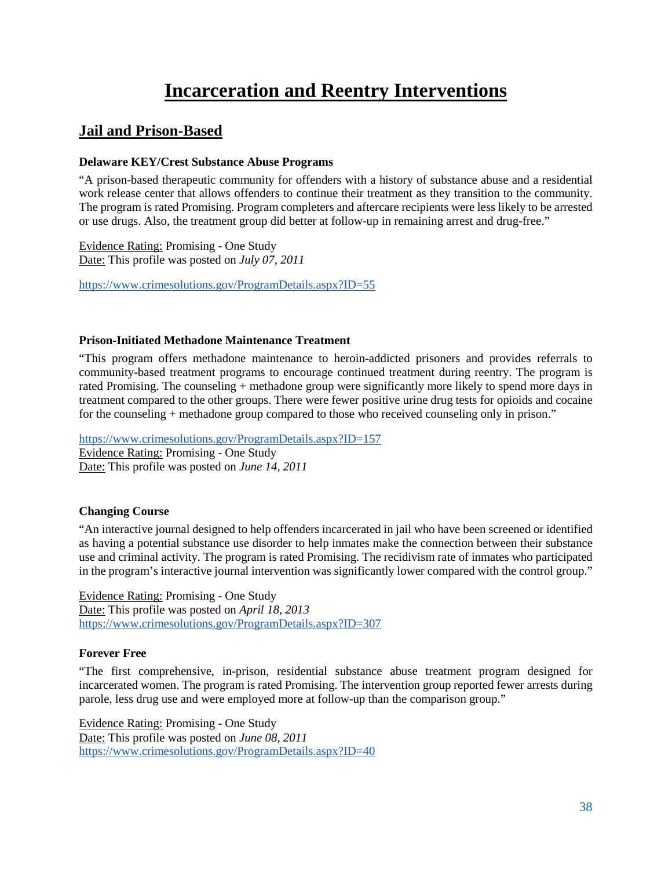# **Incarceration and Reentry Interventions**

# <span id="page-37-1"></span><span id="page-37-0"></span>**Jail and Prison-Based**

# <span id="page-37-2"></span>**Delaware KEY/Crest Substance Abuse Programs**

"A prison-based therapeutic community for offenders with a history of substance abuse and a residential work release center that allows offenders to continue their treatment as they transition to the community. The program is rated Promising. Program completers and aftercare recipients were less likely to be arrested or use drugs. Also, the treatment group did better at follow-up in remaining arrest and drug-free."

Evidence Rating: Promising - One Study Date: This profile was posted on *July 07, 2011*

<https://www.crimesolutions.gov/ProgramDetails.aspx?ID=55>

# <span id="page-37-3"></span>**Prison-Initiated Methadone Maintenance Treatment**

"This program offers methadone maintenance to heroin-addicted prisoners and provides referrals to community-based treatment programs to encourage continued treatment during reentry. The program is rated Promising. The counseling + methadone group were significantly more likely to spend more days in treatment compared to the other groups. There were fewer positive urine drug tests for opioids and cocaine for the counseling + methadone group compared to those who received counseling only in prison."

<https://www.crimesolutions.gov/ProgramDetails.aspx?ID=157> Evidence Rating: Promising - One Study Date: This profile was posted on *June 14, 2011*

# <span id="page-37-4"></span>**Changing Course**

"An interactive journal designed to help offenders incarcerated in jail who have been screened or identified as having a potential substance use disorder to help inmates make the connection between their substance use and criminal activity. The program is rated Promising. The recidivism rate of inmates who participated in the program's interactive journal intervention was significantly lower compared with the control group."

Evidence Rating: Promising - One Study Date: This profile was posted on *April 18, 2013* <https://www.crimesolutions.gov/ProgramDetails.aspx?ID=307>

# <span id="page-37-5"></span>**Forever Free**

"The first comprehensive, in-prison, residential substance abuse treatment program designed for incarcerated women. The program is rated Promising. The intervention group reported fewer arrests during parole, less drug use and were employed more at follow-up than the comparison group."

Evidence Rating: Promising - One Study Date: This profile was posted on *June 08, 2011* <https://www.crimesolutions.gov/ProgramDetails.aspx?ID=40>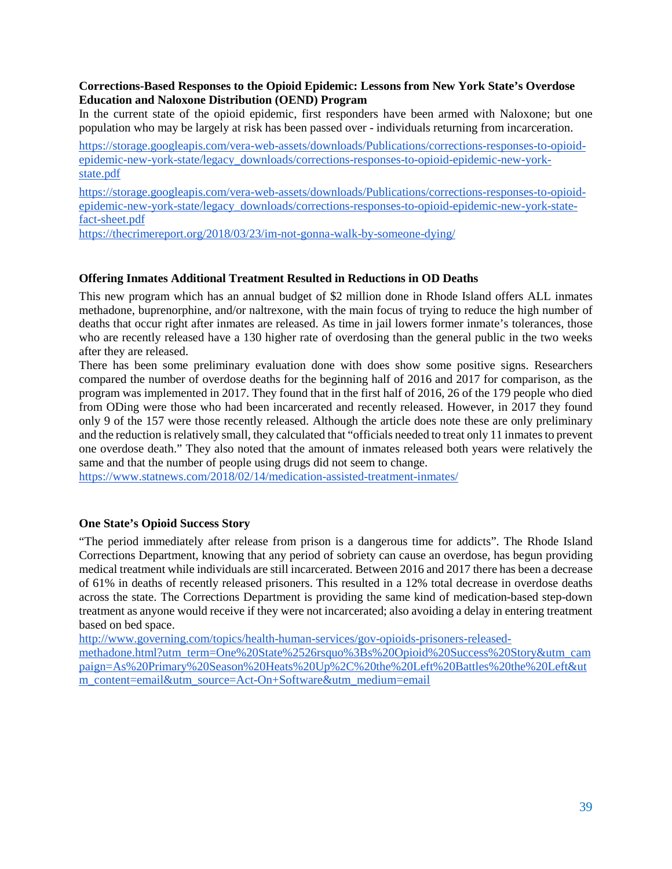# **Corrections-Based Responses to the Opioid Epidemic: Lessons from New York State's Overdose Education and Naloxone Distribution (OEND) Program**

In the current state of the opioid epidemic, first responders have been armed with Naloxone; but one population who may be largely at risk has been passed over - individuals returning from incarceration.

[https://storage.googleapis.com/vera-web-assets/downloads/Publications/corrections-responses-to-opioid](https://storage.googleapis.com/vera-web-assets/downloads/Publications/corrections-responses-to-opioid-epidemic-new-york-state/legacy_downloads/corrections-responses-to-opioid-epidemic-new-york-state.pdf)[epidemic-new-york-state/legacy\\_downloads/corrections-responses-to-opioid-epidemic-new-york](https://storage.googleapis.com/vera-web-assets/downloads/Publications/corrections-responses-to-opioid-epidemic-new-york-state/legacy_downloads/corrections-responses-to-opioid-epidemic-new-york-state.pdf)[state.pdf](https://storage.googleapis.com/vera-web-assets/downloads/Publications/corrections-responses-to-opioid-epidemic-new-york-state/legacy_downloads/corrections-responses-to-opioid-epidemic-new-york-state.pdf)

[https://storage.googleapis.com/vera-web-assets/downloads/Publications/corrections-responses-to-opioid](https://storage.googleapis.com/vera-web-assets/downloads/Publications/corrections-responses-to-opioid-epidemic-new-york-state/legacy_downloads/corrections-responses-to-opioid-epidemic-new-york-state-fact-sheet.pdf)[epidemic-new-york-state/legacy\\_downloads/corrections-responses-to-opioid-epidemic-new-york-state](https://storage.googleapis.com/vera-web-assets/downloads/Publications/corrections-responses-to-opioid-epidemic-new-york-state/legacy_downloads/corrections-responses-to-opioid-epidemic-new-york-state-fact-sheet.pdf)[fact-sheet.pdf](https://storage.googleapis.com/vera-web-assets/downloads/Publications/corrections-responses-to-opioid-epidemic-new-york-state/legacy_downloads/corrections-responses-to-opioid-epidemic-new-york-state-fact-sheet.pdf)

<https://thecrimereport.org/2018/03/23/im-not-gonna-walk-by-someone-dying/>

# <span id="page-38-0"></span>**Offering Inmates Additional Treatment Resulted in Reductions in OD Deaths**

This new program which has an annual budget of \$2 million done in Rhode Island offers ALL inmates methadone, buprenorphine, and/or naltrexone, with the main focus of trying to reduce the high number of deaths that occur right after inmates are released. As time in jail lowers former inmate's tolerances, those who are recently released have a 130 higher rate of overdosing than the general public in the two weeks after they are released.

There has been some preliminary evaluation done with does show some positive signs. Researchers compared the number of overdose deaths for the beginning half of 2016 and 2017 for comparison, as the program was implemented in 2017. They found that in the first half of 2016, 26 of the 179 people who died from ODing were those who had been incarcerated and recently released. However, in 2017 they found only 9 of the 157 were those recently released. Although the article does note these are only preliminary and the reduction is relatively small, they calculated that "officials needed to treat only 11 inmates to prevent one overdose death." They also noted that the amount of inmates released both years were relatively the same and that the number of people using drugs did not seem to change.

<https://www.statnews.com/2018/02/14/medication-assisted-treatment-inmates/>

# <span id="page-38-1"></span>**One State's Opioid Success Story**

"The period immediately after release from prison is a dangerous time for addicts". The Rhode Island Corrections Department, knowing that any period of sobriety can cause an overdose, has begun providing medical treatment while individuals are still incarcerated. Between 2016 and 2017 there has been a decrease of 61% in deaths of recently released prisoners. This resulted in a 12% total decrease in overdose deaths across the state. The Corrections Department is providing the same kind of medication-based step-down treatment as anyone would receive if they were not incarcerated; also avoiding a delay in entering treatment based on bed space.

[http://www.governing.com/topics/health-human-services/gov-opioids-prisoners-released-](http://www.governing.com/topics/health-human-services/gov-opioids-prisoners-released-methadone.html?utm_term=One%20State%2526rsquo%3Bs%20Opioid%20Success%20Story&utm_campaign=As%20Primary%20Season%20Heats%20Up%2C%20the%20Left%20Battles%20the%20Left&utm_content=email&utm_source=Act-On+Software&utm_medium=email)

[methadone.html?utm\\_term=One%20State%2526rsquo%3Bs%20Opioid%20Success%20Story&utm\\_cam](http://www.governing.com/topics/health-human-services/gov-opioids-prisoners-released-methadone.html?utm_term=One%20State%2526rsquo%3Bs%20Opioid%20Success%20Story&utm_campaign=As%20Primary%20Season%20Heats%20Up%2C%20the%20Left%20Battles%20the%20Left&utm_content=email&utm_source=Act-On+Software&utm_medium=email) [paign=As%20Primary%20Season%20Heats%20Up%2C%20the%20Left%20Battles%20the%20Left&ut](http://www.governing.com/topics/health-human-services/gov-opioids-prisoners-released-methadone.html?utm_term=One%20State%2526rsquo%3Bs%20Opioid%20Success%20Story&utm_campaign=As%20Primary%20Season%20Heats%20Up%2C%20the%20Left%20Battles%20the%20Left&utm_content=email&utm_source=Act-On+Software&utm_medium=email) [m\\_content=email&utm\\_source=Act-On+Software&utm\\_medium=email](http://www.governing.com/topics/health-human-services/gov-opioids-prisoners-released-methadone.html?utm_term=One%20State%2526rsquo%3Bs%20Opioid%20Success%20Story&utm_campaign=As%20Primary%20Season%20Heats%20Up%2C%20the%20Left%20Battles%20the%20Left&utm_content=email&utm_source=Act-On+Software&utm_medium=email)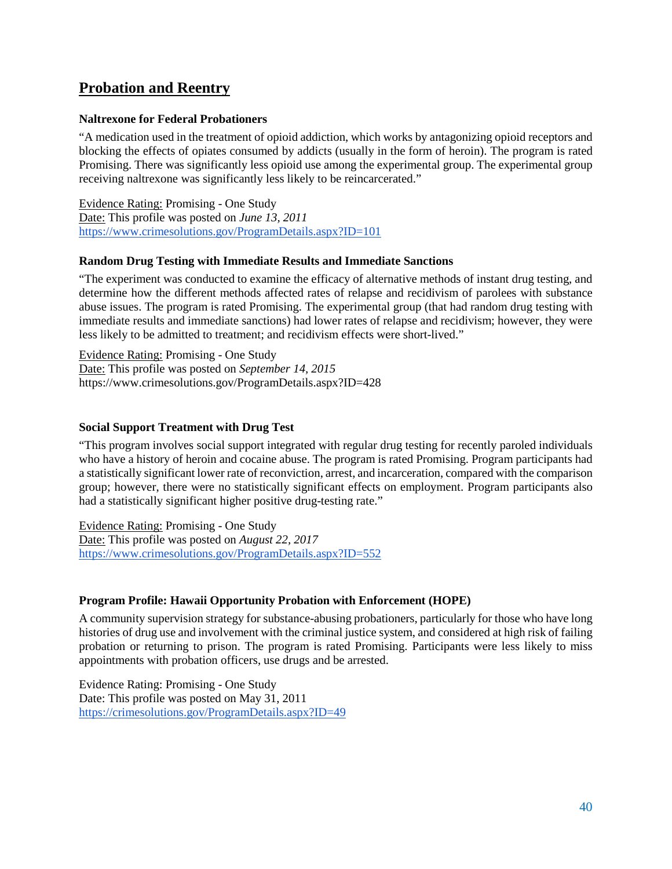# <span id="page-39-0"></span>**Probation and Reentry**

# <span id="page-39-1"></span>**Naltrexone for Federal Probationers**

"A medication used in the treatment of opioid addiction, which works by antagonizing opioid receptors and blocking the effects of opiates consumed by addicts (usually in the form of heroin). The program is rated Promising. There was significantly less opioid use among the experimental group. The experimental group receiving naltrexone was significantly less likely to be reincarcerated."

Evidence Rating: Promising - One Study Date: This profile was posted on *June 13, 2011* <https://www.crimesolutions.gov/ProgramDetails.aspx?ID=101>

#### <span id="page-39-2"></span>**Random Drug Testing with Immediate Results and Immediate Sanctions**

"The experiment was conducted to examine the efficacy of alternative methods of instant drug testing, and determine how the different methods affected rates of relapse and recidivism of parolees with substance abuse issues. The program is rated Promising. The experimental group (that had random drug testing with immediate results and immediate sanctions) had lower rates of relapse and recidivism; however, they were less likely to be admitted to treatment; and recidivism effects were short-lived."

Evidence Rating: Promising - One Study Date: This profile was posted on *September 14, 2015* https://www.crimesolutions.gov/ProgramDetails.aspx?ID=428

#### <span id="page-39-3"></span>**Social Support Treatment with Drug Test**

"This program involves social support integrated with regular drug testing for recently paroled individuals who have a history of heroin and cocaine abuse. The program is rated Promising. Program participants had a statistically significant lower rate of reconviction, arrest, and incarceration, compared with the comparison group; however, there were no statistically significant effects on employment. Program participants also had a statistically significant higher positive drug-testing rate."

Evidence Rating: Promising - One Study Date: This profile was posted on *August 22, 2017* <https://www.crimesolutions.gov/ProgramDetails.aspx?ID=552>

# <span id="page-39-4"></span>**Program Profile: Hawaii Opportunity Probation with Enforcement (HOPE)**

A community supervision strategy for substance-abusing probationers, particularly for those who have long histories of drug use and involvement with the criminal justice system, and considered at high risk of failing probation or returning to prison. The program is rated Promising. Participants were less likely to miss appointments with probation officers, use drugs and be arrested.

Evidence Rating: Promising - One Study Date: This profile was posted on May 31, 2011 <https://crimesolutions.gov/ProgramDetails.aspx?ID=49>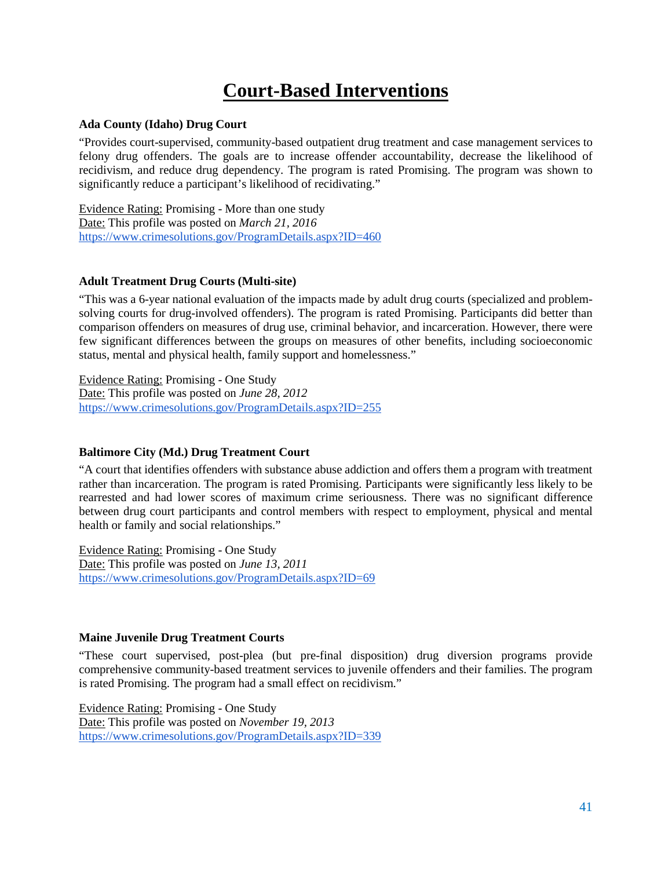# **Court-Based Interventions**

#### <span id="page-40-1"></span><span id="page-40-0"></span>**Ada County (Idaho) Drug Court**

"Provides court-supervised, community-based outpatient drug treatment and case management services to felony drug offenders. The goals are to increase offender accountability, decrease the likelihood of recidivism, and reduce drug dependency. The program is rated Promising. The program was shown to significantly reduce a participant's likelihood of recidivating."

Evidence Rating: Promising - More than one study Date: This profile was posted on *March 21, 2016* <https://www.crimesolutions.gov/ProgramDetails.aspx?ID=460>

# <span id="page-40-2"></span>**Adult Treatment Drug Courts (Multi-site)**

"This was a 6-year national evaluation of the impacts made by adult drug courts (specialized and problemsolving courts for drug-involved offenders). The program is rated Promising. Participants did better than comparison offenders on measures of drug use, criminal behavior, and incarceration. However, there were few significant differences between the groups on measures of other benefits, including socioeconomic status, mental and physical health, family support and homelessness."

Evidence Rating: Promising - One Study Date: This profile was posted on *June 28, 2012* <https://www.crimesolutions.gov/ProgramDetails.aspx?ID=255>

#### <span id="page-40-3"></span>**Baltimore City (Md.) Drug Treatment Court**

"A court that identifies offenders with substance abuse addiction and offers them a program with treatment rather than incarceration. The program is rated Promising. Participants were significantly less likely to be rearrested and had lower scores of maximum crime seriousness. There was no significant difference between drug court participants and control members with respect to employment, physical and mental health or family and social relationships."

Evidence Rating: Promising - One Study Date: This profile was posted on *June 13, 2011* <https://www.crimesolutions.gov/ProgramDetails.aspx?ID=69>

#### <span id="page-40-4"></span>**Maine Juvenile Drug Treatment Courts**

"These court supervised, post-plea (but pre-final disposition) drug diversion programs provide comprehensive community-based treatment services to juvenile offenders and their families. The program is rated Promising. The program had a small effect on recidivism."

Evidence Rating: Promising - One Study Date: This profile was posted on *November 19, 2013* <https://www.crimesolutions.gov/ProgramDetails.aspx?ID=339>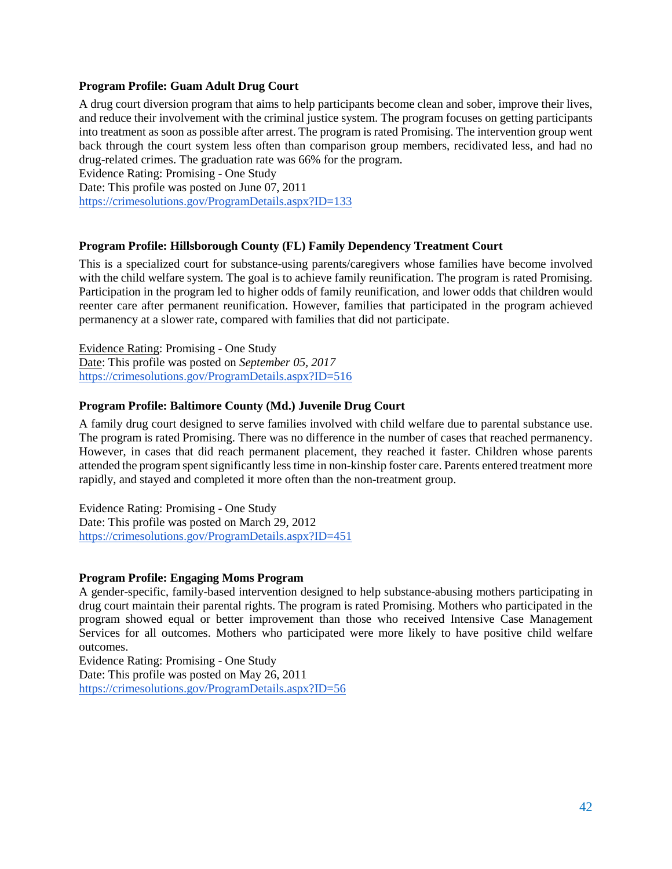#### <span id="page-41-0"></span>**Program Profile: Guam Adult Drug Court**

A drug court diversion program that aims to help participants become clean and sober, improve their lives, and reduce their involvement with the criminal justice system. The program focuses on getting participants into treatment as soon as possible after arrest. The program is rated Promising. The intervention group went back through the court system less often than comparison group members, recidivated less, and had no drug-related crimes. The graduation rate was 66% for the program.

Evidence Rating: Promising - One Study Date: This profile was posted on June 07, 2011

<https://crimesolutions.gov/ProgramDetails.aspx?ID=133>

#### <span id="page-41-1"></span>**Program Profile: Hillsborough County (FL) Family Dependency Treatment Court**

This is a specialized court for substance-using parents/caregivers whose families have become involved with the child welfare system. The goal is to achieve family reunification. The program is rated Promising. Participation in the program led to higher odds of family reunification, and lower odds that children would reenter care after permanent reunification. However, families that participated in the program achieved permanency at a slower rate, compared with families that did not participate.

Evidence Rating: Promising - One Study Date: This profile was posted on *September 05, 2017* <https://crimesolutions.gov/ProgramDetails.aspx?ID=516>

#### <span id="page-41-2"></span>**Program Profile: Baltimore County (Md.) Juvenile Drug Court**

A family drug court designed to serve families involved with child welfare due to parental substance use. The program is rated Promising. There was no difference in the number of cases that reached permanency. However, in cases that did reach permanent placement, they reached it faster. Children whose parents attended the program spent significantly less time in non-kinship foster care. Parents entered treatment more rapidly, and stayed and completed it more often than the non-treatment group.

Evidence Rating: Promising - One Study Date: This profile was posted on March 29, 2012 <https://crimesolutions.gov/ProgramDetails.aspx?ID=451>

#### **Program Profile: Engaging Moms Program**

A gender-specific, family-based intervention designed to help substance-abusing mothers participating in drug court maintain their parental rights. The program is rated Promising. Mothers who participated in the program showed equal or better improvement than those who received Intensive Case Management Services for all outcomes. Mothers who participated were more likely to have positive child welfare outcomes.

Evidence Rating: Promising - One Study Date: This profile was posted on May 26, 2011 <https://crimesolutions.gov/ProgramDetails.aspx?ID=56>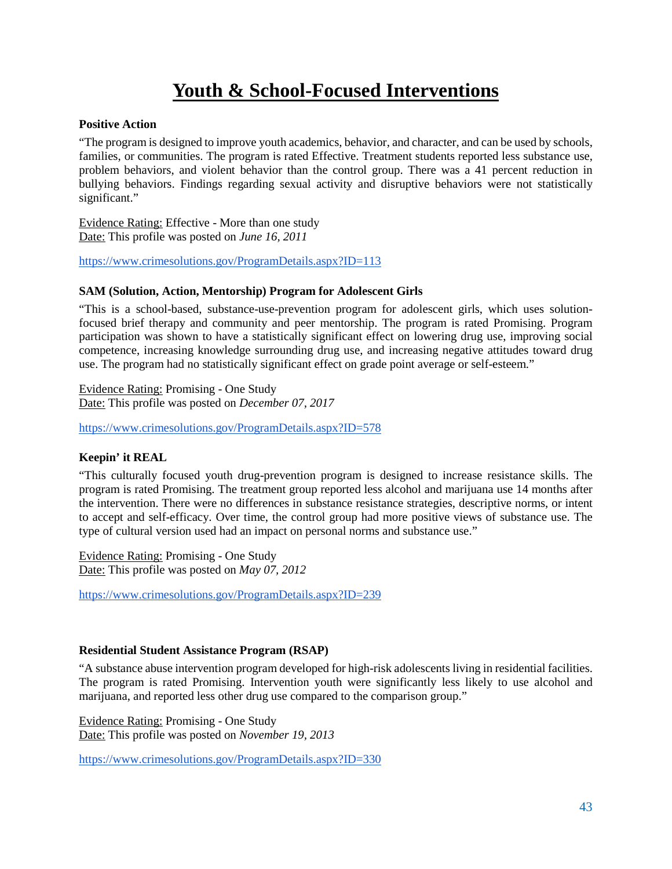# **Youth & School-Focused Interventions**

# <span id="page-42-1"></span><span id="page-42-0"></span>**Positive Action**

"The program is designed to improve youth academics, behavior, and character, and can be used by schools, families, or communities. The program is rated Effective. Treatment students reported less substance use, problem behaviors, and violent behavior than the control group. There was a 41 percent reduction in bullying behaviors. Findings regarding sexual activity and disruptive behaviors were not statistically significant."

Evidence Rating: Effective - More than one study Date: This profile was posted on *June 16, 2011*

<https://www.crimesolutions.gov/ProgramDetails.aspx?ID=113>

#### <span id="page-42-2"></span>**SAM (Solution, Action, Mentorship) Program for Adolescent Girls**

"This is a school-based, substance-use-prevention program for adolescent girls, which uses solutionfocused brief therapy and community and peer mentorship. The program is rated Promising. Program participation was shown to have a statistically significant effect on lowering drug use, improving social competence, increasing knowledge surrounding drug use, and increasing negative attitudes toward drug use. The program had no statistically significant effect on grade point average or self-esteem."

Evidence Rating: Promising - One Study Date: This profile was posted on *December 07, 2017*

<https://www.crimesolutions.gov/ProgramDetails.aspx?ID=578>

# <span id="page-42-3"></span>**Keepin' it REAL**

"This culturally focused youth drug-prevention program is designed to increase resistance skills. The program is rated Promising. The treatment group reported less alcohol and marijuana use 14 months after the intervention. There were no differences in substance resistance strategies, descriptive norms, or intent to accept and self-efficacy. Over time, the control group had more positive views of substance use. The type of cultural version used had an impact on personal norms and substance use."

Evidence Rating: Promising - One Study Date: This profile was posted on *May 07, 2012*

<https://www.crimesolutions.gov/ProgramDetails.aspx?ID=239>

#### <span id="page-42-4"></span>**Residential Student Assistance Program (RSAP)**

"A substance abuse intervention program developed for high-risk adolescents living in residential facilities. The program is rated Promising. Intervention youth were significantly less likely to use alcohol and marijuana, and reported less other drug use compared to the comparison group."

Evidence Rating: Promising - One Study Date: This profile was posted on *November 19, 2013*

<https://www.crimesolutions.gov/ProgramDetails.aspx?ID=330>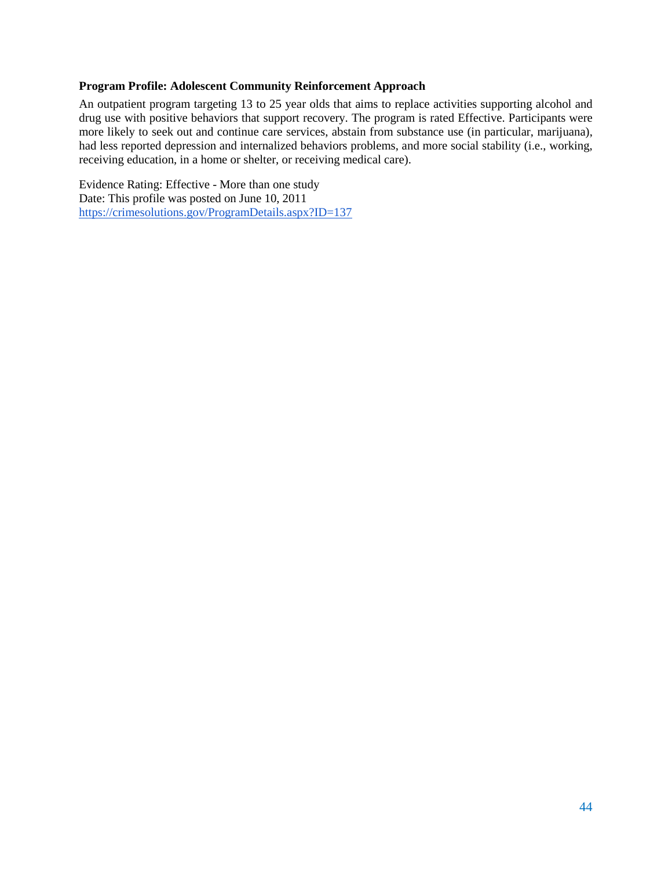#### <span id="page-43-0"></span>**Program Profile: Adolescent Community Reinforcement Approach**

An outpatient program targeting 13 to 25 year olds that aims to replace activities supporting alcohol and drug use with positive behaviors that support recovery. The program is rated Effective. Participants were more likely to seek out and continue care services, abstain from substance use (in particular, marijuana), had less reported depression and internalized behaviors problems, and more social stability (i.e., working, receiving education, in a home or shelter, or receiving medical care).

Evidence Rating: Effective - More than one study Date: This profile was posted on June 10, 2011 <https://crimesolutions.gov/ProgramDetails.aspx?ID=137>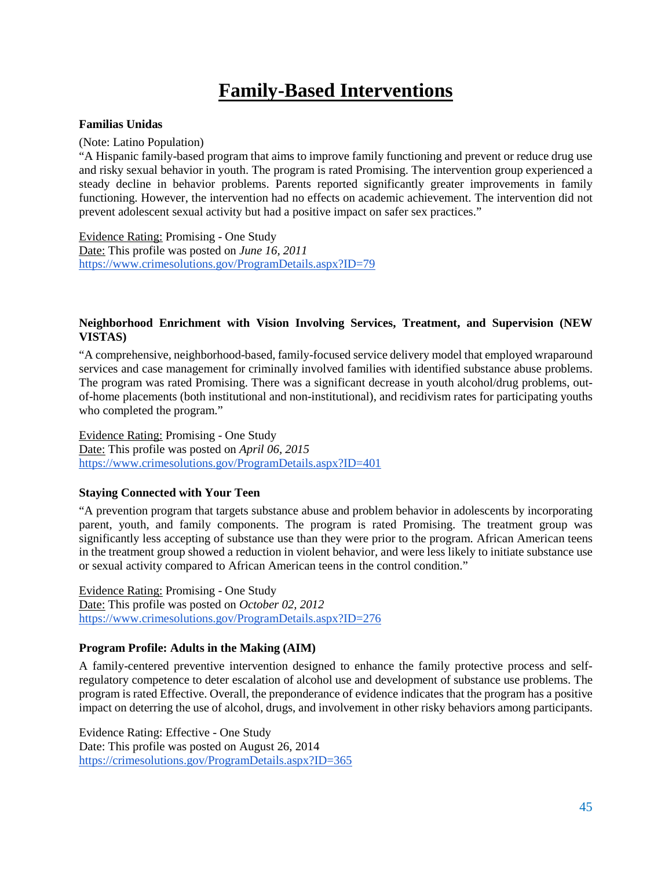# **Family-Based Interventions**

#### <span id="page-44-1"></span><span id="page-44-0"></span>**Familias Unidas**

(Note: Latino Population)

"A Hispanic family-based program that aims to improve family functioning and prevent or reduce drug use and risky sexual behavior in youth. The program is rated Promising. The intervention group experienced a steady decline in behavior problems. Parents reported significantly greater improvements in family functioning. However, the intervention had no effects on academic achievement. The intervention did not prevent adolescent sexual activity but had a positive impact on safer sex practices."

Evidence Rating: Promising - One Study Date: This profile was posted on *June 16, 2011* <https://www.crimesolutions.gov/ProgramDetails.aspx?ID=79>

# <span id="page-44-2"></span>**Neighborhood Enrichment with Vision Involving Services, Treatment, and Supervision (NEW VISTAS)**

"A comprehensive, neighborhood-based, family-focused service delivery model that employed wraparound services and case management for criminally involved families with identified substance abuse problems. The program was rated Promising. There was a significant decrease in youth alcohol/drug problems, outof-home placements (both institutional and non-institutional), and recidivism rates for participating youths who completed the program."

Evidence Rating: Promising - One Study Date: This profile was posted on *April 06, 2015* <https://www.crimesolutions.gov/ProgramDetails.aspx?ID=401>

# <span id="page-44-3"></span>**Staying Connected with Your Teen**

"A prevention program that targets substance abuse and problem behavior in adolescents by incorporating parent, youth, and family components. The program is rated Promising. The treatment group was significantly less accepting of substance use than they were prior to the program. African American teens in the treatment group showed a reduction in violent behavior, and were less likely to initiate substance use or sexual activity compared to African American teens in the control condition."

Evidence Rating: Promising - One Study Date: This profile was posted on *October 02, 2012* <https://www.crimesolutions.gov/ProgramDetails.aspx?ID=276>

# <span id="page-44-4"></span>**Program Profile: Adults in the Making (AIM)**

A family-centered preventive intervention designed to enhance the family protective process and selfregulatory competence to deter escalation of alcohol use and development of substance use problems. The program is rated Effective. Overall, the preponderance of evidence indicates that the program has a positive impact on deterring the use of alcohol, drugs, and involvement in other risky behaviors among participants.

Evidence Rating: Effective - One Study Date: This profile was posted on August 26, 2014 <https://crimesolutions.gov/ProgramDetails.aspx?ID=365>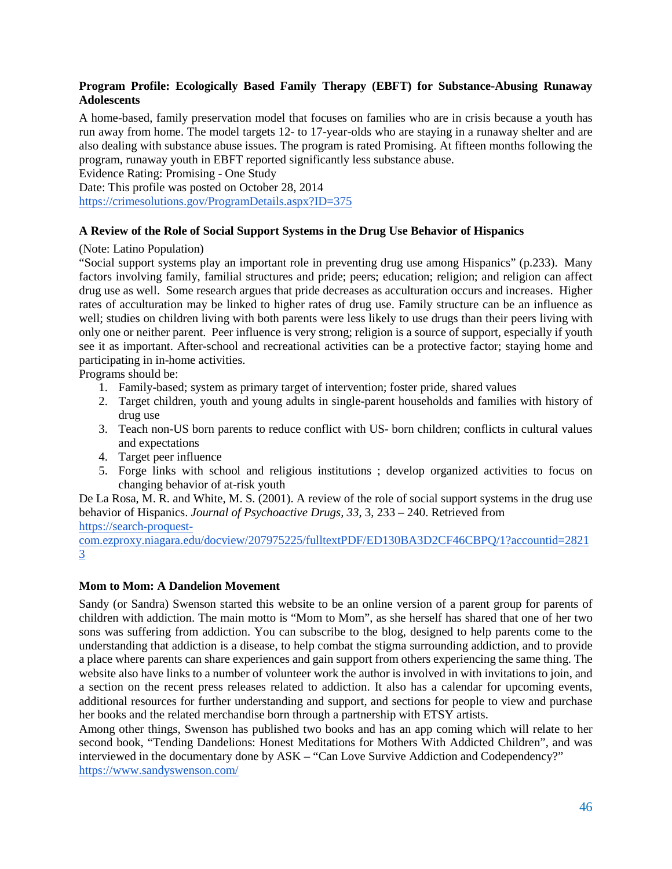# <span id="page-45-0"></span>**Program Profile: Ecologically Based Family Therapy (EBFT) for Substance-Abusing Runaway Adolescents**

A home-based, family preservation model that focuses on families who are in crisis because a youth has run away from home. The model targets 12- to 17-year-olds who are staying in a runaway shelter and are also dealing with substance abuse issues. The program is rated Promising. At fifteen months following the program, runaway youth in EBFT reported significantly less substance abuse.

Evidence Rating: Promising - One Study

Date: This profile was posted on October 28, 2014 <https://crimesolutions.gov/ProgramDetails.aspx?ID=375>

# <span id="page-45-1"></span>**A Review of the Role of Social Support Systems in the Drug Use Behavior of Hispanics**

# (Note: Latino Population)

"Social support systems play an important role in preventing drug use among Hispanics" (p.233). Many factors involving family, familial structures and pride; peers; education; religion; and religion can affect drug use as well. Some research argues that pride decreases as acculturation occurs and increases. Higher rates of acculturation may be linked to higher rates of drug use. Family structure can be an influence as well; studies on children living with both parents were less likely to use drugs than their peers living with only one or neither parent. Peer influence is very strong; religion is a source of support, especially if youth see it as important. After-school and recreational activities can be a protective factor; staying home and participating in in-home activities.

Programs should be:

- 1. Family-based; system as primary target of intervention; foster pride, shared values
- 2. Target children, youth and young adults in single-parent households and families with history of drug use
- 3. Teach non-US born parents to reduce conflict with US- born children; conflicts in cultural values and expectations
- 4. Target peer influence
- 5. Forge links with school and religious institutions ; develop organized activities to focus on changing behavior of at-risk youth

De La Rosa, M. R. and White, M. S. (2001). A review of the role of social support systems in the drug use behavior of Hispanics. *Journal of Psychoactive Drugs, 33*, 3, 233 – 240. Retrieved from

[https://search-proquest-](https://search-proquest-com.ezproxy.niagara.edu/docview/207975225/fulltextPDF/ED130BA3D2CF46CBPQ/1?accountid=28213)

[com.ezproxy.niagara.edu/docview/207975225/fulltextPDF/ED130BA3D2CF46CBPQ/1?accountid=2821](https://search-proquest-com.ezproxy.niagara.edu/docview/207975225/fulltextPDF/ED130BA3D2CF46CBPQ/1?accountid=28213) [3](https://search-proquest-com.ezproxy.niagara.edu/docview/207975225/fulltextPDF/ED130BA3D2CF46CBPQ/1?accountid=28213)

# <span id="page-45-2"></span>**Mom to Mom: A Dandelion Movement**

Sandy (or Sandra) Swenson started this website to be an online version of a parent group for parents of children with addiction. The main motto is "Mom to Mom", as she herself has shared that one of her two sons was suffering from addiction. You can subscribe to the blog, designed to help parents come to the understanding that addiction is a disease, to help combat the stigma surrounding addiction, and to provide a place where parents can share experiences and gain support from others experiencing the same thing. The website also have links to a number of volunteer work the author is involved in with invitations to join, and a section on the recent press releases related to addiction. It also has a calendar for upcoming events, additional resources for further understanding and support, and sections for people to view and purchase her books and the related merchandise born through a partnership with ETSY artists.

Among other things, Swenson has published two books and has an app coming which will relate to her second book, "Tending Dandelions: Honest Meditations for Mothers With Addicted Children", and was interviewed in the documentary done by ASK – "Can Love Survive Addiction and Codependency?" <https://www.sandyswenson.com/>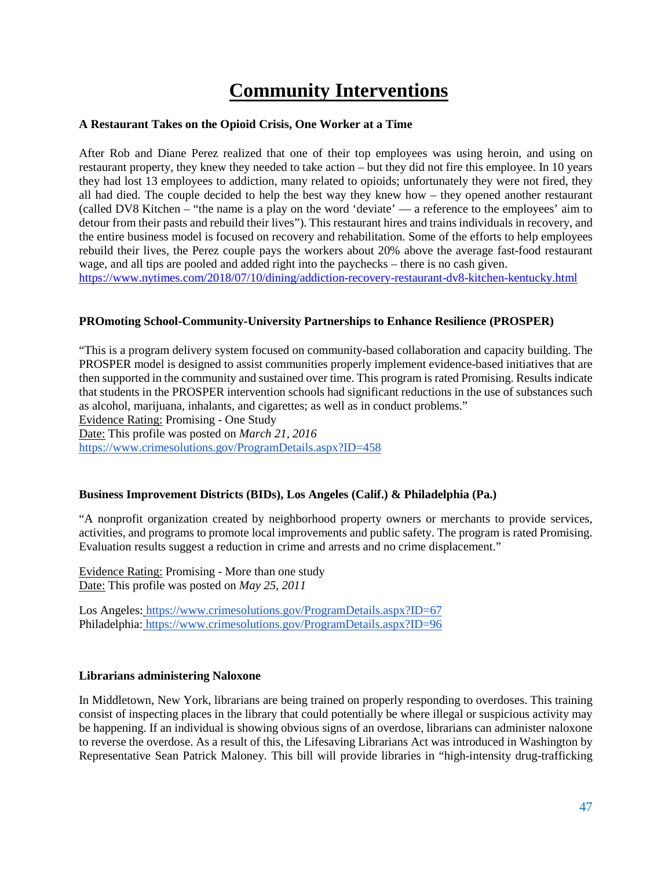# <span id="page-46-0"></span>**Community Interventions**

# <span id="page-46-1"></span>**A Restaurant Takes on the Opioid Crisis, One Worker at a Time**

After Rob and Diane Perez realized that one of their top employees was using heroin, and using on restaurant property, they knew they needed to take action – but they did not fire this employee. In 10 years they had lost 13 employees to addiction, many related to opioids; unfortunately they were not fired, they all had died. The couple decided to help the best way they knew how – they opened another restaurant (called DV8 Kitchen – "the name is a play on the word 'deviate' — a reference to the employees' aim to detour from their pasts and rebuild their lives"). This restaurant hires and trains individuals in recovery, and the entire business model is focused on recovery and rehabilitation. Some of the efforts to help employees rebuild their lives, the Perez couple pays the workers about 20% above the average fast-food restaurant wage, and all tips are pooled and added right into the paychecks – there is no cash given.

<https://www.nytimes.com/2018/07/10/dining/addiction-recovery-restaurant-dv8-kitchen-kentucky.html>

# <span id="page-46-2"></span>**PROmoting School-Community-University Partnerships to Enhance Resilience (PROSPER)**

"This is a program delivery system focused on community-based collaboration and capacity building. The PROSPER model is designed to assist communities properly implement evidence-based initiatives that are then supported in the community and sustained over time. This program is rated Promising. Results indicate that students in the PROSPER intervention schools had significant reductions in the use of substances such as alcohol, marijuana, inhalants, and cigarettes; as well as in conduct problems."

Evidence Rating: Promising - One Study

Date: This profile was posted on *March 21, 2016*

<https://www.crimesolutions.gov/ProgramDetails.aspx?ID=458>

# <span id="page-46-3"></span>**Business Improvement Districts (BIDs), Los Angeles (Calif.) & Philadelphia (Pa.)**

"A nonprofit organization created by neighborhood property owners or merchants to provide services, activities, and programs to promote local improvements and public safety. The program is rated Promising. Evaluation results suggest a reduction in crime and arrests and no crime displacement."

Evidence Rating: Promising - More than one study Date: This profile was posted on *May 25, 2011*

Los Angeles: <https://www.crimesolutions.gov/ProgramDetails.aspx?ID=67> Philadelphia: <https://www.crimesolutions.gov/ProgramDetails.aspx?ID=96>

# <span id="page-46-4"></span>**Librarians administering Naloxone**

In Middletown, New York, librarians are being trained on properly responding to overdoses. This training consist of inspecting places in the library that could potentially be where illegal or suspicious activity may be happening. If an individual is showing obvious signs of an overdose, librarians can administer naloxone to reverse the overdose. As a result of this, the Lifesaving Librarians Act was introduced in Washington by Representative Sean Patrick Maloney. This bill will provide libraries in "high-intensity drug-trafficking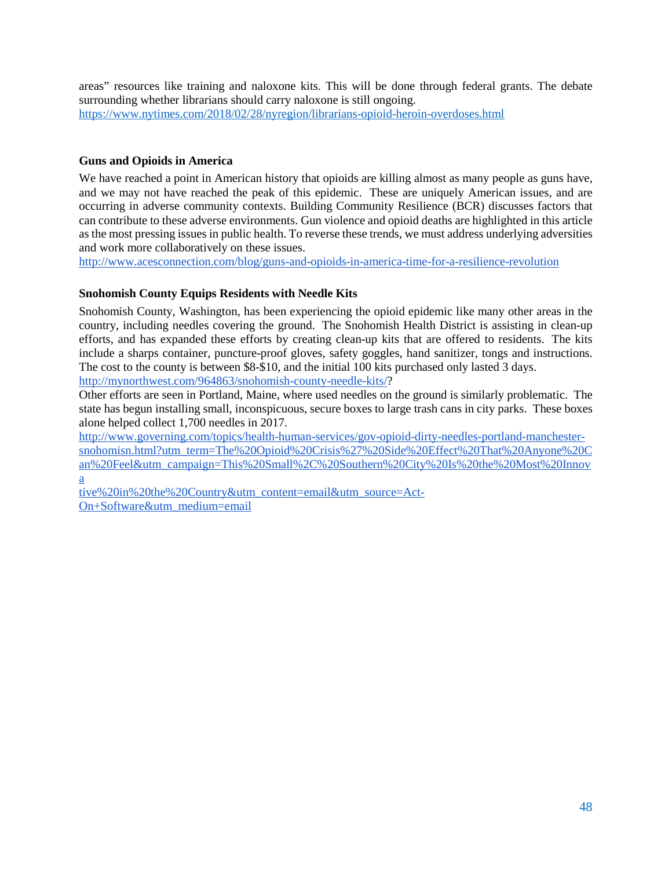areas" resources like training and naloxone kits. This will be done through federal grants. The debate surrounding whether librarians should carry naloxone is still ongoing. <https://www.nytimes.com/2018/02/28/nyregion/librarians-opioid-heroin-overdoses.html>

# <span id="page-47-0"></span>**Guns and Opioids in America**

We have reached a point in American history that opioids are killing almost as many people as guns have, and we may not have reached the peak of this epidemic. These are uniquely American issues, and are occurring in adverse community contexts. Building Community Resilience (BCR) discusses factors that can contribute to these adverse environments. Gun violence and opioid deaths are highlighted in this article as the most pressing issues in public health. To reverse these trends, we must address underlying adversities and work more collaboratively on these issues.

<span id="page-47-1"></span><http://www.acesconnection.com/blog/guns-and-opioids-in-america-time-for-a-resilience-revolution>

# **Snohomish County Equips Residents with Needle Kits**

Snohomish County, Washington, has been experiencing the opioid epidemic like many other areas in the country, including needles covering the ground. The Snohomish Health District is assisting in clean-up efforts, and has expanded these efforts by creating clean-up kits that are offered to residents. The kits include a sharps container, puncture-proof gloves, safety goggles, hand sanitizer, tongs and instructions. The cost to the county is between \$8-\$10, and the initial 100 kits purchased only lasted 3 days. [http://mynorthwest.com/964863/snohomish-county-needle-kits/?](http://mynorthwest.com/964863/snohomish-county-needle-kits/)

Other efforts are seen in Portland, Maine, where used needles on the ground is similarly problematic. The state has begun installing small, inconspicuous, secure boxes to large trash cans in city parks. These boxes alone helped collect 1,700 needles in 2017.

[http://www.governing.com/topics/health-human-services/gov-opioid-dirty-needles-portland-manchester](http://www.governing.com/topics/health-human-services/gov-opioid-dirty-needles-portland-manchester-snohomisn.html?utm_term=The%20Opioid%20Crisis%27%20Side%20Effect%20That%20Anyone%20Can%20Feel&utm_campaign=This%20Small%2C%20Southern%20City%20Is%20the%20Most%20Innovative%20in%20the%20Country&utm_content=email&utm_source=Act-On+Software&utm_medium=email)[snohomisn.html?utm\\_term=The%20Opioid%20Crisis%27%20Side%20Effect%20That%20Anyone%20C](http://www.governing.com/topics/health-human-services/gov-opioid-dirty-needles-portland-manchester-snohomisn.html?utm_term=The%20Opioid%20Crisis%27%20Side%20Effect%20That%20Anyone%20Can%20Feel&utm_campaign=This%20Small%2C%20Southern%20City%20Is%20the%20Most%20Innovative%20in%20the%20Country&utm_content=email&utm_source=Act-On+Software&utm_medium=email) [an%20Feel&utm\\_campaign=This%20Small%2C%20Southern%20City%20Is%20the%20Most%20Innov](http://www.governing.com/topics/health-human-services/gov-opioid-dirty-needles-portland-manchester-snohomisn.html?utm_term=The%20Opioid%20Crisis%27%20Side%20Effect%20That%20Anyone%20Can%20Feel&utm_campaign=This%20Small%2C%20Southern%20City%20Is%20the%20Most%20Innovative%20in%20the%20Country&utm_content=email&utm_source=Act-On+Software&utm_medium=email) [a](http://www.governing.com/topics/health-human-services/gov-opioid-dirty-needles-portland-manchester-snohomisn.html?utm_term=The%20Opioid%20Crisis%27%20Side%20Effect%20That%20Anyone%20Can%20Feel&utm_campaign=This%20Small%2C%20Southern%20City%20Is%20the%20Most%20Innovative%20in%20the%20Country&utm_content=email&utm_source=Act-On+Software&utm_medium=email)

[tive%20in%20the%20Country&utm\\_content=email&utm\\_source=Act-](http://www.governing.com/topics/health-human-services/gov-opioid-dirty-needles-portland-manchester-snohomisn.html?utm_term=The%20Opioid%20Crisis%27%20Side%20Effect%20That%20Anyone%20Can%20Feel&utm_campaign=This%20Small%2C%20Southern%20City%20Is%20the%20Most%20Innovative%20in%20the%20Country&utm_content=email&utm_source=Act-On+Software&utm_medium=email)[On+Software&utm\\_medium=email](http://www.governing.com/topics/health-human-services/gov-opioid-dirty-needles-portland-manchester-snohomisn.html?utm_term=The%20Opioid%20Crisis%27%20Side%20Effect%20That%20Anyone%20Can%20Feel&utm_campaign=This%20Small%2C%20Southern%20City%20Is%20the%20Most%20Innovative%20in%20the%20Country&utm_content=email&utm_source=Act-On+Software&utm_medium=email)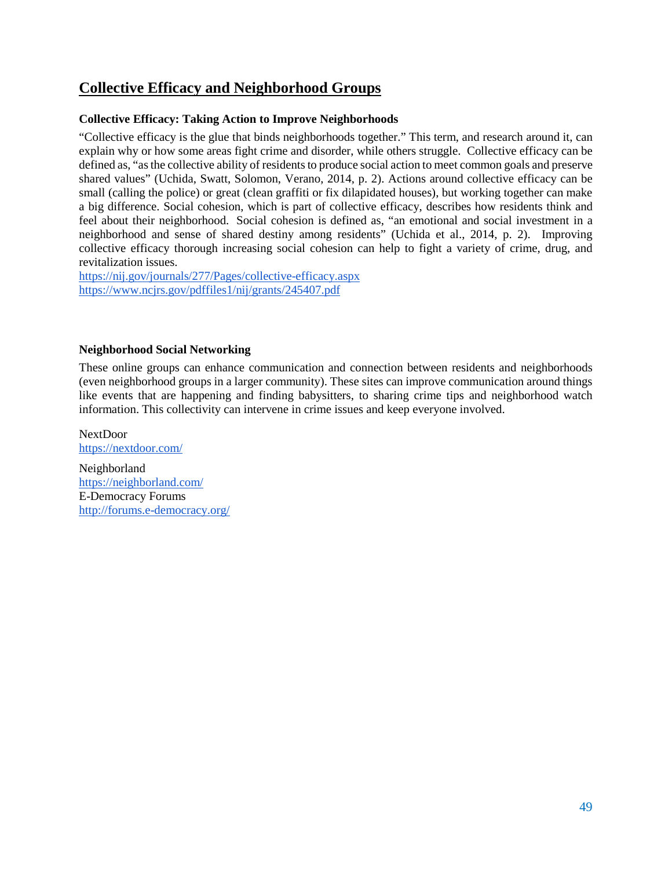# <span id="page-48-0"></span>**Collective Efficacy and Neighborhood Groups**

# <span id="page-48-1"></span>**Collective Efficacy: Taking Action to Improve Neighborhoods**

"Collective efficacy is the glue that binds neighborhoods together." This term, and research around it, can explain why or how some areas fight crime and disorder, while others struggle. Collective efficacy can be defined as, "as the collective ability of residents to produce social action to meet common goals and preserve shared values" (Uchida, Swatt, Solomon, Verano, 2014, p. 2). Actions around collective efficacy can be small (calling the police) or great (clean graffiti or fix dilapidated houses), but working together can make a big difference. Social cohesion, which is part of collective efficacy, describes how residents think and feel about their neighborhood. Social cohesion is defined as, "an emotional and social investment in a neighborhood and sense of shared destiny among residents" (Uchida et al., 2014, p. 2). Improving collective efficacy thorough increasing social cohesion can help to fight a variety of crime, drug, and revitalization issues.

<https://nij.gov/journals/277/Pages/collective-efficacy.aspx> <https://www.ncjrs.gov/pdffiles1/nij/grants/245407.pdf>

# <span id="page-48-2"></span>**Neighborhood Social Networking**

These online groups can enhance communication and connection between residents and neighborhoods (even neighborhood groups in a larger community). These sites can improve communication around things like events that are happening and finding babysitters, to sharing crime tips and neighborhood watch information. This collectivity can intervene in crime issues and keep everyone involved.

NextDoor <https://nextdoor.com/>

Neighborland <https://neighborland.com/> E-Democracy Forums <http://forums.e-democracy.org/>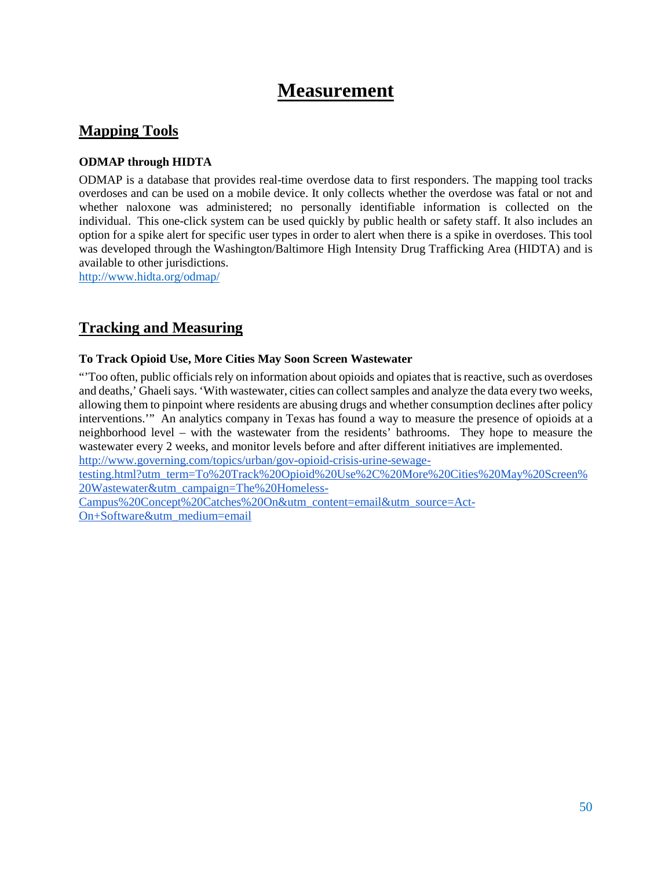# **Measurement**

# <span id="page-49-0"></span>**Mapping Tools**

# <span id="page-49-1"></span>**ODMAP through HIDTA**

ODMAP is a database that provides real-time overdose data to first responders. The mapping tool tracks overdoses and can be used on a mobile device. It only collects whether the overdose was fatal or not and whether naloxone was administered; no personally identifiable information is collected on the individual. This one-click system can be used quickly by public health or safety staff. It also includes an option for a spike alert for specific user types in order to alert when there is a spike in overdoses. This tool was developed through the Washington/Baltimore High Intensity Drug Trafficking Area (HIDTA) and is available to other jurisdictions.

<http://www.hidta.org/odmap/>

# <span id="page-49-2"></span>**Tracking and Measuring**

# <span id="page-49-3"></span>**To Track Opioid Use, More Cities May Soon Screen Wastewater**

"'Too often, public officials rely on information about opioids and opiates that is reactive, such as overdoses and deaths,' Ghaeli says. 'With wastewater, cities can collect samples and analyze the data every two weeks, allowing them to pinpoint where residents are abusing drugs and whether consumption declines after policy interventions.'" An analytics company in Texas has found a way to measure the presence of opioids at a neighborhood level – with the wastewater from the residents' bathrooms. They hope to measure the wastewater every 2 weeks, and monitor levels before and after different initiatives are implemented. [http://www.governing.com/topics/urban/gov-opioid-crisis-urine-sewage-](http://www.governing.com/topics/urban/gov-opioid-crisis-urine-sewage-testing.html?utm_term=To%20Track%20Opioid%20Use%2C%20More%20Cities%20May%20Screen%20Wastewater&utm_campaign=The%20Homeless-Campus%20Concept%20Catches%20On&utm_content=email&utm_source=Act-On+Software&utm_medium=email)

[testing.html?utm\\_term=To%20Track%20Opioid%20Use%2C%20More%20Cities%20May%20Screen%](http://www.governing.com/topics/urban/gov-opioid-crisis-urine-sewage-testing.html?utm_term=To%20Track%20Opioid%20Use%2C%20More%20Cities%20May%20Screen%20Wastewater&utm_campaign=The%20Homeless-Campus%20Concept%20Catches%20On&utm_content=email&utm_source=Act-On+Software&utm_medium=email) [20Wastewater&utm\\_campaign=The%20Homeless-](http://www.governing.com/topics/urban/gov-opioid-crisis-urine-sewage-testing.html?utm_term=To%20Track%20Opioid%20Use%2C%20More%20Cities%20May%20Screen%20Wastewater&utm_campaign=The%20Homeless-Campus%20Concept%20Catches%20On&utm_content=email&utm_source=Act-On+Software&utm_medium=email)

[Campus%20Concept%20Catches%20On&utm\\_content=email&utm\\_source=Act-](http://www.governing.com/topics/urban/gov-opioid-crisis-urine-sewage-testing.html?utm_term=To%20Track%20Opioid%20Use%2C%20More%20Cities%20May%20Screen%20Wastewater&utm_campaign=The%20Homeless-Campus%20Concept%20Catches%20On&utm_content=email&utm_source=Act-On+Software&utm_medium=email)[On+Software&utm\\_medium=email](http://www.governing.com/topics/urban/gov-opioid-crisis-urine-sewage-testing.html?utm_term=To%20Track%20Opioid%20Use%2C%20More%20Cities%20May%20Screen%20Wastewater&utm_campaign=The%20Homeless-Campus%20Concept%20Catches%20On&utm_content=email&utm_source=Act-On+Software&utm_medium=email)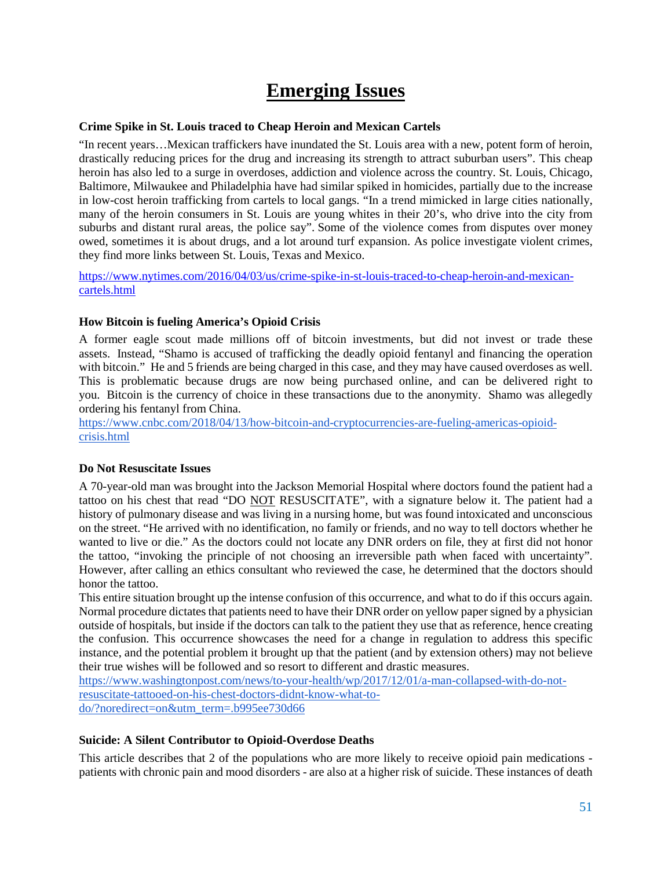# **Emerging Issues**

# <span id="page-50-1"></span><span id="page-50-0"></span>**Crime Spike in St. Louis traced to Cheap Heroin and Mexican Cartels**

"In recent years…Mexican traffickers have inundated the St. Louis area with a new, potent form of heroin, drastically reducing prices for the drug and increasing its strength to attract suburban users". This cheap heroin has also led to a surge in overdoses, addiction and violence across the country. St. Louis, Chicago, Baltimore, Milwaukee and Philadelphia have had similar spiked in homicides, partially due to the increase in low-cost heroin trafficking from cartels to local gangs. "In a trend mimicked in large cities nationally, many of the heroin consumers in St. Louis are young whites in their 20's, who drive into the city from suburbs and distant rural areas, the police say". Some of the violence comes from disputes over money owed, sometimes it is about drugs, and a lot around turf expansion. As police investigate violent crimes, they find more links between St. Louis, Texas and Mexico.

[https://www.nytimes.com/2016/04/03/us/crime-spike-in-st-louis-traced-to-cheap-heroin-and-mexican](https://www.nytimes.com/2016/04/03/us/crime-spike-in-st-louis-traced-to-cheap-heroin-and-mexican-cartels.html)[cartels.html](https://www.nytimes.com/2016/04/03/us/crime-spike-in-st-louis-traced-to-cheap-heroin-and-mexican-cartels.html)

# <span id="page-50-2"></span>**How Bitcoin is fueling America's Opioid Crisis**

A former eagle scout made millions off of bitcoin investments, but did not invest or trade these assets. Instead, "Shamo is accused of trafficking the deadly opioid fentanyl and financing the operation with bitcoin." He and 5 friends are being charged in this case, and they may have caused overdoses as well. This is problematic because drugs are now being purchased online, and can be delivered right to you. Bitcoin is the currency of choice in these transactions due to the anonymity. Shamo was allegedly ordering his fentanyl from China.

[https://www.cnbc.com/2018/04/13/how-bitcoin-and-cryptocurrencies-are-fueling-americas-opioid](https://www.cnbc.com/2018/04/13/how-bitcoin-and-cryptocurrencies-are-fueling-americas-opioid-crisis.html)[crisis.html](https://www.cnbc.com/2018/04/13/how-bitcoin-and-cryptocurrencies-are-fueling-americas-opioid-crisis.html)

# <span id="page-50-3"></span>**Do Not Resuscitate Issues**

A 70-year-old man was brought into the Jackson Memorial Hospital where doctors found the patient had a tattoo on his chest that read "DO NOT RESUSCITATE", with a signature below it. The patient had a history of pulmonary disease and was living in a nursing home, but was found intoxicated and unconscious on the street. "He arrived with no identification, no family or friends, and no way to tell doctors whether he wanted to live or die." As the doctors could not locate any DNR orders on file, they at first did not honor the tattoo, "invoking the principle of not choosing an irreversible path when faced with uncertainty". However, after calling an ethics consultant who reviewed the case, he determined that the doctors should honor the tattoo.

This entire situation brought up the intense confusion of this occurrence, and what to do if this occurs again. Normal procedure dictates that patients need to have their DNR order on yellow paper signed by a physician outside of hospitals, but inside if the doctors can talk to the patient they use that as reference, hence creating the confusion. This occurrence showcases the need for a change in regulation to address this specific instance, and the potential problem it brought up that the patient (and by extension others) may not believe their true wishes will be followed and so resort to different and drastic measures.

[https://www.washingtonpost.com/news/to-your-health/wp/2017/12/01/a-man-collapsed-with-do-not](https://www.washingtonpost.com/news/to-your-health/wp/2017/12/01/a-man-collapsed-with-do-not-resuscitate-tattooed-on-his-chest-doctors-didnt-know-what-to-do/?noredirect=on&utm_term=.b995ee730d66)[resuscitate-tattooed-on-his-chest-doctors-didnt-know-what-to](https://www.washingtonpost.com/news/to-your-health/wp/2017/12/01/a-man-collapsed-with-do-not-resuscitate-tattooed-on-his-chest-doctors-didnt-know-what-to-do/?noredirect=on&utm_term=.b995ee730d66)[do/?noredirect=on&utm\\_term=.b995ee730d66](https://www.washingtonpost.com/news/to-your-health/wp/2017/12/01/a-man-collapsed-with-do-not-resuscitate-tattooed-on-his-chest-doctors-didnt-know-what-to-do/?noredirect=on&utm_term=.b995ee730d66)

# <span id="page-50-4"></span>**Suicide: A Silent Contributor to Opioid-Overdose Deaths**

This article describes that 2 of the populations who are more likely to receive opioid pain medications patients with chronic pain and mood disorders - are also at a higher risk of suicide. These instances of death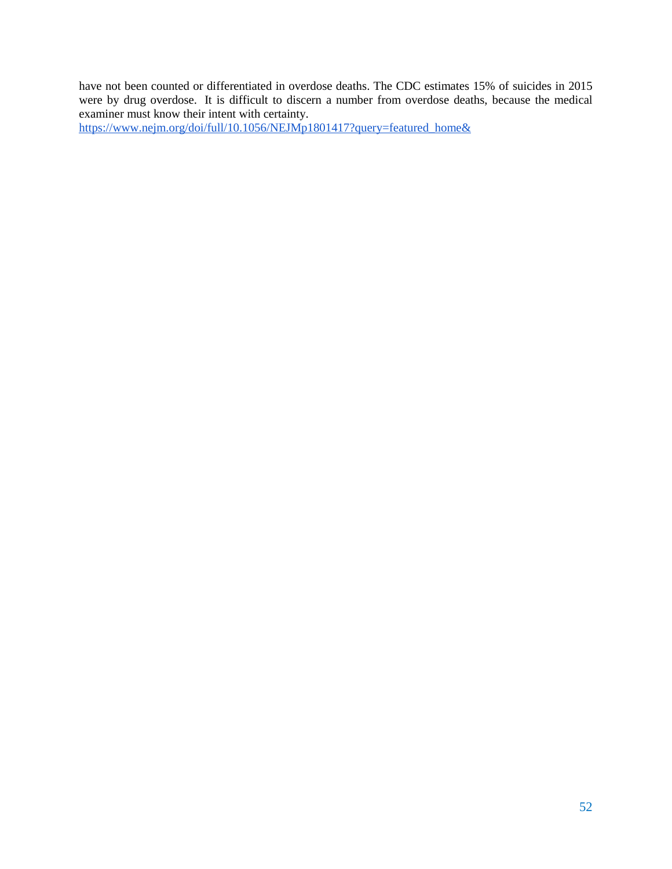have not been counted or differentiated in overdose deaths. The CDC estimates 15% of suicides in 2015 were by drug overdose. It is difficult to discern a number from overdose deaths, because the medical examiner must know their intent with certainty.

[https://www.nejm.org/doi/full/10.1056/NEJMp1801417?query=featured\\_home&](https://www.nejm.org/doi/full/10.1056/NEJMp1801417?query=featured_home&)